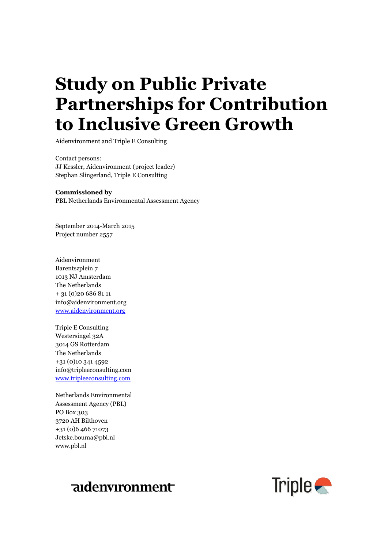# **Study on Public Private Partnerships for Contribution to Inclusive Green Growth**

**Growthtnerships for**  Aidenvironment and Triple E Consulting

Contact persons:<br>JJ Kessler, Aidenvironment (project leader)<br>Current of Line of Line of Line of Line of Line of Line of Line of Line of Line of Line of Line of Line of Lin Contact persons: Stephan Slingerland, Triple E Consulting

# **Green Growth Commissioned by**

PBL Netherlands Environmental Assessment Agency

September 2014-March 2015 Project number 2557

Aidenvironment Barentszplein 7 1013 NJ Amsterdam The Netherlands + 31 (0)20 686 81 11 info@aidenvironment.org [www.aidenvironment.org](http://www.aidenvironment.org/)

Triple E Consulting Westersingel 32A 3014 GS Rotterdam The Netherlands +31 (0)10 341 4592 info@tripleeconsulting.com [www.tripleeconsulting.com](http://www.tripleeconsulting.com/)

Netherlands Environmental Assessment Agency (PBL) PO Box 303 3720 AH Bilthoven +31 (0)6 466 71073 Jetske.bouma@pbl.nl www.pbl.nl



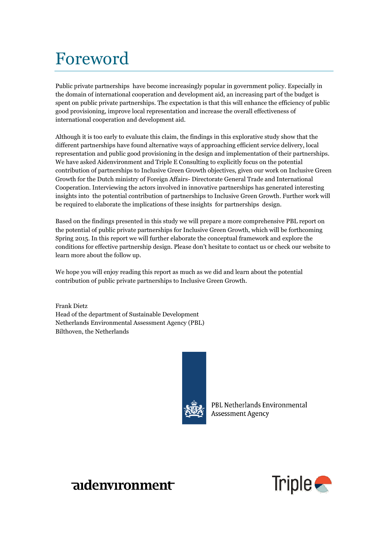# Foreword

Public private partnerships have become increasingly popular in government policy. Especially in the domain of international cooperation and development aid, an increasing part of the budget is spent on public private partnerships. The expectation is that this will enhance the efficiency of public good provisioning, improve local representation and increase the overall effectiveness of international cooperation and development aid.

Although it is too early to evaluate this claim, the findings in this explorative study show that the different partnerships have found alternative ways of approaching efficient service delivery, local representation and public good provisioning in the design and implementation of their partnerships. We have asked Aidenvironment and Triple E Consulting to explicitly focus on the potential contribution of partnerships to Inclusive Green Growth objectives, given our work on Inclusive Green Growth for the Dutch ministry of Foreign Affairs- Directorate General Trade and International Cooperation. Interviewing the actors involved in innovative partnerships has generated interesting insights into the potential contribution of partnerships to Inclusive Green Growth. Further work will be required to elaborate the implications of these insights for partnerships design.

Based on the findings presented in this study we will prepare a more comprehensive PBL report on the potential of public private partnerships for Inclusive Green Growth, which will be forthcoming Spring 2015. In this report we will further elaborate the conceptual framework and explore the conditions for effective partnership design. Please don't hesitate to contact us or check our website to learn more about the follow up.

We hope you will enjoy reading this report as much as we did and learn about the potential contribution of public private partnerships to Inclusive Green Growth.

Frank Dietz Head of the department of Sustainable Development Netherlands Environmental Assessment Agency (PBL) Bilthoven, the Netherlands



PBL Netherlands Environmental Assessment Agency



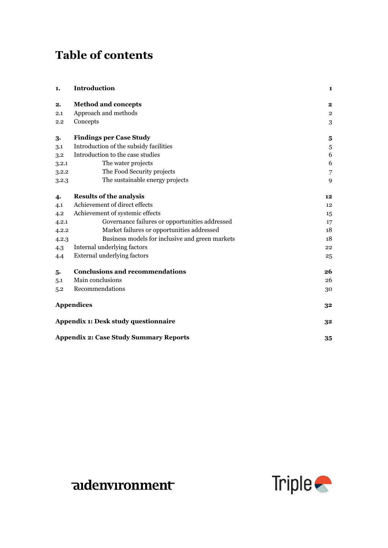## **Table of contents**

| 1.    | <b>Introduction</b>                             | 1                       |
|-------|-------------------------------------------------|-------------------------|
| 2.    | <b>Method and concepts</b>                      | $\mathbf 2$             |
| 2.1   | Approach and methods                            | $\overline{\mathbf{2}}$ |
| 2.2   | Concepts                                        | 3                       |
| 3.    | <b>Findings per Case Study</b>                  | 5                       |
| 3.1   | Introduction of the subsidy facilities          | 5                       |
| 3.2   | Introduction to the case studies                | 6                       |
| 3.2.1 | The water projects                              | 6                       |
| 3.2.2 | The Food Security projects                      | $\overline{7}$          |
| 3.2.3 | The sustainable energy projects                 | 9                       |
| 4.    | <b>Results of the analysis</b>                  | 12                      |
| 4.1   | Achievement of direct effects                   | 12                      |
| 4.2   | Achievement of systemic effects                 | 15                      |
| 4.2.1 | Governance failures or opportunities addressed  | 17                      |
| 4.2.2 | Market failures or opportunities addressed      | 18                      |
| 4.2.3 | Business models for inclusive and green markets | 18                      |
| 4.3   | Internal underlying factors                     | 22                      |
| 4.4   | <b>External underlying factors</b>              | 25                      |
| 5.    | <b>Conclusions and recommendations</b>          | 26                      |
| 5.1   | Main conclusions                                | 26                      |
| 5.2   | Recommendations                                 | 30                      |
|       | <b>Appendices</b>                               | 32                      |
|       | Appendix 1: Desk study questionnaire            | 32                      |
|       | <b>Appendix 2: Case Study Summary Reports</b>   | 35                      |

## aidenvironment

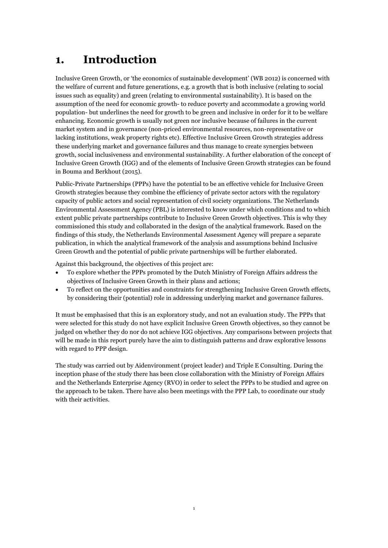## <span id="page-4-0"></span>**1. Introduction**

Inclusive Green Growth, or 'the economics of sustainable development' (WB 2012) is concerned with the welfare of current and future generations, e.g. a growth that is both inclusive (relating to social issues such as equality) and green (relating to environmental sustainability). It is based on the assumption of the need for economic growth- to reduce poverty and accommodate a growing world population- but underlines the need for growth to be green and inclusive in order for it to be welfare enhancing. Economic growth is usually not green nor inclusive because of failures in the current market system and in governance (non-priced environmental resources, non-representative or lacking institutions, weak property rights etc). Effective Inclusive Green Growth strategies address these underlying market and governance failures and thus manage to create synergies between growth, social inclusiveness and environmental sustainability. A further elaboration of the concept of Inclusive Green Growth (IGG) and of the elements of Inclusive Green Growth strategies can be found in Bouma and Berkhout (2015).

Public-Private Partnerships (PPPs) have the potential to be an effective vehicle for Inclusive Green Growth strategies because they combine the efficiency of private sector actors with the regulatory capacity of public actors and social representation of civil society organizations. The Netherlands Environmental Assessment Agency (PBL) is interested to know under which conditions and to which extent public private partnerships contribute to Inclusive Green Growth objectives. This is why they commissioned this study and collaborated in the design of the analytical framework. Based on the findings of this study, the Netherlands Environmental Assessment Agency will prepare a separate publication, in which the analytical framework of the analysis and assumptions behind Inclusive Green Growth and the potential of public private partnerships will be further elaborated.

Against this background, the objectives of this project are:

- To explore whether the PPPs promoted by the Dutch Ministry of Foreign Affairs address the objectives of Inclusive Green Growth in their plans and actions;
- To reflect on the opportunities and constraints for strengthening Inclusive Green Growth effects, by considering their (potential) role in addressing underlying market and governance failures.

It must be emphasised that this is an exploratory study, and not an evaluation study. The PPPs that were selected for this study do not have explicit Inclusive Green Growth objectives, so they cannot be judged on whether they do nor do not achieve IGG objectives. Any comparisons between projects that will be made in this report purely have the aim to distinguish patterns and draw explorative lessons with regard to PPP design.

The study was carried out by Aidenvironment (project leader) and Triple E Consulting. During the inception phase of the study there has been close collaboration with the Ministry of Foreign Affairs and the Netherlands Enterprise Agency (RVO) in order to select the PPPs to be studied and agree on the approach to be taken. There have also been meetings with the PPP Lab, to coordinate our study with their activities.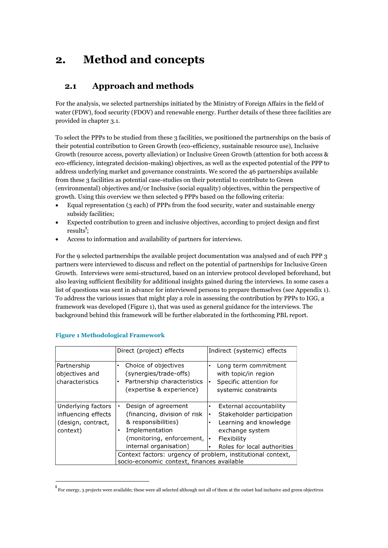## <span id="page-5-0"></span>**2. Method and concepts**

### <span id="page-5-1"></span>**2.1 Approach and methods**

For the analysis, we selected partnerships initiated by the Ministry of Foreign Affairs in the field of water (FDW), food security (FDOV) and renewable energy. Further details of these three facilities are provided in chapter 3.1.

To select the PPPs to be studied from these 3 facilities, we positioned the partnerships on the basis of their potential contribution to Green Growth (eco-efficiency, sustainable resource use), Inclusive Growth (resource access, poverty alleviation) or Inclusive Green Growth (attention for both access & eco-efficiency, integrated decision-making) objectives, as well as the expected potential of the PPP to address underlying market and governance constraints. We scored the 46 partnerships available from these 3 facilities as potential case-studies on their potential to contribute to Green (environmental) objectives and/or Inclusive (social equality) objectives, within the perspective of growth. Using this overview we then selected 9 PPPs based on the following criteria:

- Equal representation (3 each) of PPPs from the food security, water and sustainable energy subsidy facilities;
- Expected contribution to green and inclusive objectives, according to project design and first results<sup>1</sup>;
- Access to information and availability of partners for interviews.

For the 9 selected partnerships the available project documentation was analysed and of each PPP 3 partners were interviewed to discuss and reflect on the potential of partnerships for Inclusive Green Growth. Interviews were semi-structured, based on an interview protocol developed beforehand, but also leaving sufficient flexibility for additional insights gained during the interviews. In some cases a list of questions was sent in advance for interviewed persons to prepare themselves (see Appendix 1). To address the various issues that might play a role in assessing the contribution by PPPs to IGG, a framework was developed (Figure 1), that was used as general guidance for the interviews. The background behind this framework will be further elaborated in the forthcoming PBL report.

|                                                                             | Direct (project) effects                                                                                                                                                                                                                                                      | Indirect (systemic) effects                                                                                                                                                                       |
|-----------------------------------------------------------------------------|-------------------------------------------------------------------------------------------------------------------------------------------------------------------------------------------------------------------------------------------------------------------------------|---------------------------------------------------------------------------------------------------------------------------------------------------------------------------------------------------|
| Partnership<br>objectives and<br>characteristics                            | Choice of objectives<br>$\bullet$<br>(synergies/trade-offs)<br>Partnership characteristics<br>$\bullet$<br>(expertise & experience)                                                                                                                                           | Long term commitment<br>with topic/in region<br>Specific attention for<br>$\bullet$<br>systemic constraints                                                                                       |
| Underlying factors<br>influencing effects<br>(design, contract,<br>context) | Design of agreement<br>$\bullet$<br>(financing, division of risk<br>& responsibilities)<br>Implementation<br>(monitoring, enforcement,<br>internal organisation)<br>Context factors: urgency of problem, institutional context,<br>socio-economic context, finances available | External accountability<br>٠<br>Stakeholder participation<br>$\bullet$<br>Learning and knowledge<br>$\bullet$<br>exchange system<br>Flexibility<br>I۰<br>Roles for local authorities<br>$\bullet$ |

#### **Figure 1 Methodological Framework**

<u>.</u>

<sup>1</sup> For energy, 3 projects were available; these were all selected although not all of them at the outset had inclusive and green objectives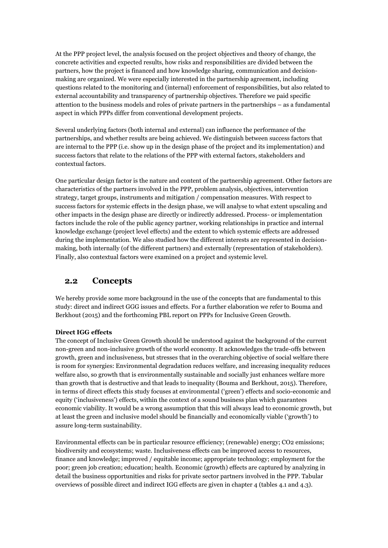At the PPP project level, the analysis focused on the project objectives and theory of change, the concrete activities and expected results, how risks and responsibilities are divided between the partners, how the project is financed and how knowledge sharing, communication and decisionmaking are organized. We were especially interested in the partnership agreement, including questions related to the monitoring and (internal) enforcement of responsibilities, but also related to external accountability and transparency of partnership objectives. Therefore we paid specific attention to the business models and roles of private partners in the partnerships – as a fundamental aspect in which PPPs differ from conventional development projects.

Several underlying factors (both internal and external) can influence the performance of the partnerships, and whether results are being achieved. We distinguish between success factors that are internal to the PPP (i.e. show up in the design phase of the project and its implementation) and success factors that relate to the relations of the PPP with external factors, stakeholders and contextual factors.

One particular design factor is the nature and content of the partnership agreement. Other factors are characteristics of the partners involved in the PPP, problem analysis, objectives, intervention strategy, target groups, instruments and mitigation / compensation measures. With respect to success factors for systemic effects in the design phase, we will analyse to what extent upscaling and other impacts in the design phase are directly or indirectly addressed. Process- or implementation factors include the role of the public agency partner, working relationships in practice and internal knowledge exchange (project level effects) and the extent to which systemic effects are addressed during the implementation. We also studied how the different interests are represented in decisionmaking, both internally (of the different partners) and externally (representation of stakeholders). Finally, also contextual factors were examined on a project and systemic level.

### <span id="page-6-0"></span>**2.2 Concepts**

We hereby provide some more background in the use of the concepts that are fundamental to this study: direct and indirect GGG issues and effects. For a further elaboration we refer to Bouma and Berkhout (2015) and the forthcoming PBL report on PPPs for Inclusive Green Growth.

#### **Direct IGG effects**

The concept of Inclusive Green Growth should be understood against the background of the current non-green and non-inclusive growth of the world economy. It acknowledges the trade-offs between growth, green and inclusiveness, but stresses that in the overarching objective of social welfare there is room for synergies: Environmental degradation reduces welfare, and increasing inequality reduces welfare also, so growth that is environmentally sustainable and socially just enhances welfare more than growth that is destructive and that leads to inequality (Bouma and Berkhout, 2015). Therefore, in terms of direct effects this study focuses at environmental ('green') effects and socio-economic and equity ('inclusiveness') effects, within the context of a sound business plan which guarantees economic viability. It would be a wrong assumption that this will always lead to economic growth, but at least the green and inclusive model should be financially and economically viable ('growth') to assure long-term sustainability.

Environmental effects can be in particular resource efficiency; (renewable) energy; CO2 emissions; biodiversity and ecosystems; waste. Inclusiveness effects can be improved access to resources, finance and knowledge; improved / equitable income; appropriate technology; employment for the poor; green job creation; education; health. Economic (growth) effects are captured by analyzing in detail the business opportunities and risks for private sector partners involved in the PPP. Tabular overviews of possible direct and indirect IGG effects are given in chapter 4 (tables 4.1 and 4.3).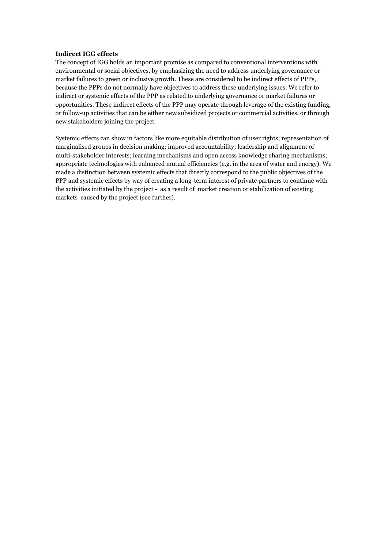#### **Indirect IGG effects**

The concept of IGG holds an important promise as compared to conventional interventions with environmental or social objectives, by emphasizing the need to address underlying governance or market failures to green or inclusive growth. These are considered to be indirect effects of PPPs, because the PPPs do not normally have objectives to address these underlying issues. We refer to indirect or systemic effects of the PPP as related to underlying governance or market failures or opportunities. These indirect effects of the PPP may operate through leverage of the existing funding, or follow-up activities that can be either new subsidized projects or commercial activities, or through new stakeholders joining the project.

Systemic effects can show in factors like more equitable distribution of user rights; representation of marginalised groups in decision making; improved accountability; leadership and alignment of multi-stakeholder interests; learning mechanisms and open access knowledge sharing mechanisms; appropriate technologies with enhanced mutual efficiencies (e.g. in the area of water and energy). We made a distinction between systemic effects that directly correspond to the public objectives of the PPP and systemic effects by way of creating a long-term interest of private partners to continue with the activities initiated by the project - as a result of market creation or stabilization of existing markets caused by the project (see further).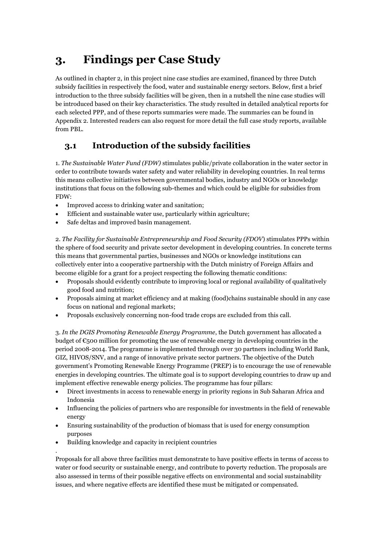## <span id="page-8-0"></span>**3. Findings per Case Study**

As outlined in chapter 2, in this project nine case studies are examined, financed by three Dutch subsidy facilities in respectively the food, water and sustainable energy sectors. Below, first a brief introduction to the three subsidy facilities will be given, then in a nutshell the nine case studies will be introduced based on their key characteristics. The study resulted in detailed analytical reports for each selected PPP, and of these reports summaries were made. The summaries can be found in Appendix 2. Interested readers can also request for more detail the full case study reports, available from PBL.

## <span id="page-8-1"></span>**3.1 Introduction of the subsidy facilities**

1. *The Sustainable Water Fund (FDW)* stimulates public/private collaboration in the water sector in order to contribute towards water safety and water reliability in developing countries. In real terms this means collective initiatives between governmental bodies, industry and NGOs or knowledge institutions that focus on the following sub-themes and which could be eligible for subsidies from FDW:

- Improved access to drinking water and sanitation;
- Efficient and sustainable water use, particularly within agriculture;
- Safe deltas and improved basin management.

2. *The Facility for Sustainable Entrepreneurship and Food Security (FDOV*) stimulates PPPs within the sphere of food security and private sector development in developing countries. In concrete terms this means that governmental parties, businesses and NGOs or knowledge institutions can collectively enter into a cooperative partnership with the Dutch ministry of Foreign Affairs and become eligible for a grant for a project respecting the following thematic conditions:

- Proposals should evidently contribute to improving local or regional availability of qualitatively good food and nutrition;
- Proposals aiming at market efficiency and at making (food)chains sustainable should in any case focus on national and regional markets;
- Proposals exclusively concerning non-food trade crops are excluded from this call.

3. *In the DGIS Promoting Renewable Energy Programme*, the Dutch government has allocated a budget of  $\epsilon_{500}$  million for promoting the use of renewable energy in developing countries in the period 2008-2014. The programme is implemented through over 30 partners including World Bank, GIZ, HIVOS/SNV, and a range of innovative private sector partners. The objective of the Dutch government's Promoting Renewable Energy Programme (PREP) is to encourage the use of renewable energies in developing countries. The ultimate goal is to support developing countries to draw up and implement effective renewable energy policies. The programme has four pillars:

- Direct investments in access to renewable energy in priority regions in Sub Saharan Africa and Indonesia
- Influencing the policies of partners who are responsible for investments in the field of renewable energy
- Ensuring sustainability of the production of biomass that is used for energy consumption purposes
- Building knowledge and capacity in recipient countries
- .

Proposals for all above three facilities must demonstrate to have positive effects in terms of access to water or food security or sustainable energy, and contribute to poverty reduction. The proposals are also assessed in terms of their possible negative effects on environmental and social sustainability issues, and where negative effects are identified these must be mitigated or compensated.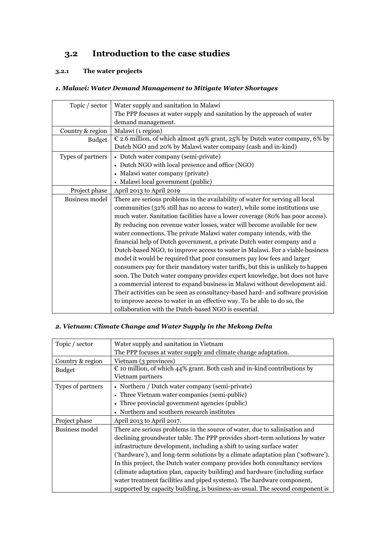## <span id="page-9-0"></span>**3.2 Introduction to the case studies**

#### <span id="page-9-1"></span>**3.2.1 The water projects**

#### *1. Malawi: Water Demand Management to Mitigate Water Shortages*

| Topic / sector        | Water supply and sanitation in Malawi                                           |
|-----------------------|---------------------------------------------------------------------------------|
|                       | The PPP focuses at water supply and sanitation by the approach of water         |
|                       | demand management.                                                              |
| Country & region      | Malawi (1 region)                                                               |
| <b>Budget</b>         | € 2.6 million, of which almost 49% grant, 25% by Dutch water company, 6% by     |
|                       | Dutch NGO and 20% by Malawi water company (cash and in-kind)                    |
| Types of partners     | • Dutch water company (semi-private)                                            |
|                       | • Dutch NGO with local presence and office (NGO)                                |
|                       | • Malawi water company (private)                                                |
|                       | • Malawi local government (public)                                              |
| Project phase         | April 2013 to April 2019                                                        |
| <b>Business model</b> | There are serious problems in the availability of water for serving all local   |
|                       | communities (32% still has no access to water), while some institutions use     |
|                       | much water. Sanitation facilities have a lower coverage (80% has poor access).  |
|                       | By reducing non revenue water losses, water will become available for new       |
|                       | water connections. The private Malawi water company intends, with the           |
|                       | financial help of Dutch government, a private Dutch water company and a         |
|                       | Dutch-based NGO, to improve access to water in Malawi. For a viable business    |
|                       | model it would be required that poor consumers pay low fees and larger          |
|                       | consumers pay for their mandatory water tariffs, but this is unlikely to happen |
|                       | soon. The Dutch water company provides expert knowledge, but does not have      |
|                       | a commercial interest to expand business in Malawi without development aid.     |
|                       | Their activities can be seen as consultancy-based hard- and software provision  |
|                       | to improve access to water in an effective way. To be able to do so, the        |
|                       | collaboration with the Dutch-based NGO is essential.                            |

### *2. Vietnam: Climate Change and Water Supply in the Mekong Delta*

| Topic / sector    | Water supply and sanitation in Vietnam                                            |
|-------------------|-----------------------------------------------------------------------------------|
|                   | The PPP focuses at water supply and climate change adaptation.                    |
| Country & region  | Vietnam (3 provinces)                                                             |
| Budget            | $\epsilon$ to million, of which 44% grant. Both cash and in-kind contributions by |
|                   | Vietnam partners                                                                  |
| Types of partners | • Northern / Dutch water company (semi-private)                                   |
|                   | • Three Vietnam water companies (semi-public)                                     |
|                   | • Three provincial government agencies (public)                                   |
|                   | • Northern and southern research institutes                                       |
| Project phase     | April 2013 to April 2017.                                                         |
| Business model    | There are serious problems in the source of water, due to salinisation and        |
|                   | declining groundwater table. The PPP provides short-term solutions by water       |
|                   | infrastructure development, including a shift to using surface water              |
|                   | ('hardware'), and long-term solutions by a climate adaptation plan ('software').  |
|                   | In this project, the Dutch water company provides both consultancy services       |
|                   | (climate adaptation plan, capacity building) and hardware (including surface      |
|                   | water treatment facilities and piped systems). The hardware component,            |
|                   | supported by capacity building, is business-as-usual. The second component is     |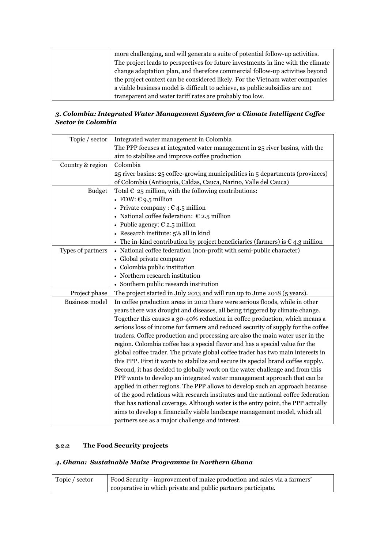| more challenging, and will generate a suite of potential follow-up activities.    |
|-----------------------------------------------------------------------------------|
| The project leads to perspectives for future investments in line with the climate |
| change adaptation plan, and therefore commercial follow-up activities beyond      |
| the project context can be considered likely. For the Vietnam water companies     |
| a viable business model is difficult to achieve, as public subsidies are not      |
| transparent and water tariff rates are probably too low.                          |

### *3. Colombia: Integrated Water Management System for a Climate Intelligent Coffee Sector in Colombia*

| Topic / sector        | Integrated water management in Colombia                                                 |
|-----------------------|-----------------------------------------------------------------------------------------|
|                       | The PPP focuses at integrated water management in 25 river basins, with the             |
|                       | aim to stabilise and improve coffee production                                          |
| Country & region      | Colombia                                                                                |
|                       | 25 river basins: 25 coffee-growing municipalities in 5 departments (provinces)          |
|                       | of Colombia (Antioquia, Caldas, Cauca, Narino, Valle del Cauca)                         |
| <b>Budget</b>         | Total $\epsilon$ 25 million, with the following contributions:                          |
|                       | • FDW: $C$ 9.5 million                                                                  |
|                       | • Private company : $\epsilon$ 4.5 million                                              |
|                       | • National coffee federation: $\epsilon$ 2.5 million                                    |
|                       | • Public agency: $\epsilon$ 2.5 million                                                 |
|                       | • Research institute: 5% all in kind                                                    |
|                       | • The in-kind contribution by project beneficiaries (farmers) is $\epsilon$ 4.3 million |
| Types of partners     | • National coffee federation (non-profit with semi-public character)                    |
|                       | • Global private company                                                                |
|                       | • Colombia public institution                                                           |
|                       | • Northern research institution                                                         |
|                       | • Southern public research institution                                                  |
| Project phase         | The project started in July 2013 and will run up to June 2018 (5 years).                |
| <b>Business model</b> | In coffee production areas in 2012 there were serious floods, while in other            |
|                       | years there was drought and diseases, all being triggered by climate change.            |
|                       | Together this causes a 30-40% reduction in coffee production, which means a             |
|                       | serious loss of income for farmers and reduced security of supply for the coffee        |
|                       | traders. Coffee production and processing are also the main water user in the           |
|                       | region. Colombia coffee has a special flavor and has a special value for the            |
|                       | global coffee trader. The private global coffee trader has two main interests in        |
|                       | this PPP. First it wants to stabilize and secure its special brand coffee supply.       |
|                       | Second, it has decided to globally work on the water challenge and from this            |
|                       | PPP wants to develop an integrated water management approach that can be                |
|                       | applied in other regions. The PPP allows to develop such an approach because            |
|                       | of the good relations with research institutes and the national coffee federation       |
|                       | that has national coverage. Although water is the entry point, the PPP actually         |
|                       | aims to develop a financially viable landscape management model, which all              |
|                       | partners see as a major challenge and interest.                                         |

#### <span id="page-10-0"></span>**3.2.2 The Food Security projects**

#### *4. Ghana: Sustainable Maize Programme in Northern Ghana*

| Topic / sector | Food Security - improvement of maize production and sales via a farmers' |
|----------------|--------------------------------------------------------------------------|
|                | cooperative in which private and public partners participate.            |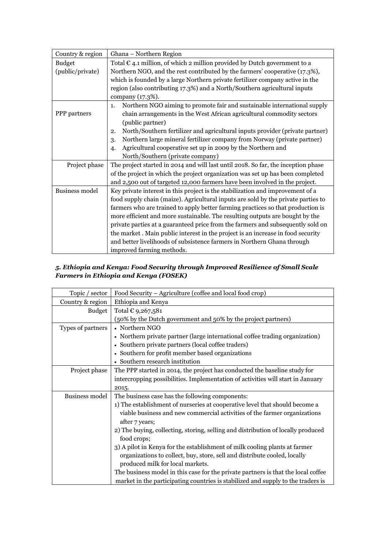| Country & region      | Ghana - Northern Region                                                            |
|-----------------------|------------------------------------------------------------------------------------|
| <b>Budget</b>         | Total $\epsilon$ 4.1 million, of which 2 million provided by Dutch government to a |
| (public/private)      | Northern NGO, and the rest contributed by the farmers' cooperative (17.3%),        |
|                       | which is founded by a large Northern private fertilizer company active in the      |
|                       | region (also contributing 17.3%) and a North/Southern agricultural inputs          |
|                       | company (17.3%).                                                                   |
|                       | Northern NGO aiming to promote fair and sustainable international supply<br>1.     |
| PPP partners          | chain arrangements in the West African agricultural commodity sectors              |
|                       | (public partner)                                                                   |
|                       | North/Southern fertilizer and agricultural inputs provider (private partner)<br>2. |
|                       | Northern large mineral fertilizer company from Norway (private partner)<br>3.      |
|                       | Agricultural cooperative set up in 2009 by the Northern and<br>$\overline{4}$      |
|                       | North/Southern (private company)                                                   |
| Project phase         | The project started in 2014 and will last until 2018. So far, the inception phase  |
|                       | of the project in which the project organization was set up has been completed     |
|                       | and 2,500 out of targeted 12,000 farmers have been involved in the project.        |
| <b>Business model</b> | Key private interest in this project is the stabilization and improvement of a     |
|                       | food supply chain (maize). Agricultural inputs are sold by the private parties to  |
|                       | farmers who are trained to apply better farming practices so that production is    |
|                       | more efficient and more sustainable. The resulting outputs are bought by the       |
|                       | private parties at a guaranteed price from the farmers and subsequently sold on    |
|                       | the market. Main public interest in the project is an increase in food security    |
|                       | and better livelihoods of subsistence farmers in Northern Ghana through            |
|                       | improved farming methods.                                                          |

#### *5. Ethiopia and Kenya: Food Security through Improved Resilience of Small Scale Farmers in Ethiopia and Kenya (FOSEK)*

| Topic / sector        | Food Security – Agriculture (coffee and local food crop)                          |
|-----------------------|-----------------------------------------------------------------------------------|
| Country & region      | Ethiopia and Kenya                                                                |
| <b>Budget</b>         | Total € 9,267,581                                                                 |
|                       | (50% by the Dutch government and 50% by the project partners)                     |
| Types of partners     | • Northern NGO                                                                    |
|                       | • Northern private partner (large international coffee trading organization)      |
|                       | • Southern private partners (local coffee traders)                                |
|                       | • Southern for profit member based organizations                                  |
|                       | • Southern research institution                                                   |
| Project phase         | The PPP started in 2014, the project has conducted the baseline study for         |
|                       | intercropping possibilities. Implementation of activities will start in January   |
|                       | 2015.                                                                             |
| <b>Business model</b> | The business case has the following components:                                   |
|                       | 1) The establishment of nurseries at cooperative level that should become a       |
|                       | viable business and new commercial activities of the farmer organizations         |
|                       | after 7 years;                                                                    |
|                       | 2) The buying, collecting, storing, selling and distribution of locally produced  |
|                       | food crops;                                                                       |
|                       | 3) A pilot in Kenya for the establishment of milk cooling plants at farmer        |
|                       | organizations to collect, buy, store, sell and distribute cooled, locally         |
|                       | produced milk for local markets.                                                  |
|                       | The business model in this case for the private partners is that the local coffee |
|                       | market in the participating countries is stabilized and supply to the traders is  |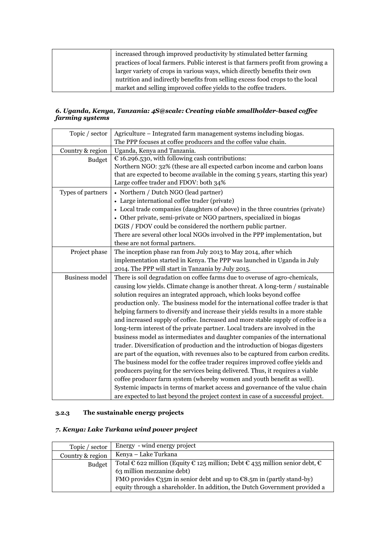| increased through improved productivity by stimulated better farming              |
|-----------------------------------------------------------------------------------|
| practices of local farmers. Public interest is that farmers profit from growing a |
| larger variety of crops in various ways, which directly benefits their own        |
| nutrition and indirectly benefits from selling excess food crops to the local     |
| market and selling improved coffee yields to the coffee traders.                  |

#### *6. Uganda, Kenya, Tanzania: 4S@scale: Creating viable smallholder-based coffee farming systems*

| Topic / sector        | Agriculture – Integrated farm management systems including biogas.               |
|-----------------------|----------------------------------------------------------------------------------|
|                       | The PPP focuses at coffee producers and the coffee value chain.                  |
| Country & region      | Uganda, Kenya and Tanzania.                                                      |
| <b>Budget</b>         | $E$ 16.296.530, with following cash contributions:                               |
|                       | Northern NGO: 32% (these are all expected carbon income and carbon loans         |
|                       | that are expected to become available in the coming 5 years, starting this year) |
|                       | Large coffee trader and FDOV: both 34%                                           |
| Types of partners     | • Northern / Dutch NGO (lead partner)                                            |
|                       | • Large international coffee trader (private)                                    |
|                       | • Local trade companies (daughters of above) in the three countries (private)    |
|                       | • Other private, semi-private or NGO partners, specialized in biogas             |
|                       | DGIS / FDOV could be considered the northern public partner.                     |
|                       | There are several other local NGOs involved in the PPP implementation, but       |
|                       | these are not formal partners.                                                   |
| Project phase         | The inception phase ran from July 2013 to May 2014, after which                  |
|                       | implementation started in Kenya. The PPP was launched in Uganda in July          |
|                       | 2014. The PPP will start in Tanzania by July 2015.                               |
| <b>Business model</b> | There is soil degradation on coffee farms due to overuse of agro-chemicals,      |
|                       | causing low yields. Climate change is another threat. A long-term / sustainable  |
|                       | solution requires an integrated approach, which looks beyond coffee              |
|                       | production only. The business model for the international coffee trader is that  |
|                       | helping farmers to diversify and increase their yields results in a more stable  |
|                       | and increased supply of coffee. Increased and more stable supply of coffee is a  |
|                       | long-term interest of the private partner. Local traders are involved in the     |
|                       | business model as intermediates and daughter companies of the international      |
|                       | trader. Diversification of production and the introduction of biogas digesters   |
|                       | are part of the equation, with revenues also to be captured from carbon credits. |
|                       | The business model for the coffee trader requires improved coffee yields and     |
|                       | producers paying for the services being delivered. Thus, it requires a viable    |
|                       | coffee producer farm system (whereby women and youth benefit as well).           |
|                       | Systemic impacts in terms of market access and governance of the value chain     |
|                       | are expected to last beyond the project context in case of a successful project. |

### <span id="page-12-0"></span>**3.2.3 The sustainable energy projects**

#### *7. Kenya: Lake Turkana wind power project*

| Topic / sector   | Energy - wind energy project                                                                    |
|------------------|-------------------------------------------------------------------------------------------------|
| Country & region | Kenya – Lake Turkana                                                                            |
| <b>Budget</b>    | Total € 622 million (Equity € 125 million; Debt € 435 million senior debt, €                    |
|                  | 63 million mezzanine debt)                                                                      |
|                  | FMO provides $\epsilon_{35}$ m in senior debt and up to $\epsilon_{8.5}$ m in (partly stand-by) |
|                  | equity through a shareholder. In addition, the Dutch Government provided a                      |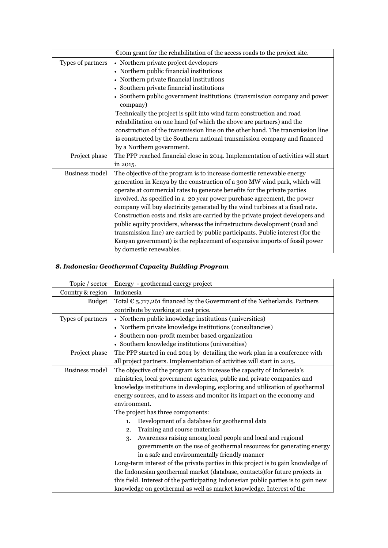|                       | $\epsilon$ com grant for the rehabilitation of the access roads to the project site. |
|-----------------------|--------------------------------------------------------------------------------------|
| Types of partners     | • Northern private project developers                                                |
|                       | • Northern public financial institutions                                             |
|                       | • Northern private financial institutions                                            |
|                       | • Southern private financial institutions                                            |
|                       | • Southern public government institutions (transmission company and power            |
|                       | company)                                                                             |
|                       | Technically the project is split into wind farm construction and road                |
|                       | rehabilitation on one hand (of which the above are partners) and the                 |
|                       | construction of the transmission line on the other hand. The transmission line       |
|                       | is constructed by the Southern national transmission company and financed            |
|                       | by a Northern government.                                                            |
| Project phase         | The PPP reached financial close in 2014. Implementation of activities will start     |
|                       | in 2015.                                                                             |
| <b>Business model</b> | The objective of the program is to increase domestic renewable energy                |
|                       | generation in Kenya by the construction of a 300 MW wind park, which will            |
|                       | operate at commercial rates to generate benefits for the private parties             |
|                       | involved. As specified in a 20 year power purchase agreement, the power              |
|                       | company will buy electricity generated by the wind turbines at a fixed rate.         |
|                       | Construction costs and risks are carried by the private project developers and       |
|                       | public equity providers, whereas the infrastructure development (road and            |
|                       | transmission line) are carried by public participants. Public interest (for the      |
|                       | Kenyan government) is the replacement of expensive imports of fossil power           |
|                       | by domestic renewables.                                                              |

### *8. Indonesia: Geothermal Capacity Building Program*

| Topic / sector    | Energy - geothermal energy project                                                 |  |  |  |
|-------------------|------------------------------------------------------------------------------------|--|--|--|
| Country & region  | Indonesia                                                                          |  |  |  |
| <b>Budget</b>     | Total $\epsilon$ 5,717,261 financed by the Government of the Netherlands. Partners |  |  |  |
|                   | contribute by working at cost price.                                               |  |  |  |
| Types of partners | • Northern public knowledge institutions (universities)                            |  |  |  |
|                   | • Northern private knowledge institutions (consultancies)                          |  |  |  |
|                   | • Southern non-profit member based organization                                    |  |  |  |
|                   | • Southern knowledge institutions (universities)                                   |  |  |  |
| Project phase     | The PPP started in end 2014 by detailing the work plan in a conference with        |  |  |  |
|                   | all project partners. Implementation of activities will start in 2015.             |  |  |  |
| Business model    | The objective of the program is to increase the capacity of Indonesia's            |  |  |  |
|                   | ministries, local government agencies, public and private companies and            |  |  |  |
|                   | knowledge institutions in developing, exploring and utilization of geothermal      |  |  |  |
|                   | energy sources, and to assess and monitor its impact on the economy and            |  |  |  |
|                   | environment.                                                                       |  |  |  |
|                   | The project has three components:                                                  |  |  |  |
|                   | Development of a database for geothermal data<br>1.                                |  |  |  |
|                   | Training and course materials<br>2.                                                |  |  |  |
|                   | Awareness raising among local people and local and regional<br>3.                  |  |  |  |
|                   | governments on the use of geothermal resources for generating energy               |  |  |  |
|                   | in a safe and environmentally friendly manner                                      |  |  |  |
|                   | Long-term interest of the private parties in this project is to gain knowledge of  |  |  |  |
|                   | the Indonesian geothermal market (database, contacts) for future projects in       |  |  |  |
|                   | this field. Interest of the participating Indonesian public parties is to gain new |  |  |  |
|                   | knowledge on geothermal as well as market knowledge. Interest of the               |  |  |  |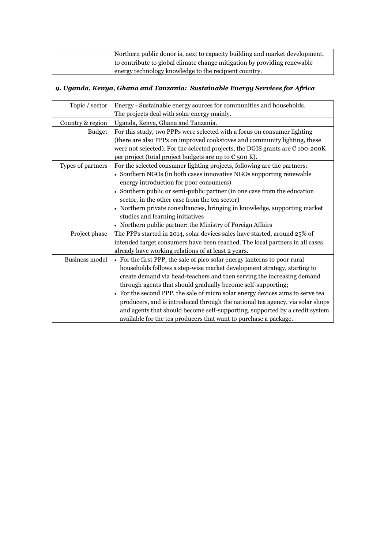| Northern public donor is, next to capacity building and market development, |
|-----------------------------------------------------------------------------|
| to contribute to global climate change mitigation by providing renewable    |
| energy technology knowledge to the recipient country.                       |

### *9. Uganda, Kenya, Ghana and Tanzania: Sustainable Energy Services for Africa*

| Topic / sector        | Energy - Sustainable energy sources for communities and households.                    |
|-----------------------|----------------------------------------------------------------------------------------|
|                       | The projects deal with solar energy mainly.                                            |
| Country & region      | Uganda, Kenya, Ghana and Tanzania.                                                     |
| <b>Budget</b>         | For this study, two PPPs were selected with a focus on consumer lighting               |
|                       | (there are also PPPs on improved cookstoves and community lighting, these              |
|                       | were not selected). For the selected projects, the DGIS grants are $\epsilon$ 100-200K |
|                       | per project (total project budgets are up to $\epsilon$ 500 K).                        |
| Types of partners     | For the selected consumer lighting projects, following are the partners:               |
|                       | • Southern NGOs (in both cases innovative NGOs supporting renewable                    |
|                       | energy introduction for poor consumers)                                                |
|                       | • Southern public or semi-public partner (in one case from the education               |
|                       | sector, in the other case from the tea sector)                                         |
|                       | • Northern private consultancies, bringing in knowledge, supporting market             |
|                       | studies and learning initiatives                                                       |
|                       | • Northern public partner: the Ministry of Foreign Affairs                             |
| Project phase         | The PPPs started in 2014, solar devices sales have started, around 25% of              |
|                       | intended target consumers have been reached. The local partners in all cases           |
|                       | already have working relations of at least 2 years.                                    |
| <b>Business model</b> | • For the first PPP, the sale of pico solar energy lanterns to poor rural              |
|                       | households follows a step-wise market development strategy, starting to                |
|                       | create demand via head-teachers and then serving the increasing demand                 |
|                       | through agents that should gradually become self-supporting;                           |
|                       | • For the second PPP, the sale of micro solar energy devices aims to serve tea         |
|                       | producers, and is introduced through the national tea agency, via solar shops          |
|                       | and agents that should become self-supporting, supported by a credit system            |
|                       | available for the tea producers that want to purchase a package.                       |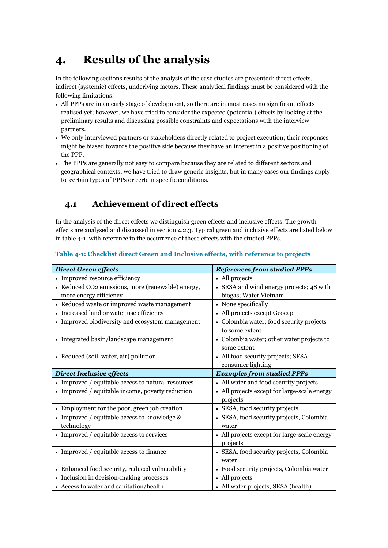## <span id="page-15-0"></span>**4. Results of the analysis**

In the following sections results of the analysis of the case studies are presented: direct effects, indirect (systemic) effects, underlying factors. These analytical findings must be considered with the following limitations:

- All PPPs are in an early stage of development, so there are in most cases no significant effects realised yet; however, we have tried to consider the expected (potential) effects by looking at the preliminary results and discussing possible constraints and expectations with the interview partners.
- We only interviewed partners or stakeholders directly related to project execution; their responses might be biased towards the positive side because they have an interest in a positive positioning of the PPP.
- The PPPs are generally not easy to compare because they are related to different sectors and geographical contexts; we have tried to draw generic insights, but in many cases our findings apply to certain types of PPPs or certain specific conditions.

## <span id="page-15-1"></span>**4.1 Achievement of direct effects**

In the analysis of the direct effects we distinguish green effects and inclusive effects. The growth effects are analysed and discussed in section 4.2.3. Typical green and inclusive effects are listed below in table 4-1, with reference to the occurrence of these effects with the studied PPPs.

|  |  |  |  | Table 4-1: Checklist direct Green and Inclusive effects, with reference to projects |  |
|--|--|--|--|-------------------------------------------------------------------------------------|--|
|  |  |  |  |                                                                                     |  |

| <b>Direct Green effects</b>                                | <b>References from studied PPPs</b>                        |
|------------------------------------------------------------|------------------------------------------------------------|
| • Improved resource efficiency                             | • All projects                                             |
| • Reduced CO2 emissions, more (renewable) energy,          | • SESA and wind energy projects; 4S with                   |
| more energy efficiency                                     | biogas; Water Vietnam                                      |
| • Reduced waste or improved waste management               | • None specifically                                        |
| • Increased land or water use efficiency                   | • All projects except Geocap                               |
| • Improved biodiversity and ecosystem management           | • Colombia water; food security projects<br>to some extent |
| • Integrated basin/landscape management                    | • Colombia water; other water projects to<br>some extent   |
| • Reduced (soil, water, air) pollution                     | • All food security projects; SESA<br>consumer lighting    |
| <b>Direct Inclusive effects</b>                            | <b>Examples from studied PPPs</b>                          |
| • Improved / equitable access to natural resources         | • All water and food security projects                     |
| • Improved / equitable income, poverty reduction           | • All projects except for large-scale energy<br>projects   |
| • Employment for the poor, green job creation              | • SESA, food security projects                             |
| • Improved / equitable access to knowledge &<br>technology | • SESA, food security projects, Colombia<br>water          |
| • Improved / equitable access to services                  | • All projects except for large-scale energy<br>projects   |
| • Improved / equitable access to finance                   | • SESA, food security projects, Colombia<br>water          |
| • Enhanced food security, reduced vulnerability            | • Food security projects, Colombia water                   |
| • Inclusion in decision-making processes                   | • All projects                                             |
| • Access to water and sanitation/health                    | • All water projects; SESA (health)                        |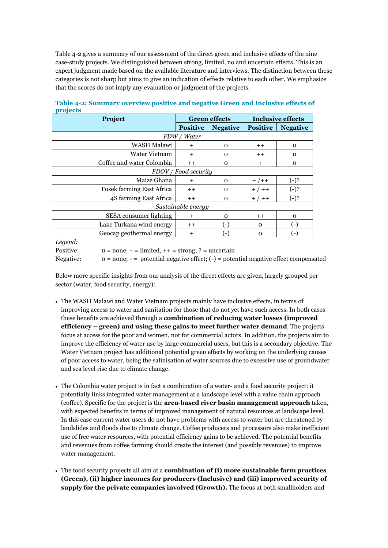Table 4-2 gives a summary of our assessment of the direct green and inclusive effects of the nine case-study projects. We distinguished between strong, limited, no and uncertain effects. This is an expert judgment made based on the available literature and interviews. The distinction between these categories is not sharp but aims to give an indication of effects relative to each other. We emphasize that the scores do not imply any evaluation or judgment of the projects.

| Project                          |                 | <b>Green effects</b> | Inclusive effects |                 |  |
|----------------------------------|-----------------|----------------------|-------------------|-----------------|--|
|                                  | <b>Positive</b> | <b>Negative</b>      | <b>Positive</b>   | <b>Negative</b> |  |
|                                  | FDW / Water     |                      |                   |                 |  |
| WASH Malawi                      | $\ddot{}$       | $\mathbf 0$          | $^+$              | $\mathbf 0$     |  |
| <b>Water Vietnam</b>             | $^{+}$          | $\Omega$             | $++$              | $\Omega$        |  |
| Coffee and water Colombia        | $++$            | $\mathbf 0$          | $\ddot{}$         | 0               |  |
| FDOV / Food security             |                 |                      |                   |                 |  |
| Maize Ghana                      | $^{+}$          | $\Omega$             | $+$ /++           | $(-)$ ?         |  |
| <b>Fosek farming East Africa</b> | $++$            | $\Omega$             | $+ / + +$         | $(-).$          |  |
| 4S farming East Africa           | $++$            | $\Omega$             | $+ / + +$         | $(-)$ ?         |  |
| Sustainable energy               |                 |                      |                   |                 |  |
| SESA consumer lighting           | $^{+}$          | $\Omega$             | $^+$              | $\Omega$        |  |
| Lake Turkana wind energy         | $++$            | (-)                  | $\Omega$          | F               |  |
| Geocap geothermal energy         | $\pm$           | (−`                  | $\Omega$          | ۰,              |  |

**Table 4-2: Summary overview positive and negative Green and Inclusive effects of projects**

*Legend:*

Positive:  $o = none, + = limited, ++ = strong; ? = uncertain$ 

Negative:  $o = none$ ; -  $=$  potential negative effect; (-)  $=$  potential negative effect compensated

Below more specific insights from our analysis of the direct effects are given, largely grouped per sector (water, food security, energy):

- The WASH Malawi and Water Vietnam projects mainly have inclusive effects, in terms of improving access to water and sanitation for those that do not yet have such access. In both cases these benefits are achieved through a **combination of reducing water losses (improved efficiency – green) and using these gains to meet further water demand**. The projects focus at access for the poor and women, not for commercial actors. In addition, the projects aim to improve the efficiency of water use by large commercial users, but this is a secondary objective. The Water Vietnam project has additional potential green effects by working on the underlying causes of poor access to water, being the salinisation of water sources due to excessive use of groundwater and sea level rise due to climate change.
- The Colombia water project is in fact a combination of a water- and a food security project: it potentially links integrated water management at a landscape level with a value chain approach (coffee). Specific for the project is the **area-based river basin management approach** taken, with expected benefits in terms of improved management of natural resources at landscape level. In this case current water users do not have problems with access to water but are threatened by landslides and floods due to climate change. Coffee producers and processors also make inefficient use of free water resources, with potential efficiency gains to be achieved. The potential benefits and revenues from coffee farming should create the interest (and possibly revenues) to improve water management.
- The food security projects all aim at a **combination of (i) more sustainable farm practices (Green), (ii) higher incomes for producers (Inclusive) and (iii) improved security of supply for the private companies involved (Growth).** The focus at both smallholders and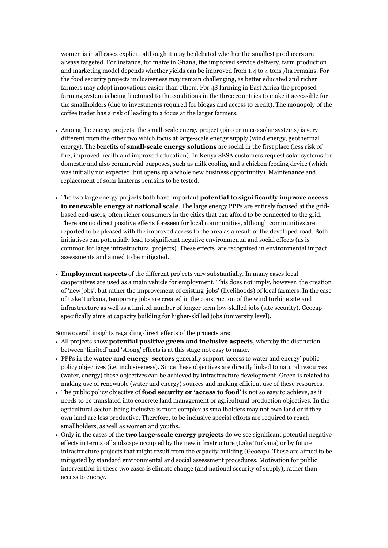women is in all cases explicit, although it may be debated whether the smallest producers are always targeted. For instance, for maize in Ghana, the improved service delivery, farm production and marketing model depends whether yields can be improved from 1.4 to 4 tons /ha remains. For the food security projects inclusiveness may remain challenging, as better educated and richer farmers may adopt innovations easier than others. For 4S farming in East Africa the proposed farming system is being finetuned to the conditions in the three countries to make it accessible for the smallholders (due to investments required for biogas and access to credit). The monopoly of the coffee trader has a risk of leading to a focus at the larger farmers.

- Among the energy projects, the small-scale energy project (pico or micro solar systems) is very different from the other two which focus at large-scale energy supply (wind energy, geothermal energy). The benefits of **small-scale energy solutions** are social in the first place (less risk of fire, improved health and improved education). In Kenya SESA customers request solar systems for domestic and also commercial purposes, such as milk cooling and a chicken feeding device (which was initially not expected, but opens up a whole new business opportunity). Maintenance and replacement of solar lanterns remains to be tested.
- The two large energy projects both have important **potential to significantly improve access to renewable energy at national scale**. The large energy PPPs are entirely focused at the gridbased end-users, often richer consumers in the cities that can afford to be connected to the grid. There are no direct positive effects foreseen for local communities, although communities are reported to be pleased with the improved access to the area as a result of the developed road. Both initiatives can potentially lead to significant negative environmental and social effects (as is common for large infrastructural projects). These effects are recognized in environmental impact assessments and aimed to be mitigated.
- **Employment aspects** of the different projects vary substantially. In many cases local cooperatives are used as a main vehicle for employment. This does not imply, however, the creation of 'new jobs', but rather the improvement of existing 'jobs' (livelihoods) of local farmers. In the case of Lake Turkana, temporary jobs are created in the construction of the wind turbine site and infrastructure as well as a limited number of longer term low-skilled jobs (site security). Geocap specifically aims at capacity building for higher-skilled jobs (university level).

Some overall insights regarding direct effects of the projects are:

- All projects show **potential positive green and inclusive aspects**, whereby the distinction between 'limited' and 'strong' effects is at this stage not easy to make.
- PPPs in the **water and energy sectors** generally support 'access to water and energy' public policy objectives (i.e. inclusiveness). Since these objectives are directly linked to natural resources (water, energy) these objectives can be achieved by infrastructure development. Green is related to making use of renewable (water and energy) sources and making efficient use of these resources.
- The public policy objective of **food security or 'access to food'** is not so easy to achieve, as it needs to be translated into concrete land management or agricultural production objectives. In the agricultural sector, being inclusive is more complex as smallholders may not own land or if they own land are less productive. Therefore, to be inclusive special efforts are required to reach smallholders, as well as women and youths.
- Only in the cases of the **two large-scale energy projects** do we see significant potential negative effects in terms of landscape occupied by the new infrastructure (Lake Turkana) or by future infrastructure projects that might result from the capacity building (Geocap). These are aimed to be mitigated by standard environmental and social assessment procedures. Motivation for public intervention in these two cases is climate change (and national security of supply), rather than access to energy.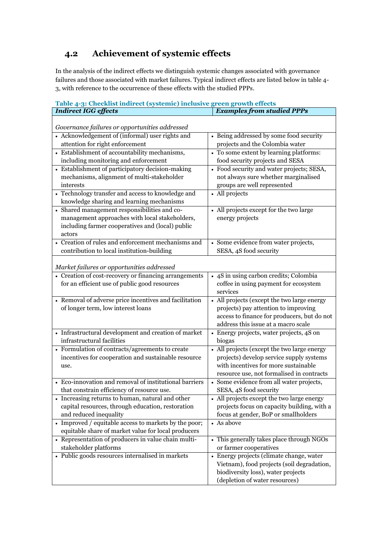## <span id="page-18-0"></span>**4.2 Achievement of systemic effects**

In the analysis of the indirect effects we distinguish systemic changes associated with governance failures and those associated with market failures. Typical indirect effects are listed below in table 4- 3, with reference to the occurrence of these effects with the studied PPPs.

| Table 4-3: Checklist indirect (systemic) inclusive green growth effects                        |                                                                      |
|------------------------------------------------------------------------------------------------|----------------------------------------------------------------------|
| <b>Indirect IGG effects</b>                                                                    | <b>Examples from studied PPPs</b>                                    |
| Governance failures or opportunities addressed                                                 |                                                                      |
| • Acknowledgement of (informal) user rights and                                                | • Being addressed by some food security                              |
| attention for right enforcement                                                                | projects and the Colombia water                                      |
| • Establishment of accountability mechanisms,                                                  | • To some extent by learning platforms:                              |
| including monitoring and enforcement                                                           | food security projects and SESA                                      |
| • Establishment of participatory decision-making                                               | • Food security and water projects; SESA,                            |
| mechanisms, alignment of multi-stakeholder                                                     | not always sure whether marginalised                                 |
| interests                                                                                      | groups are well represented                                          |
| • Technology transfer and access to knowledge and                                              | • All projects                                                       |
| knowledge sharing and learning mechanisms                                                      |                                                                      |
| • Shared management responsibilities and co-                                                   | • All projects except for the two large                              |
| management approaches with local stakeholders,                                                 | energy projects                                                      |
| including farmer cooperatives and (local) public                                               |                                                                      |
| actors                                                                                         |                                                                      |
| • Creation of rules and enforcement mechanisms and                                             | • Some evidence from water projects,                                 |
| contribution to local institution-building                                                     | SESA, 4S food security                                               |
| Market failures or opportunities addressed                                                     |                                                                      |
| • Creation of cost-recovery or financing arrangements                                          | • 4S in using carbon credits; Colombia                               |
| for an efficient use of public good resources                                                  | coffee in using payment for ecosystem                                |
|                                                                                                | services                                                             |
| • Removal of adverse price incentives and facilitation                                         | • All projects (except the two large energy                          |
| of longer term, low interest loans                                                             | projects) pay attention to improving                                 |
|                                                                                                | access to finance for producers, but do not                          |
|                                                                                                | address this issue at a macro scale                                  |
| • Infrastructural development and creation of market                                           | • Energy projects, water projects, 4S on                             |
| infrastructural facilities                                                                     | biogas                                                               |
| • Formulation of contracts/agreements to create                                                | • All projects (except the two large energy                          |
| incentives for cooperation and sustainable resource                                            | projects) develop service supply systems                             |
| use.                                                                                           | with incentives for more sustainable                                 |
| • Eco-innovation and removal of institutional barriers                                         | resource use, not formalised in contracts                            |
|                                                                                                | • Some evidence from all water projects,                             |
| that constrain efficiency of resource use.<br>• Increasing returns to human, natural and other | SESA, 4S food security<br>• All projects except the two large energy |
| capital resources, through education, restoration                                              | projects focus on capacity building, with a                          |
| and reduced inequality                                                                         | focus at gender, BoP or smallholders                                 |
| • Improved / equitable access to markets by the poor;                                          | • As above                                                           |
| equitable share of market value for local producers                                            |                                                                      |
| • Representation of producers in value chain multi-                                            | • This generally takes place through NGOs                            |
| stakeholder platforms                                                                          | or farmer cooperatives                                               |
| • Public goods resources internalised in markets                                               | • Energy projects (climate change, water                             |
|                                                                                                | Vietnam), food projects (soil degradation,                           |
|                                                                                                | biodiversity loss), water projects                                   |
|                                                                                                | (depletion of water resources)                                       |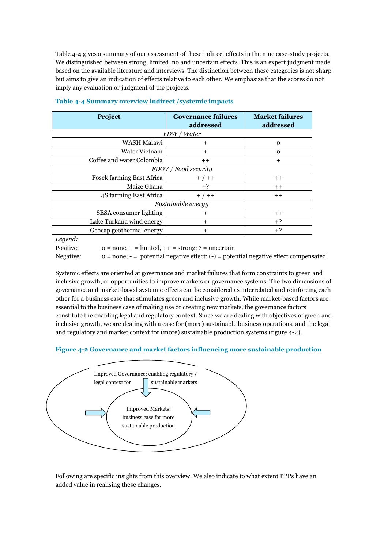Table 4-4 gives a summary of our assessment of these indirect effects in the nine case-study projects. We distinguished between strong, limited, no and uncertain effects. This is an expert judgment made based on the available literature and interviews. The distinction between these categories is not sharp but aims to give an indication of effects relative to each other. We emphasize that the scores do not imply any evaluation or judgment of the projects.

| Project                          | <b>Governance failures</b><br>addressed | <b>Market failures</b><br>addressed |  |  |  |
|----------------------------------|-----------------------------------------|-------------------------------------|--|--|--|
|                                  | FDW / Water                             |                                     |  |  |  |
| WASH Malawi                      | $+$                                     | 0                                   |  |  |  |
| <b>Water Vietnam</b>             | $\ddot{}$                               | 0                                   |  |  |  |
| Coffee and water Colombia        | $^+$                                    | $\,^+$                              |  |  |  |
|                                  | FDOV / Food security                    |                                     |  |  |  |
| <b>Fosek farming East Africa</b> | $+ / + +$                               | $^+$                                |  |  |  |
| Maize Ghana                      | $+?$                                    | $^+$                                |  |  |  |
| 4S farming East Africa           | $+$ / $++$                              | $^+$                                |  |  |  |
| Sustainable energy               |                                         |                                     |  |  |  |
| SESA consumer lighting           | $\,^+$                                  | $^+$                                |  |  |  |
| Lake Turkana wind energy         | $+$                                     | $+3$                                |  |  |  |
| Geocap geothermal energy         | $\ddot{}$                               | $+3$                                |  |  |  |

#### **Table 4-4 Summary overview indirect /systemic impacts**

*Legend:*

Positive:  $0 = none, + = limited, ++ = strong; ? = uncertain$ 

Negative: 0 = none; - = potential negative effect; (-) = potential negative effect compensated

Systemic effects are oriented at governance and market failures that form constraints to green and inclusive growth, or opportunities to improve markets or governance systems. The two dimensions of governance and market-based systemic effects can be considered as interrelated and reinforcing each other for a business case that stimulates green and inclusive growth. While market-based factors are essential to the business case of making use or creating new markets, the governance factors constitute the enabling legal and regulatory context. Since we are dealing with objectives of green and inclusive growth, we are dealing with a case for (more) sustainable business operations, and the legal and regulatory and market context for (more) sustainable production systems (figure 4-2).

#### **Figure 4-2 Governance and market factors influencing more sustainable production**



Following are specific insights from this overview. We also indicate to what extent PPPs have an added value in realising these changes.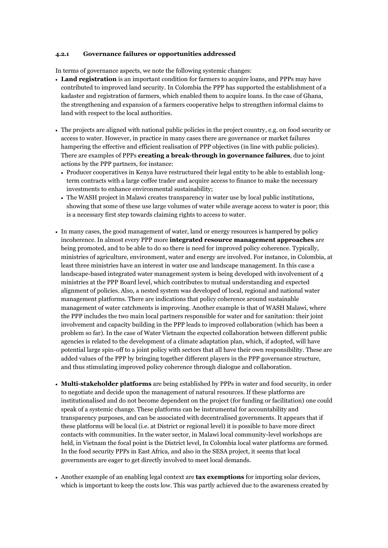#### <span id="page-20-0"></span>**4.2.1 Governance failures or opportunities addressed**

In terms of governance aspects, we note the following systemic changes:

- **Land registration** is an important condition for farmers to acquire loans, and PPPs may have contributed to improved land security. In Colombia the PPP has supported the establishment of a kadaster and registration of farmers, which enabled them to acquire loans. In the case of Ghana, the strengthening and expansion of a farmers cooperative helps to strengthen informal claims to land with respect to the local authorities.
- The projects are aligned with national public policies in the project country, e.g. on food security or access to water. However, in practice in many cases there are governance or market failures hampering the effective and efficient realisation of PPP objectives (in line with public policies). There are examples of PPPs **creating a break-through in governance failures**, due to joint actions by the PPP partners, for instance:
	- Producer cooperatives in Kenya have restructured their legal entity to be able to establish longterm contracts with a large coffee trader and acquire access to finance to make the necessary investments to enhance environmental sustainability;
	- The WASH project in Malawi creates transparency in water use by local public institutions, showing that some of these use large volumes of water while average access to water is poor; this is a necessary first step towards claiming rights to access to water.
- In many cases, the good management of water, land or energy resources is hampered by policy incoherence. In almost every PPP more **integrated resource management approaches** are being promoted, and to be able to do so there is need for improved policy coherence. Typically, ministries of agriculture, environment, water and energy are involved. For instance, in Colombia, at least three ministries have an interest in water use and landscape management. In this case a landscape-based integrated water management system is being developed with involvement of 4 ministries at the PPP Board level, which contributes to mutual understanding and expected alignment of policies. Also, a nested system was developed of local, regional and national water management platforms. There are indications that policy coherence around sustainable management of water catchments is improving. Another example is that of WASH Malawi, where the PPP includes the two main local partners responsible for water and for sanitation: their joint involvement and capacity building in the PPP leads to improved collaboration (which has been a problem so far). In the case of Water Vietnam the expected collaboration between different public agencies is related to the development of a climate adaptation plan, which, if adopted, will have potential large spin-off to a joint policy with sectors that all have their own responsibility. These are added values of the PPP by bringing together different players in the PPP governance structure, and thus stimulating improved policy coherence through dialogue and collaboration.
- **Multi-stakeholder platforms** are being established by PPPs in water and food security, in order to negotiate and decide upon the management of natural resources. If these platforms are institutionalised and do not become dependent on the project (for funding or facilitation) one could speak of a systemic change. These platforms can be instrumental for accountability and transparency purposes, and can be associated with decentralised governments. It appears that if these platforms will be local (i.e. at District or regional level) it is possible to have more direct contacts with communities. In the water sector, in Malawi local community-level workshops are held, in Vietnam the focal point is the District level, In Colombia local water platforms are formed. In the food security PPPs in East Africa, and also in the SESA project, it seems that local governments are eager to get directly involved to meet local demands.
- Another example of an enabling legal context are **tax exemptions** for importing solar devices, which is important to keep the costs low. This was partly achieved due to the awareness created by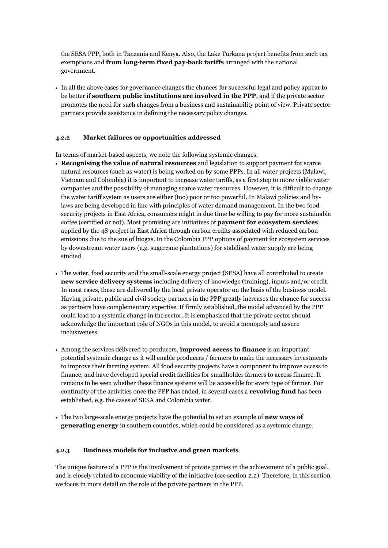the SESA PPP, both in Tanzania and Kenya. Also, the Lake Turkana project benefits from such tax exemptions and **from long-term fixed pay-back tariffs** arranged with the national government.

 In all the above cases for governance changes the chances for successful legal and policy appear to be better if **southern public institutions are involved in the PPP**, and if the private sector promotes the need for such changes from a business and sustainability point of view. Private sector partners provide assistance in defining the necessary policy changes.

#### <span id="page-21-0"></span>**4.2.2 Market failures or opportunities addressed**

In terms of market-based aspects, we note the following systemic changes:

- **Recognising the value of natural resources** and legislation to support payment for scarce natural resources (such as water) is being worked on by some PPPs. In all water projects (Malawi, Vietnam and Colombia) it is important to increase water tariffs, as a first step to more viable water companies and the possibility of managing scarce water resources. However, it is difficult to change the water tariff system as users are either (too) poor or too powerful. In Malawi policies and bylaws are being developed in line with principles of water demand management. In the two food security projects in East Africa, consumers might in due time be willing to pay for more sustainable coffee (certified or not). Most promising are initiatives of **payment for ecosystem services**, applied by the 4S project in East Africa through carbon credits associated with reduced carbon emissions due to the sue of biogas. In the Colombia PPP options of payment for ecosystem services by downstream water users (e.g. sugarcane plantations) for stabilised water supply are being studied.
- The water, food security and the small-scale energy project (SESA) have all contributed to create **new service delivery systems** including delivery of knowledge (training), inputs and/or credit. In most cases, these are delivered by the local private operator on the basis of the business model. Having private, public and civil society partners in the PPP greatly increases the chance for success as partners have complementary expertise. If firmly established, the model advanced by the PPP could lead to a systemic change in the sector. It is emphasised that the private sector should acknowledge the important role of NGOs in this model, to avoid a monopoly and assure inclusiveness.
- Among the services delivered to producers, **improved access to finance** is an important potential systemic change as it will enable producers / farmers to make the necessary investments to improve their farming system. All food security projects have a component to improve access to finance, and have developed special credit facilities for smallholder farmers to access finance. It remains to be seen whether these finance systems will be accessible for every type of farmer. For continuity of the activities once the PPP has ended, in several cases a **revolving fund** has been established, e.g. the cases of SESA and Colombia water.
- The two large-scale energy projects have the potential to set an example of **new ways of generating energy** in southern countries, which could be considered as a systemic change.

#### <span id="page-21-1"></span>**4.2.3 Business models for inclusive and green markets**

The unique feature of a PPP is the involvement of private parties in the achievement of a public goal, and is closely related to economic viability of the initiative (see section 2.2). Therefore, in this section we focus in more detail on the role of the private partners in the PPP.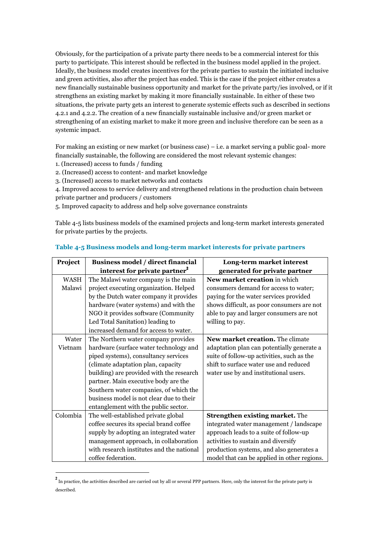Obviously, for the participation of a private party there needs to be a commercial interest for this party to participate. This interest should be reflected in the business model applied in the project. Ideally, the business model creates incentives for the private parties to sustain the initiated inclusive and green activities, also after the project has ended. This is the case if the project either creates a new financially sustainable business opportunity and market for the private party/ies involved, or if it strengthens an existing market by making it more financially sustainable. In either of these two situations, the private party gets an interest to generate systemic effects such as described in sections 4.2.1 and 4.2.2. The creation of a new financially sustainable inclusive and/or green market or strengthening of an existing market to make it more green and inclusive therefore can be seen as a systemic impact.

For making an existing or new market (or business case) – i.e. a market serving a public goal- more financially sustainable, the following are considered the most relevant systemic changes:

1. (Increased) access to funds / funding

<u>.</u>

- 2. (Increased) access to content- and market knowledge
- 3. (Increased) access to market networks and contacts

4. Improved access to service delivery and strengthened relations in the production chain between private partner and producers / customers

5. Improved capacity to address and help solve governance constraints

Table 4-5 lists business models of the examined projects and long-term market interests generated for private parties by the projects.

| Project     | <b>Business model / direct financial</b>  | Long-term market interest                   |
|-------------|-------------------------------------------|---------------------------------------------|
|             | interest for private partner <sup>2</sup> | generated for private partner               |
| <b>WASH</b> | The Malawi water company is the main      | New market creation in which                |
| Malawi      | project executing organization. Helped    | consumers demand for access to water;       |
|             | by the Dutch water company it provides    | paying for the water services provided      |
|             | hardware (water systems) and with the     | shows difficult, as poor consumers are not  |
|             | NGO it provides software (Community       | able to pay and larger consumers are not    |
|             | Led Total Sanitation) leading to          | willing to pay.                             |
|             | increased demand for access to water.     |                                             |
| Water       | The Northern water company provides       | New market creation. The climate            |
| Vietnam     | hardware (surface water technology and    | adaptation plan can potentially generate a  |
|             | piped systems), consultancy services      | suite of follow-up activities, such as the  |
|             | (climate adaptation plan, capacity        | shift to surface water use and reduced      |
|             | building) are provided with the research  | water use by and institutional users.       |
|             | partner. Main executive body are the      |                                             |
|             | Southern water companies, of which the    |                                             |
|             | business model is not clear due to their  |                                             |
|             | entanglement with the public sector.      |                                             |
| Colombia    | The well-established private global       | <b>Strengthen existing market.</b> The      |
|             | coffee secures its special brand coffee   | integrated water management / landscape     |
|             | supply by adopting an integrated water    | approach leads to a suite of follow-up      |
|             | management approach, in collaboration     | activities to sustain and diversify         |
|             | with research institutes and the national | production systems, and also generates a    |
|             | coffee federation.                        | model that can be applied in other regions. |

#### **Table 4-5 Business models and long-term market interests for private partners**

 $^2$  In practice, the activities described are carried out by all or several PPP partners. Here, only the interest for the private party is described.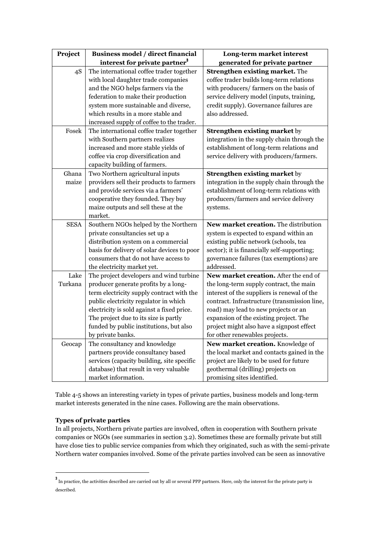| Project     | Business model / direct financial<br>interest for private partner <sup>3</sup> | Long-term market interest<br>generated for private partner |
|-------------|--------------------------------------------------------------------------------|------------------------------------------------------------|
| 4S          | The international coffee trader together                                       | Strengthen existing market. The                            |
|             | with local daughter trade companies                                            | coffee trader builds long-term relations                   |
|             | and the NGO helps farmers via the                                              | with producers/ farmers on the basis of                    |
|             | federation to make their production                                            | service delivery model (inputs, training,                  |
|             | system more sustainable and diverse,                                           | credit supply). Governance failures are                    |
|             | which results in a more stable and                                             | also addressed.                                            |
|             | increased supply of coffee to the trader.                                      |                                                            |
| Fosek       | The international coffee trader together                                       | <b>Strengthen existing market by</b>                       |
|             | with Southern partners realizes                                                | integration in the supply chain through the                |
|             | increased and more stable yields of                                            | establishment of long-term relations and                   |
|             | coffee via crop diversification and                                            | service delivery with producers/farmers.                   |
|             | capacity building of farmers.                                                  |                                                            |
| Ghana       | Two Northern agricultural inputs                                               | <b>Strengthen existing market by</b>                       |
| maize       | providers sell their products to farmers                                       | integration in the supply chain through the                |
|             | and provide services via a farmers'                                            | establishment of long-term relations with                  |
|             | cooperative they founded. They buy                                             | producers/farmers and service delivery                     |
|             | maize outputs and sell these at the                                            | systems.                                                   |
|             | market.                                                                        |                                                            |
| <b>SESA</b> | Southern NGOs helped by the Northern                                           | New market creation. The distribution                      |
|             | private consultancies set up a                                                 | system is expected to expand within an                     |
|             | distribution system on a commercial                                            | existing public network (schools, tea                      |
|             | basis for delivery of solar devices to poor                                    | sector); it is financially self-supporting;                |
|             | consumers that do not have access to                                           | governance failures (tax exemptions) are                   |
|             | the electricity market yet.                                                    | addressed.                                                 |
| Lake        | The project developers and wind turbine                                        | New market creation. After the end of                      |
| Turkana     | producer generate profits by a long-                                           | the long-term supply contract, the main                    |
|             | term electricity supply contract with the                                      | interest of the suppliers is renewal of the                |
|             | public electricity regulator in which                                          | contract. Infrastructure (transmission line,               |
|             | electricity is sold against a fixed price.                                     | road) may lead to new projects or an                       |
|             | The project due to its size is partly                                          | expansion of the existing project. The                     |
|             | funded by public institutions, but also                                        | project might also have a signpost effect                  |
|             | by private banks.                                                              | for other renewables projects.                             |
| Geocap      | The consultancy and knowledge                                                  | New market creation. Knowledge of                          |
|             | partners provide consultancy based                                             | the local market and contacts gained in the                |
|             | services (capacity building, site specific                                     | project are likely to be used for future                   |
|             | database) that result in very valuable                                         | geothermal (drilling) projects on                          |
|             | market information.                                                            | promising sites identified.                                |

Table 4-5 shows an interesting variety in types of private parties, business models and long-term market interests generated in the nine cases. Following are the main observations.

#### **Types of private parties**

<u>.</u>

In all projects, Northern private parties are involved, often in cooperation with Southern private companies or NGOs (see summaries in section 3.2). Sometimes these are formally private but still have close ties to public service companies from which they originated, such as with the semi-private Northern water companies involved. Some of the private parties involved can be seen as innovative

<sup>3</sup> In practice, the activities described are carried out by all or several PPP partners. Here, only the interest for the private party is described.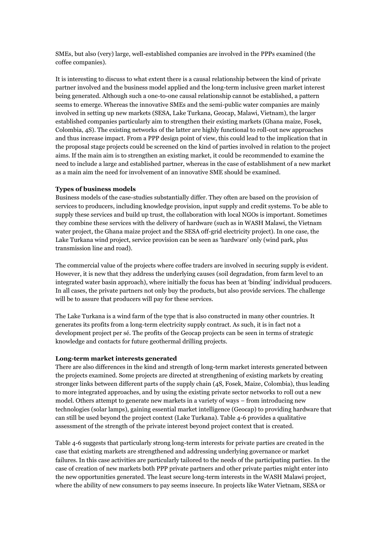SMEs, but also (very) large, well-established companies are involved in the PPPs examined (the coffee companies).

It is interesting to discuss to what extent there is a causal relationship between the kind of private partner involved and the business model applied and the long-term inclusive green market interest being generated. Although such a one-to-one causal relationship cannot be established, a pattern seems to emerge. Whereas the innovative SMEs and the semi-public water companies are mainly involved in setting up new markets (SESA, Lake Turkana, Geocap, Malawi, Vietnam), the larger established companies particularly aim to strengthen their existing markets (Ghana maize, Fosek, Colombia, 4S). The existing networks of the latter are highly functional to roll-out new approaches and thus increase impact. From a PPP design point of view, this could lead to the implication that in the proposal stage projects could be screened on the kind of parties involved in relation to the project aims. If the main aim is to strengthen an existing market, it could be recommended to examine the need to include a large and established partner, whereas in the case of establishment of a new market as a main aim the need for involvement of an innovative SME should be examined.

#### **Types of business models**

Business models of the case-studies substantially differ. They often are based on the provision of services to producers, including knowledge provision, input supply and credit systems. To be able to supply these services and build up trust, the collaboration with local NGOs is important. Sometimes they combine these services with the delivery of hardware (such as in WASH Malawi, the Vietnam water project, the Ghana maize project and the SESA off-grid electricity project). In one case, the Lake Turkana wind project, service provision can be seen as 'hardware' only (wind park, plus transmission line and road).

The commercial value of the projects where coffee traders are involved in securing supply is evident. However, it is new that they address the underlying causes (soil degradation, from farm level to an integrated water basin approach), where initially the focus has been at 'binding' individual producers. In all cases, the private partners not only buy the products, but also provide services. The challenge will be to assure that producers will pay for these services.

The Lake Turkana is a wind farm of the type that is also constructed in many other countries. It generates its profits from a long-term electricity supply contract. As such, it is in fact not a development project per sé. The profits of the Geocap projects can be seen in terms of strategic knowledge and contacts for future geothermal drilling projects.

#### **Long-term market interests generated**

There are also differences in the kind and strength of long-term market interests generated between the projects examined. Some projects are directed at strengthening of existing markets by creating stronger links between different parts of the supply chain (4S, Fosek, Maize, Colombia), thus leading to more integrated approaches, and by using the existing private sector networks to roll out a new model. Others attempt to generate new markets in a variety of ways – from introducing new technologies (solar lamps), gaining essential market intelligence (Geocap) to providing hardware that can still be used beyond the project context (Lake Turkana). Table 4-6 provides a qualitative assessment of the strength of the private interest beyond project context that is created.

Table 4-6 suggests that particularly strong long-term interests for private parties are created in the case that existing markets are strengthened and addressing underlying governance or market failures. In this case activities are particularly tailored to the needs of the participating parties. In the case of creation of new markets both PPP private partners and other private parties might enter into the new opportunities generated. The least secure long-term interests in the WASH Malawi project, where the ability of new consumers to pay seems insecure. In projects like Water Vietnam, SESA or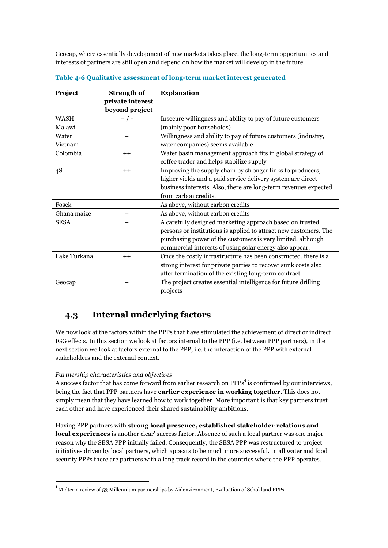Geocap, where essentially development of new markets takes place, the long-term opportunities and interests of partners are still open and depend on how the market will develop in the future.

| Project      | <b>Strength of</b> | <b>Explanation</b>                                               |
|--------------|--------------------|------------------------------------------------------------------|
|              | private interest   |                                                                  |
|              | beyond project     |                                                                  |
| <b>WASH</b>  | $+$ / -            | Insecure willingness and ability to pay of future customers      |
| Malawi       |                    | (mainly poor households)                                         |
| Water        | $\ddot{}$          | Willingness and ability to pay of future customers (industry,    |
| Vietnam      |                    | water companies) seems available                                 |
| Colombia     | $++$               | Water basin management approach fits in global strategy of       |
|              |                    | coffee trader and helps stabilize supply                         |
| 4S           | $++$               | Improving the supply chain by stronger links to producers,       |
|              |                    | higher yields and a paid service delivery system are direct      |
|              |                    | business interests. Also, there are long-term revenues expected  |
|              |                    | from carbon credits.                                             |
| Fosek        | $+$                | As above, without carbon credits                                 |
| Ghana maize  | $\,{}^+$           | As above, without carbon credits                                 |
| <b>SESA</b>  | $^{+}$             | A carefully designed marketing approach based on trusted         |
|              |                    | persons or institutions is applied to attract new customers. The |
|              |                    | purchasing power of the customers is very limited, although      |
|              |                    | commercial interests of using solar energy also appear.          |
| Lake Turkana | $++$               | Once the costly infrastructure has been constructed, there is a  |
|              |                    | strong interest for private parties to recover sunk costs also   |
|              |                    | after termination of the existing long-term contract             |
| Geocap       | $^{+}$             | The project creates essential intelligence for future drilling   |
|              |                    | projects                                                         |

**Table 4-6 Qualitative assessment of long-term market interest generated**

## <span id="page-25-0"></span>**4.3 Internal underlying factors**

We now look at the factors within the PPPs that have stimulated the achievement of direct or indirect IGG effects. In this section we look at factors internal to the PPP (i.e. between PPP partners), in the next section we look at factors external to the PPP, i.e. the interaction of the PPP with external stakeholders and the external context.

#### *Partnership characteristics and objectives*

<u>.</u>

A success factor that has come forward from earlier research on PPPs<sup>4</sup> is confirmed by our interviews, being the fact that PPP partners have **earlier experience in working together**. This does not simply mean that they have learned how to work together. More important is that key partners trust each other and have experienced their shared sustainability ambitions.

Having PPP partners with **strong local presence, established stakeholder relations and local experiences** is another clear' success factor. Absence of such a local partner was one major reason why the SESA PPP initially failed. Consequently, the SESA PPP was restructured to project initiatives driven by local partners, which appears to be much more successful. In all water and food security PPPs there are partners with a long track record in the countries where the PPP operates.

<sup>4</sup> Midterm review of 53 Millennium partnerships by Aidenvironment, Evaluation of Schokland PPPs.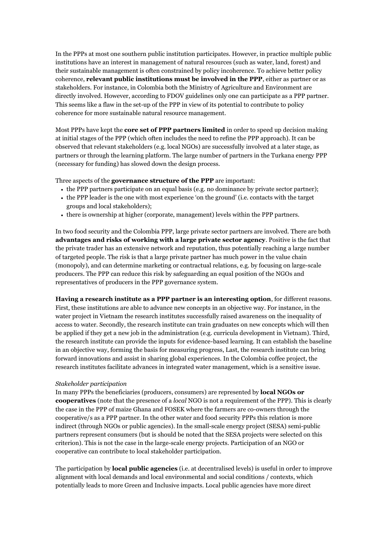In the PPPs at most one southern public institution participates. However, in practice multiple public institutions have an interest in management of natural resources (such as water, land, forest) and their sustainable management is often constrained by policy incoherence. To achieve better policy coherence, **relevant public institutions must be involved in the PPP**, either as partner or as stakeholders. For instance, in Colombia both the Ministry of Agriculture and Environment are directly involved. However, according to FDOV guidelines only one can participate as a PPP partner. This seems like a flaw in the set-up of the PPP in view of its potential to contribute to policy coherence for more sustainable natural resource management.

Most PPPs have kept the **core set of PPP partners limited** in order to speed up decision making at initial stages of the PPP (which often includes the need to refine the PPP approach). It can be observed that relevant stakeholders (e.g. local NGOs) are successfully involved at a later stage, as partners or through the learning platform. The large number of partners in the Turkana energy PPP (necessary for funding) has slowed down the design process.

Three aspects of the **governance structure of the PPP** are important:

- the PPP partners participate on an equal basis (e.g. no dominance by private sector partner);
- the PPP leader is the one with most experience 'on the ground' (i.e. contacts with the target groups and local stakeholders);
- there is ownership at higher (corporate, management) levels within the PPP partners.

In two food security and the Colombia PPP, large private sector partners are involved. There are both **advantages and risks of working with a large private sector agency**. Positive is the fact that the private trader has an extensive network and reputation, thus potentially reaching a large number of targeted people. The risk is that a large private partner has much power in the value chain (monopoly), and can determine marketing or contractual relations, e.g. by focusing on large-scale producers. The PPP can reduce this risk by safeguarding an equal position of the NGOs and representatives of producers in the PPP governance system.

**Having a research institute as a PPP partner is an interesting option**, for different reasons. First, these institutions are able to advance new concepts in an objective way. For instance, in the water project in Vietnam the research institutes successfully raised awareness on the inequality of access to water. Secondly, the research institute can train graduates on new concepts which will then be applied if they get a new job in the administration (e.g. curricula development in Vietnam). Third, the research institute can provide the inputs for evidence-based learning. It can establish the baseline in an objective way, forming the basis for measuring progress, Last, the research institute can bring forward innovations and assist in sharing global experiences. In the Colombia coffee project, the research institutes facilitate advances in integrated water management, which is a sensitive issue.

#### *Stakeholder participation*

In many PPPs the beneficiaries (producers, consumers) are represented by **local NGOs or cooperatives** (note that the presence of a *local* NGO is not a requirement of the PPP). This is clearly the case in the PPP of maize Ghana and FOSEK where the farmers are co-owners through the cooperative/s as a PPP partner. In the other water and food security PPPs this relation is more indirect (through NGOs or public agencies). In the small-scale energy project (SESA) semi-public partners represent consumers (but is should be noted that the SESA projects were selected on this criterion). This is not the case in the large-scale energy projects. Participation of an NGO or cooperative can contribute to local stakeholder participation.

The participation by **local public agencies** (i.e. at decentralised levels) is useful in order to improve alignment with local demands and local environmental and social conditions / contexts, which potentially leads to more Green and Inclusive impacts. Local public agencies have more direct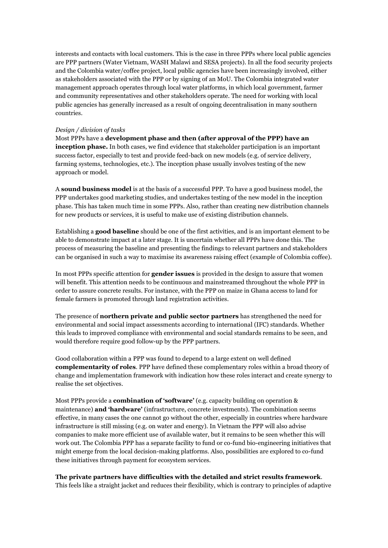interests and contacts with local customers. This is the case in three PPPs where local public agencies are PPP partners (Water Vietnam, WASH Malawi and SESA projects). In all the food security projects and the Colombia water/coffee project, local public agencies have been increasingly involved, either as stakeholders associated with the PPP or by signing of an MoU. The Colombia integrated water management approach operates through local water platforms, in which local government, farmer and community representatives and other stakeholders operate. The need for working with local public agencies has generally increased as a result of ongoing decentralisation in many southern countries.

#### *Design / division of tasks*

Most PPPs have a **development phase and then (after approval of the PPP) have an inception phase.** In both cases, we find evidence that stakeholder participation is an important success factor, especially to test and provide feed-back on new models (e.g. of service delivery, farming systems, technologies, etc.). The inception phase usually involves testing of the new approach or model.

A **sound business model** is at the basis of a successful PPP. To have a good business model, the PPP undertakes good marketing studies, and undertakes testing of the new model in the inception phase. This has taken much time in some PPPs. Also, rather than creating new distribution channels for new products or services, it is useful to make use of existing distribution channels.

Establishing a **good baseline** should be one of the first activities, and is an important element to be able to demonstrate impact at a later stage. It is uncertain whether all PPPs have done this. The process of measuring the baseline and presenting the findings to relevant partners and stakeholders can be organised in such a way to maximise its awareness raising effect (example of Colombia coffee).

In most PPPs specific attention for **gender issues** is provided in the design to assure that women will benefit. This attention needs to be continuous and mainstreamed throughout the whole PPP in order to assure concrete results. For instance, with the PPP on maize in Ghana access to land for female farmers is promoted through land registration activities.

The presence of **northern private and public sector partners** has strengthened the need for environmental and social impact assessments according to international (IFC) standards. Whether this leads to improved compliance with environmental and social standards remains to be seen, and would therefore require good follow-up by the PPP partners.

Good collaboration within a PPP was found to depend to a large extent on well defined **complementarity of roles**. PPP have defined these complementary roles within a broad theory of change and implementation framework with indication how these roles interact and create synergy to realise the set objectives.

Most PPPs provide a **combination of 'software'** (e.g. capacity building on operation & maintenance) **and 'hardware'** (infrastructure, concrete investments). The combination seems effective, in many cases the one cannot go without the other, especially in countries where hardware infrastructure is still missing (e.g. on water and energy). In Vietnam the PPP will also advise companies to make more efficient use of available water, but it remains to be seen whether this will work out. The Colombia PPP has a separate facility to fund or co-fund bio-engineering initiatives that might emerge from the local decision-making platforms. Also, possibilities are explored to co-fund these initiatives through payment for ecosystem services.

#### **The private partners have difficulties with the detailed and strict results framework**.

This feels like a straight jacket and reduces their flexibility, which is contrary to principles of adaptive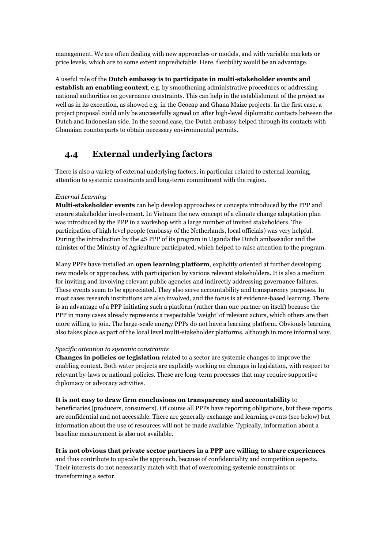management. We are often dealing with new approaches or models, and with variable markets or price levels, which are to some extent unpredictable. Here, flexibility would be an advantage.

A useful role of the **Dutch embassy is to participate in multi-stakeholder events and establish an enabling context**, e.g. by smoothening administrative procedures or addressing national authorities on governance constraints. This can help in the establishment of the project as well as in its execution, as showed e.g. in the Geocap and Ghana Maize projects. In the first case, a project proposal could only be successfully agreed on after high-level diplomatic contacts between the Dutch and Indonesian side. In the second case, the Dutch embassy helped through its contacts with Ghanaian counterparts to obtain necessary environmental permits.

## <span id="page-28-0"></span>**4.4 External underlying factors**

There is also a variety of external underlying factors, in particular related to external learning, attention to systemic constraints and long-term commitment with the region.

#### *External Learning*

**Multi-stakeholder events** can help develop approaches or concepts introduced by the PPP and ensure stakeholder involvement. In Vietnam the new concept of a climate change adaptation plan was introduced by the PPP in a workshop with a large number of invited stakeholders. The participation of high level people (embassy of the Netherlands, local officials) was very helpful. During the introduction by the 4S PPP of its program in Uganda the Dutch ambassador and the minister of the Ministry of Agriculture participated, which helped to raise attention to the program.

Many PPPs have installed an **open learning platform**, explicitly oriented at further developing new models or approaches, with participation by various relevant stakeholders. It is also a medium for inviting and involving relevant public agencies and indirectly addressing governance failures. These events seem to be appreciated. They also serve accountability and transparency purposes. In most cases research institutions are also involved, and the focus is at evidence-based learning. There is an advantage of a PPP initiating such a platform (rather than one partner on itself) because the PPP in many cases already represents a respectable 'weight' of relevant actors, which others are then more willing to join. The large-scale energy PPPs do not have a learning platform. Obviously learning also takes place as part of the local level multi-stakeholder platforms, although in more informal way.

#### *Specific attention to systemic constraints*

**Changes in policies or legislation** related to a sector are systemic changes to improve the enabling context. Both water projects are explicitly working on changes in legislation, with respect to relevant by-laws or national policies. These are long-term processes that may require supportive diplomacy or advocacy activities.

#### **It is not easy to draw firm conclusions on transparency and accountability** to

beneficiaries (producers, consumers). Of course all PPPs have reporting obligations, but these reports are confidential and not accessible. There are generally exchange and learning events (see below) but information about the use of resources will not be made available. Typically, information about a baseline measurement is also not available.

#### **It is not obvious that private sector partners in a PPP are willing to share experiences**

and thus contribute to upscale the approach, because of confidentiality and competition aspects. Their interests do not necessarily match with that of overcoming systemic constraints or transforming a sector.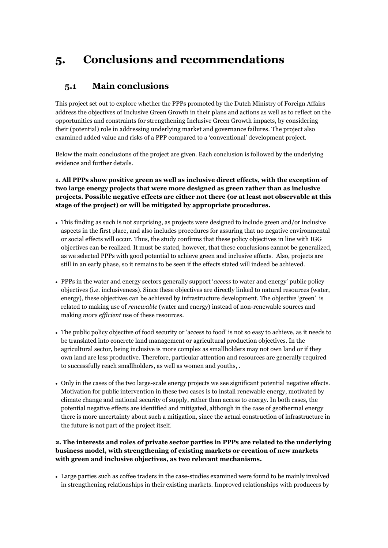## <span id="page-29-0"></span>**5. Conclusions and recommendations**

### <span id="page-29-1"></span>**5.1 Main conclusions**

This project set out to explore whether the PPPs promoted by the Dutch Ministry of Foreign Affairs address the objectives of Inclusive Green Growth in their plans and actions as well as to reflect on the opportunities and constraints for strengthening Inclusive Green Growth impacts, by considering their (potential) role in addressing underlying market and governance failures. The project also examined added value and risks of a PPP compared to a 'conventional' development project.

Below the main conclusions of the project are given. Each conclusion is followed by the underlying evidence and further details.

**1. All PPPs show positive green as well as inclusive direct effects, with the exception of two large energy projects that were more designed as green rather than as inclusive projects. Possible negative effects are either not there (or at least not observable at this stage of the project) or will be mitigated by appropriate procedures.**

- This finding as such is not surprising, as projects were designed to include green and/or inclusive aspects in the first place, and also includes procedures for assuring that no negative environmental or social effects will occur. Thus, the study confirms that these policy objectives in line with IGG objectives can be realized. It must be stated, however, that these conclusions cannot be generalized, as we selected PPPs with good potential to achieve green and inclusive effects. Also, projects are still in an early phase, so it remains to be seen if the effects stated will indeed be achieved.
- PPPs in the water and energy sectors generally support '*access* to water and energy' public policy objectives (i.e. inclusiveness). Since these objectives are directly linked to natural resources (water, energy), these objectives can be achieved by infrastructure development. The objective 'green' is related to making use of *renewable* (water and energy) instead of non-renewable sources and making *more efficient* use of these resources.
- The public policy objective of food security or 'access to food' is not so easy to achieve, as it needs to be translated into concrete land management or agricultural production objectives. In the agricultural sector, being inclusive is more complex as smallholders may not own land or if they own land are less productive. Therefore, particular attention and resources are generally required to successfully reach smallholders, as well as women and youths, .
- Only in the cases of the two large-scale energy projects we see significant potential negative effects. Motivation for public intervention in these two cases is to install renewable energy, motivated by climate change and national security of supply, rather than access to energy. In both cases, the potential negative effects are identified and mitigated, although in the case of geothermal energy there is more uncertainty about such a mitigation, since the actual construction of infrastructure in the future is not part of the project itself.

#### **2. The interests and roles of private sector parties in PPPs are related to the underlying business model, with strengthening of existing markets or creation of new markets with green and inclusive objectives, as two relevant mechanisms.**

 Large parties such as coffee traders in the case-studies examined were found to be mainly involved in strengthening relationships in their existing markets. Improved relationships with producers by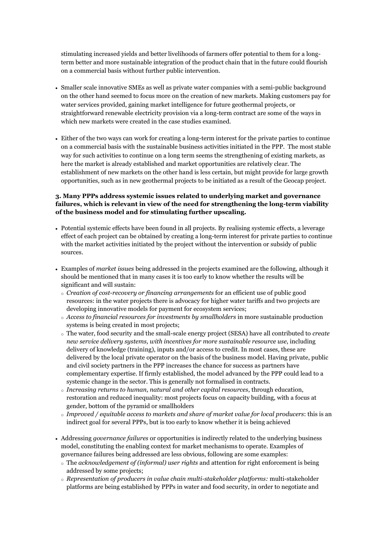stimulating increased yields and better livelihoods of farmers offer potential to them for a longterm better and more sustainable integration of the product chain that in the future could flourish on a commercial basis without further public intervention.

- Smaller scale innovative SMEs as well as private water companies with a semi-public background on the other hand seemed to focus more on the creation of new markets. Making customers pay for water services provided, gaining market intelligence for future geothermal projects, or straightforward renewable electricity provision via a long-term contract are some of the ways in which new markets were created in the case studies examined.
- Either of the two ways can work for creating a long-term interest for the private parties to continue on a commercial basis with the sustainable business activities initiated in the PPP. The most stable way for such activities to continue on a long term seems the strengthening of existing markets, as here the market is already established and market opportunities are relatively clear. The establishment of new markets on the other hand is less certain, but might provide for large growth opportunities, such as in new geothermal projects to be initiated as a result of the Geocap project.

#### **3. Many PPPs address systemic issues related to underlying market and governance failures, which is relevant in view of the need for strengthening the long-term viability of the business model and for stimulating further upscaling.**

- Potential systemic effects have been found in all projects. By realising systemic effects, a leverage effect of each project can be obtained by creating a long-term interest for private parties to continue with the market activities initiated by the project without the intervention or subsidy of public sources.
- Examples of *market issues* being addressed in the projects examined are the following, although it should be mentioned that in many cases it is too early to know whether the results will be significant and will sustain:
	- o *Creation of cost-recovery or financing arrangements* for an efficient use of public good resources: in the water projects there is advocacy for higher water tariffs and two projects are developing innovative models for payment for ecosystem services;
	- o *Access to financial resources for investments by smallholders* in more sustainable production systems is being created in most projects;
	- o The water, food security and the small-scale energy project (SESA) have all contributed to *create new service delivery systems, with incentives for more sustainable resource use*, including delivery of knowledge (training), inputs and/or access to credit. In most cases, these are delivered by the local private operator on the basis of the business model. Having private, public and civil society partners in the PPP increases the chance for success as partners have complementary expertise. If firmly established, the model advanced by the PPP could lead to a systemic change in the sector. This is generally not formalised in contracts.
	- o *Increasing returns to human, natural and other capital resources*, through education, restoration and reduced inequality: most projects focus on capacity building, with a focus at gender, bottom of the pyramid or smallholders
	- o *Improved / equitable access to markets and share of market value for local producers*: this is an indirect goal for several PPPs, but is too early to know whether it is being achieved
- Addressing *governance failures* or opportunities is indirectly related to the underlying business model, constituting the enabling context for market mechanisms to operate. Examples of governance failures being addressed are less obvious, following are some examples:
	- o The *acknowledgement of (informal) user rights* and attention for right enforcement is being addressed by some projects;
	- o *Representation of producers in value chain multi-stakeholder platforms:* multi-stakeholder platforms are being established by PPPs in water and food security, in order to negotiate and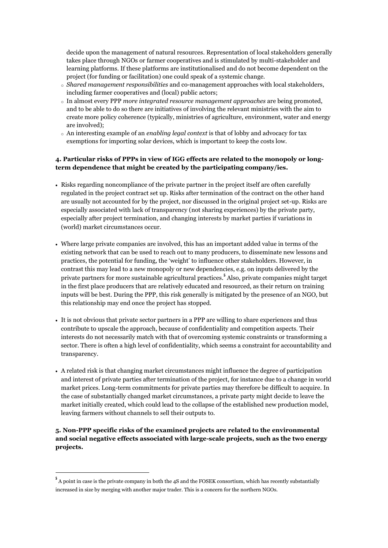decide upon the management of natural resources. Representation of local stakeholders generally takes place through NGOs or farmer cooperatives and is stimulated by multi-stakeholder and learning platforms. If these platforms are institutionalised and do not become dependent on the project (for funding or facilitation) one could speak of a systemic change.

- o *Shared management responsibilities* and co-management approaches with local stakeholders, including farmer cooperatives and (local) public actors;
- o In almost every PPP *more integrated resource management approaches* are being promoted, and to be able to do so there are initiatives of involving the relevant ministries with the aim to create more policy coherence (typically, ministries of agriculture, environment, water and energy are involved);
- o An interesting example of an *enabling legal context* is that of lobby and advocacy for tax exemptions for importing solar devices, which is important to keep the costs low.

#### **4. Particular risks of PPPs in view of IGG effects are related to the monopoly or longterm dependence that might be created by the participating company/ies.**

- Risks regarding noncompliance of the private partner in the project itself are often carefully regulated in the project contract set up. Risks after termination of the contract on the other hand are usually not accounted for by the project, nor discussed in the original project set-up. Risks are especially associated with lack of transparency (not sharing experiences) by the private party, especially after project termination, and changing interests by market parties if variations in (world) market circumstances occur.
- Where large private companies are involved, this has an important added value in terms of the existing network that can be used to reach out to many producers, to disseminate new lessons and practices, the potential for funding, the 'weight' to influence other stakeholders. However, in contrast this may lead to a new monopoly or new dependencies, e.g. on inputs delivered by the private partners for more sustainable agricultural practices.<sup>5</sup> Also, private companies might target in the first place producers that are relatively educated and resourced, as their return on training inputs will be best. During the PPP, this risk generally is mitigated by the presence of an NGO, but this relationship may end once the project has stopped.
- It is not obvious that private sector partners in a PPP are willing to share experiences and thus contribute to upscale the approach, because of confidentiality and competition aspects. Their interests do not necessarily match with that of overcoming systemic constraints or transforming a sector. There is often a high level of confidentiality, which seems a constraint for accountability and transparency.
- A related risk is that changing market circumstances might influence the degree of participation and interest of private parties after termination of the project, for instance due to a change in world market prices. Long-term commitments for private parties may therefore be difficult to acquire. In the case of substantially changed market circumstances, a private party might decide to leave the market initially created, which could lead to the collapse of the established new production model, leaving farmers without channels to sell their outputs to.

#### **5. Non-PPP specific risks of the examined projects are related to the environmental and social negative effects associated with large-scale projects, such as the two energy projects.**

<u>.</u>

<sup>&</sup>lt;sup>5</sup> A point in case is the private company in both the 4S and the FOSEK consortium, which has recently substantially increased in size by merging with another major trader. This is a concern for the northern NGOs.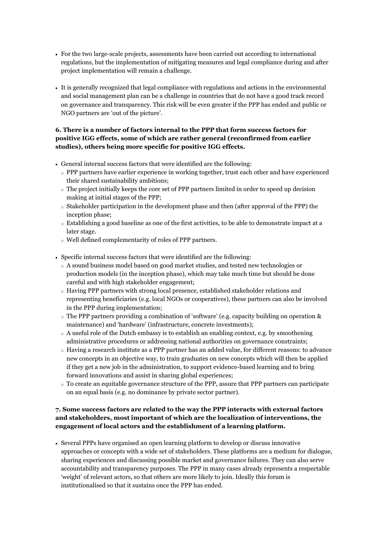- For the two large-scale projects, assessments have been carried out according to international regulations, but the implementation of mitigating measures and legal compliance during and after project implementation will remain a challenge.
- It is generally recognized that legal compliance with regulations and actions in the environmental and social management plan can be a challenge in countries that do not have a good track record on governance and transparency. This risk will be even greater if the PPP has ended and public or NGO partners are 'out of the picture'.

#### **6. There is a number of factors internal to the PPP that form success factors for positive IGG effects, some of which are rather general (reconfirmed from earlier studies), others being more specific for positive IGG effects.**

- General internal success factors that were identified are the following:
	- o PPP partners have earlier experience in working together, trust each other and have experienced their shared sustainability ambitions;
	- o The project initially keeps the core set of PPP partners limited in order to speed up decision making at initial stages of the PPP;
	- $\circ$  Stakeholder participation in the development phase and then (after approval of the PPP) the inception phase;
	- o Establishing a good baseline as one of the first activities, to be able to demonstrate impact at a later stage.
	- o Well defined complementarity of roles of PPP partners.
- Specific internal success factors that were identified are the following:
	- o A sound business model based on good market studies, and tested new technologies or production models (in the inception phase), which may take much time but should be done careful and with high stakeholder engagement;
	- o Having PPP partners with strong local presence, established stakeholder relations and representing beneficiaries (e.g. local NGOs or cooperatives), these partners can also be involved in the PPP during implementation;
	- o The PPP partners providing a combination of 'software' (e.g. capacity building on operation & maintenance) and 'hardware' (infrastructure, concrete investments);
	- o A useful role of the Dutch embassy is to establish an enabling context, e.g. by smoothening administrative procedures or addressing national authorities on governance constraints;
	- o Having a research institute as a PPP partner has an added value, for different reasons: to advance new concepts in an objective way, to train graduates on new concepts which will then be applied if they get a new job in the administration, to support evidence-based learning and to bring forward innovations and assist in sharing global experiences;
	- o To create an equitable governance structure of the PPP, assure that PPP partners can participate on an equal basis (e.g. no dominance by private sector partner).

#### **7. Some success factors are related to the way the PPP interacts with external factors and stakeholders, most important of which are the localization of interventions, the engagement of local actors and the establishment of a learning platform.**

 Several PPPs have organised an open learning platform to develop or discuss innovative approaches or concepts with a wide set of stakeholders. These platforms are a medium for dialogue, sharing experiences and discussing possible market and governance failures. They can also serve accountability and transparency purposes. The PPP in many cases already represents a respectable 'weight' of relevant actors, so that others are more likely to join. Ideally this forum is institutionalised so that it sustains once the PPP has ended.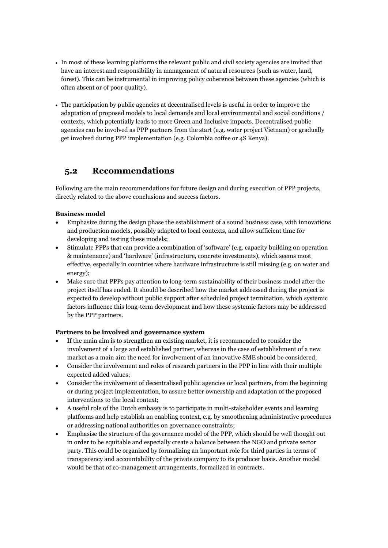- In most of these learning platforms the relevant public and civil society agencies are invited that have an interest and responsibility in management of natural resources (such as water, land, forest). This can be instrumental in improving policy coherence between these agencies (which is often absent or of poor quality).
- The participation by public agencies at decentralised levels is useful in order to improve the adaptation of proposed models to local demands and local environmental and social conditions / contexts, which potentially leads to more Green and Inclusive impacts. Decentralised public agencies can be involved as PPP partners from the start (e.g. water project Vietnam) or gradually get involved during PPP implementation (e.g. Colombia coffee or 4S Kenya).

### <span id="page-33-0"></span>**5.2 Recommendations**

Following are the main recommendations for future design and during execution of PPP projects, directly related to the above conclusions and success factors.

#### **Business model**

- Emphasize during the design phase the establishment of a sound business case, with innovations and production models, possibly adapted to local contexts, and allow sufficient time for developing and testing these models;
- Stimulate PPPs that can provide a combination of 'software' (e.g. capacity building on operation & maintenance) and 'hardware' (infrastructure, concrete investments), which seems most effective, especially in countries where hardware infrastructure is still missing (e.g. on water and energy);
- Make sure that PPPs pay attention to long-term sustainability of their business model after the project itself has ended. It should be described how the market addressed during the project is expected to develop without public support after scheduled project termination, which systemic factors influence this long-term development and how these systemic factors may be addressed by the PPP partners.

#### **Partners to be involved and governance system**

- If the main aim is to strengthen an existing market, it is recommended to consider the involvement of a large and established partner, whereas in the case of establishment of a new market as a main aim the need for involvement of an innovative SME should be considered;
- Consider the involvement and roles of research partners in the PPP in line with their multiple expected added values;
- Consider the involvement of decentralised public agencies or local partners, from the beginning or during project implementation, to assure better ownership and adaptation of the proposed interventions to the local context;
- A useful role of the Dutch embassy is to participate in multi-stakeholder events and learning platforms and help establish an enabling context, e.g. by smoothening administrative procedures or addressing national authorities on governance constraints;
- Emphasise the structure of the governance model of the PPP, which should be well thought out in order to be equitable and especially create a balance between the NGO and private sector party. This could be organized by formalizing an important role for third parties in terms of transparency and accountability of the private company to its producer basis. Another model would be that of co-management arrangements, formalized in contracts.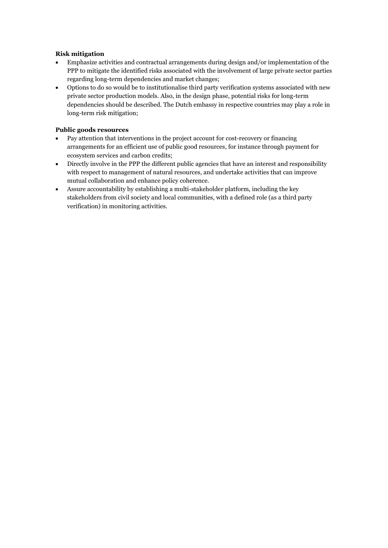#### **Risk mitigation**

- Emphasize activities and contractual arrangements during design and/or implementation of the PPP to mitigate the identified risks associated with the involvement of large private sector parties regarding long-term dependencies and market changes;
- Options to do so would be to institutionalise third party verification systems associated with new private sector production models. Also, in the design phase, potential risks for long-term dependencies should be described. The Dutch embassy in respective countries may play a role in long-term risk mitigation;

#### **Public goods resources**

- Pay attention that interventions in the project account for cost-recovery or financing arrangements for an efficient use of public good resources, for instance through payment for ecosystem services and carbon credits;
- Directly involve in the PPP the different public agencies that have an interest and responsibility with respect to management of natural resources, and undertake activities that can improve mutual collaboration and enhance policy coherence.
- Assure accountability by establishing a multi-stakeholder platform, including the key stakeholders from civil society and local communities, with a defined role (as a third party verification) in monitoring activities.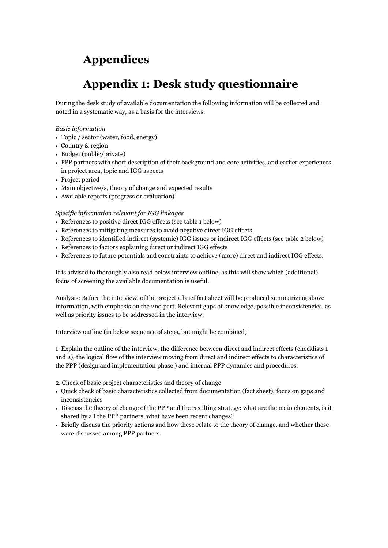## <span id="page-35-0"></span>**Appendices**

## **Appendix 1: Desk study questionnaire**

<span id="page-35-1"></span>During the desk study of available documentation the following information will be collected and noted in a systematic way, as a basis for the interviews.

#### *Basic information*

- Topic / sector (water, food, energy)
- Country & region
- Budget (public/private)
- PPP partners with short description of their background and core activities, and earlier experiences in project area, topic and IGG aspects
- Project period
- Main objective/s, theory of change and expected results
- Available reports (progress or evaluation)

#### *Specific information relevant for IGG linkages*

- References to positive direct IGG effects (see table 1 below)
- References to mitigating measures to avoid negative direct IGG effects
- References to identified indirect (systemic) IGG issues or indirect IGG effects (see table 2 below)
- References to factors explaining direct or indirect IGG effects
- References to future potentials and constraints to achieve (more) direct and indirect IGG effects.

It is advised to thoroughly also read below interview outline, as this will show which (additional) focus of screening the available documentation is useful.

Analysis: Before the interview, of the project a brief fact sheet will be produced summarizing above information, with emphasis on the 2nd part. Relevant gaps of knowledge, possible inconsistencies, as well as priority issues to be addressed in the interview.

Interview outline (in below sequence of steps, but might be combined)

1. Explain the outline of the interview, the difference between direct and indirect effects (checklists 1 and 2), the logical flow of the interview moving from direct and indirect effects to characteristics of the PPP (design and implementation phase ) and internal PPP dynamics and procedures.

2. Check of basic project characteristics and theory of change

- Quick check of basic characteristics collected from documentation (fact sheet), focus on gaps and inconsistencies
- Discuss the theory of change of the PPP and the resulting strategy: what are the main elements, is it shared by all the PPP partners, what have been recent changes?
- Briefly discuss the priority actions and how these relate to the theory of change, and whether these were discussed among PPP partners.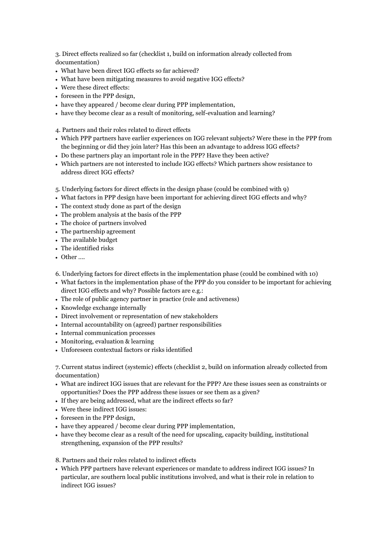3. Direct effects realized so far (checklist 1, build on information already collected from documentation)

- What have been direct IGG effects so far achieved?
- What have been mitigating measures to avoid negative IGG effects?
- Were these direct effects:
- foreseen in the PPP design,
- have they appeared / become clear during PPP implementation,
- have they become clear as a result of monitoring, self-evaluation and learning?

4. Partners and their roles related to direct effects

- Which PPP partners have earlier experiences on IGG relevant subjects? Were these in the PPP from the beginning or did they join later? Has this been an advantage to address IGG effects?
- Do these partners play an important role in the PPP? Have they been active?
- Which partners are not interested to include IGG effects? Which partners show resistance to address direct IGG effects?
- 5. Underlying factors for direct effects in the design phase (could be combined with 9)
- What factors in PPP design have been important for achieving direct IGG effects and why?
- The context study done as part of the design
- The problem analysis at the basis of the PPP
- The choice of partners involved
- The partnership agreement
- The available budget
- The identified risks
- Other ….

6. Underlying factors for direct effects in the implementation phase (could be combined with 10)

- What factors in the implementation phase of the PPP do you consider to be important for achieving direct IGG effects and why? Possible factors are e.g.:
- The role of public agency partner in practice (role and activeness)
- Knowledge exchange internally
- Direct involvement or representation of new stakeholders
- Internal accountability on (agreed) partner responsibilities
- Internal communication processes
- Monitoring, evaluation & learning
- Unforeseen contextual factors or risks identified

7. Current status indirect (systemic) effects (checklist 2, build on information already collected from documentation)

- What are indirect IGG issues that are relevant for the PPP? Are these issues seen as constraints or opportunities? Does the PPP address these issues or see them as a given?
- If they are being addressed, what are the indirect effects so far?
- Were these indirect IGG issues:
- foreseen in the PPP design.
- have they appeared / become clear during PPP implementation,
- have they become clear as a result of the need for upscaling, capacity building, institutional strengthening, expansion of the PPP results?

8. Partners and their roles related to indirect effects

 Which PPP partners have relevant experiences or mandate to address indirect IGG issues? In particular, are southern local public institutions involved, and what is their role in relation to indirect IGG issues?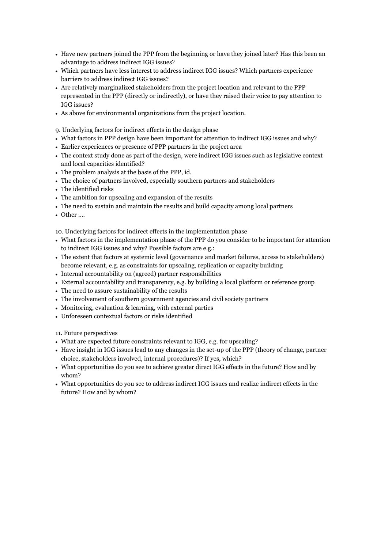- Have new partners joined the PPP from the beginning or have they joined later? Has this been an advantage to address indirect IGG issues?
- Which partners have less interest to address indirect IGG issues? Which partners experience barriers to address indirect IGG issues?
- Are relatively marginalized stakeholders from the project location and relevant to the PPP represented in the PPP (directly or indirectly), or have they raised their voice to pay attention to IGG issues?
- As above for environmental organizations from the project location.
- 9. Underlying factors for indirect effects in the design phase
- What factors in PPP design have been important for attention to indirect IGG issues and why?
- Earlier experiences or presence of PPP partners in the project area
- The context study done as part of the design, were indirect IGG issues such as legislative context and local capacities identified?
- The problem analysis at the basis of the PPP, id.
- The choice of partners involved, especially southern partners and stakeholders
- The identified risks
- The ambition for upscaling and expansion of the results
- The need to sustain and maintain the results and build capacity among local partners
- Other ….

10. Underlying factors for indirect effects in the implementation phase

- What factors in the implementation phase of the PPP do you consider to be important for attention to indirect IGG issues and why? Possible factors are e.g.:
- The extent that factors at systemic level (governance and market failures, access to stakeholders) become relevant, e.g. as constraints for upscaling, replication or capacity building
- Internal accountability on (agreed) partner responsibilities
- External accountability and transparency, e.g. by building a local platform or reference group
- The need to assure sustainability of the results
- The involvement of southern government agencies and civil society partners
- Monitoring, evaluation & learning, with external parties
- Unforeseen contextual factors or risks identified

11. Future perspectives

- What are expected future constraints relevant to IGG, e.g. for upscaling?
- Have insight in IGG issues lead to any changes in the set-up of the PPP (theory of change, partner choice, stakeholders involved, internal procedures)? If yes, which?
- What opportunities do you see to achieve greater direct IGG effects in the future? How and by whom?
- What opportunities do you see to address indirect IGG issues and realize indirect effects in the future? How and by whom?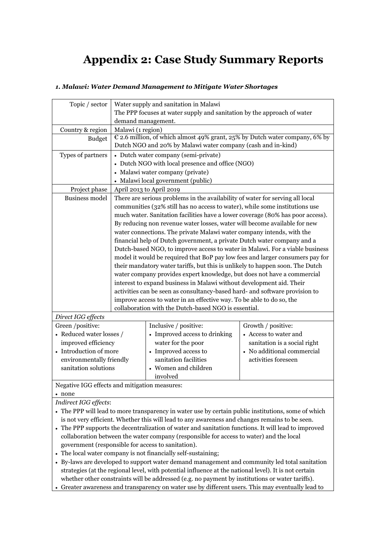## <span id="page-38-0"></span>**Appendix 2: Case Study Summary Reports**

| Topic / sector                                                             | Water supply and sanitation in Malawi                                                                                                                                                                                                                                                                                                                                                                                                                                                                                                                                                                                                                                                                                                                                                                                                                                                                                                                                                                                                                                    |                                                  |                              |
|----------------------------------------------------------------------------|--------------------------------------------------------------------------------------------------------------------------------------------------------------------------------------------------------------------------------------------------------------------------------------------------------------------------------------------------------------------------------------------------------------------------------------------------------------------------------------------------------------------------------------------------------------------------------------------------------------------------------------------------------------------------------------------------------------------------------------------------------------------------------------------------------------------------------------------------------------------------------------------------------------------------------------------------------------------------------------------------------------------------------------------------------------------------|--------------------------------------------------|------------------------------|
|                                                                            | The PPP focuses at water supply and sanitation by the approach of water                                                                                                                                                                                                                                                                                                                                                                                                                                                                                                                                                                                                                                                                                                                                                                                                                                                                                                                                                                                                  |                                                  |                              |
|                                                                            | demand management.                                                                                                                                                                                                                                                                                                                                                                                                                                                                                                                                                                                                                                                                                                                                                                                                                                                                                                                                                                                                                                                       |                                                  |                              |
| Country & region                                                           | Malawi (1 region)                                                                                                                                                                                                                                                                                                                                                                                                                                                                                                                                                                                                                                                                                                                                                                                                                                                                                                                                                                                                                                                        |                                                  |                              |
| <b>Budget</b>                                                              | $\epsilon$ 2.6 million, of which almost 49% grant, 25% by Dutch water company, 6% by<br>Dutch NGO and 20% by Malawi water company (cash and in-kind)                                                                                                                                                                                                                                                                                                                                                                                                                                                                                                                                                                                                                                                                                                                                                                                                                                                                                                                     |                                                  |                              |
| Types of partners                                                          | • Dutch water company (semi-private)                                                                                                                                                                                                                                                                                                                                                                                                                                                                                                                                                                                                                                                                                                                                                                                                                                                                                                                                                                                                                                     |                                                  |                              |
|                                                                            |                                                                                                                                                                                                                                                                                                                                                                                                                                                                                                                                                                                                                                                                                                                                                                                                                                                                                                                                                                                                                                                                          | • Dutch NGO with local presence and office (NGO) |                              |
|                                                                            |                                                                                                                                                                                                                                                                                                                                                                                                                                                                                                                                                                                                                                                                                                                                                                                                                                                                                                                                                                                                                                                                          | • Malawi water company (private)                 |                              |
|                                                                            |                                                                                                                                                                                                                                                                                                                                                                                                                                                                                                                                                                                                                                                                                                                                                                                                                                                                                                                                                                                                                                                                          | • Malawi local government (public)               |                              |
| Project phase                                                              |                                                                                                                                                                                                                                                                                                                                                                                                                                                                                                                                                                                                                                                                                                                                                                                                                                                                                                                                                                                                                                                                          |                                                  |                              |
| <b>Business model</b>                                                      | April 2013 to April 2019<br>There are serious problems in the availability of water for serving all local<br>communities (32% still has no access to water), while some institutions use<br>much water. Sanitation facilities have a lower coverage (80% has poor access).<br>By reducing non revenue water losses, water will become available for new<br>water connections. The private Malawi water company intends, with the<br>financial help of Dutch government, a private Dutch water company and a<br>Dutch-based NGO, to improve access to water in Malawi. For a viable business<br>model it would be required that BoP pay low fees and larger consumers pay for<br>their mandatory water tariffs, but this is unlikely to happen soon. The Dutch<br>water company provides expert knowledge, but does not have a commercial<br>interest to expand business in Malawi without development aid. Their<br>activities can be seen as consultancy-based hard- and software provision to<br>improve access to water in an effective way. To be able to do so, the |                                                  |                              |
| collaboration with the Dutch-based NGO is essential.<br>Direct IGG effects |                                                                                                                                                                                                                                                                                                                                                                                                                                                                                                                                                                                                                                                                                                                                                                                                                                                                                                                                                                                                                                                                          |                                                  |                              |
| Green /positive:                                                           |                                                                                                                                                                                                                                                                                                                                                                                                                                                                                                                                                                                                                                                                                                                                                                                                                                                                                                                                                                                                                                                                          | Inclusive / positive:                            | Growth / positive:           |
| • Reduced water losses /                                                   |                                                                                                                                                                                                                                                                                                                                                                                                                                                                                                                                                                                                                                                                                                                                                                                                                                                                                                                                                                                                                                                                          | • Improved access to drinking                    | • Access to water and        |
| improved efficiency                                                        |                                                                                                                                                                                                                                                                                                                                                                                                                                                                                                                                                                                                                                                                                                                                                                                                                                                                                                                                                                                                                                                                          | water for the poor                               | sanitation is a social right |
| Introduction of more                                                       |                                                                                                                                                                                                                                                                                                                                                                                                                                                                                                                                                                                                                                                                                                                                                                                                                                                                                                                                                                                                                                                                          | • Improved access to                             | • No additional commercial   |
| environmentally friendly                                                   |                                                                                                                                                                                                                                                                                                                                                                                                                                                                                                                                                                                                                                                                                                                                                                                                                                                                                                                                                                                                                                                                          | sanitation facilities                            | activities foreseen          |
| sanitation solutions                                                       |                                                                                                                                                                                                                                                                                                                                                                                                                                                                                                                                                                                                                                                                                                                                                                                                                                                                                                                                                                                                                                                                          | • Women and children                             |                              |
|                                                                            |                                                                                                                                                                                                                                                                                                                                                                                                                                                                                                                                                                                                                                                                                                                                                                                                                                                                                                                                                                                                                                                                          | involved                                         |                              |
| Negative IGG effects and mitigation measures:                              |                                                                                                                                                                                                                                                                                                                                                                                                                                                                                                                                                                                                                                                                                                                                                                                                                                                                                                                                                                                                                                                                          |                                                  |                              |

#### *1. Malawi: Water Demand Management to Mitigate Water Shortages*

none

*Indirect IGG effects*:

- The PPP will lead to more transparency in water use by certain public institutions, some of which is not very efficient. Whether this will lead to any awareness and changes remains to be seen.
- The PPP supports the decentralization of water and sanitation functions. It will lead to improved collaboration between the water company (responsible for access to water) and the local government (responsible for access to sanitation).
- The local water company is not financially self-sustaining;
- By-laws are developed to support water demand management and community led total sanitation strategies (at the regional level, with potential influence at the national level). It is not certain whether other constraints will be addressed (e.g. no payment by institutions or water tariffs).
- Greater awareness and transparency on water use by different users. This may eventually lead to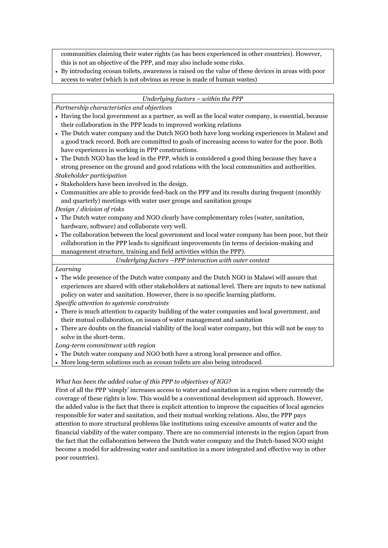communities claiming their water rights (as has been experienced in other countries). However, this is not an objective of the PPP, and may also include some risks.

 By introducing ecosan toilets, awareness is raised on the value of these devices in areas with poor access to water (which is not obvious as reuse is made of human wastes)

#### *Underlying factors – within the PPP*

*Partnership characteristics and objectives*

- Having the local government as a partner, as well as the local water company, is essential, because their collaboration in the PPP leads to improved working relations
- The Dutch water company and the Dutch NGO both have long working experiences in Malawi and a good track record. Both are committed to goals of increasing access to water for the poor. Both have experiences in working in PPP constructions.
- The Dutch NGO has the lead in the PPP, which is considered a good thing because they have a strong presence on the ground and good relations with the local communities and authorities. *Stakeholder participation*
- Stakeholders have been involved in the design.
- Communities are able to provide feed-back on the PPP and its results during frequent (monthly and quarterly) meetings with water user groups and sanitation groups

*Design / division of risks*

- The Dutch water company and NGO clearly have complementary roles (water, sanitation, hardware, software) and collaborate very well.
- The collaboration between the local government and local water company has been poor, but their collaboration in the PPP leads to significant improvements (in terms of decision-making and management structure, training and field activities within the PPP).

*Underlying factors –PPP interaction with outer context*

#### *Learning*

 The wide presence of the Dutch water company and the Dutch NGO in Malawi will assure that experiences are shared with other stakeholders at national level. There are inputs to new national policy on water and sanitation. However, there is no specific learning platform. *Specific attention to systemic constraints* 

There is much attention to capacity building of the water companies and local government, and

- their mutual collaboration, on issues of water management and sanitation
- There are doubts on the financial viability of the local water company, but this will not be easy to solve in the short-term.

*Long-term commitment with region*

- The Dutch water company and NGO both have a strong local presence and office.
- More long-term solutions such as ecosan toilets are also being introduced.

#### *What has been the added value of this PPP to objectives of IGG?*

First of all the PPP 'simply' increases access to water and sanitation in a region where currently the coverage of these rights is low. This would be a conventional development aid approach. However, the added value is the fact that there is explicit attention to improve the capacities of local agencies responsible for water and sanitation, and their mutual working relations. Also, the PPP pays attention to more structural problems like institutions using excessive amounts of water and the financial viability of the water company. There are no commercial interests in the region (apart from the fact that the collaboration between the Dutch water company and the Dutch-based NGO might become a model for addressing water and sanitation in a more integrated and effective way in other poor countries).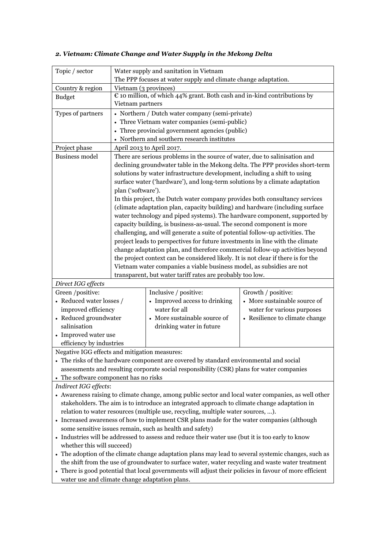| Topic / sector                                                                                          |                                                                                                     | Water supply and sanitation in Vietnam                                                    |                                |  |
|---------------------------------------------------------------------------------------------------------|-----------------------------------------------------------------------------------------------------|-------------------------------------------------------------------------------------------|--------------------------------|--|
|                                                                                                         | The PPP focuses at water supply and climate change adaptation.                                      |                                                                                           |                                |  |
| Country & region                                                                                        | Vietnam (3 provinces)                                                                               |                                                                                           |                                |  |
| <b>Budget</b>                                                                                           | $\epsilon$ 10 million, of which 44% grant. Both cash and in-kind contributions by                   |                                                                                           |                                |  |
|                                                                                                         | Vietnam partners                                                                                    |                                                                                           |                                |  |
| Types of partners                                                                                       | • Northern / Dutch water company (semi-private)                                                     |                                                                                           |                                |  |
|                                                                                                         |                                                                                                     | • Three Vietnam water companies (semi-public)                                             |                                |  |
|                                                                                                         |                                                                                                     | • Three provincial government agencies (public)                                           |                                |  |
|                                                                                                         | • Northern and southern research institutes                                                         |                                                                                           |                                |  |
| Project phase                                                                                           |                                                                                                     | April 2013 to April 2017.                                                                 |                                |  |
| <b>Business model</b>                                                                                   |                                                                                                     | There are serious problems in the source of water, due to salinisation and                |                                |  |
|                                                                                                         |                                                                                                     | declining groundwater table in the Mekong delta. The PPP provides short-term              |                                |  |
|                                                                                                         |                                                                                                     | solutions by water infrastructure development, including a shift to using                 |                                |  |
|                                                                                                         |                                                                                                     | surface water ('hardware'), and long-term solutions by a climate adaptation               |                                |  |
|                                                                                                         | plan ('software').                                                                                  |                                                                                           |                                |  |
|                                                                                                         |                                                                                                     | In this project, the Dutch water company provides both consultancy services               |                                |  |
|                                                                                                         |                                                                                                     | (climate adaptation plan, capacity building) and hardware (including surface              |                                |  |
|                                                                                                         |                                                                                                     | water technology and piped systems). The hardware component, supported by                 |                                |  |
|                                                                                                         |                                                                                                     | capacity building, is business-as-usual. The second component is more                     |                                |  |
|                                                                                                         |                                                                                                     | challenging, and will generate a suite of potential follow-up activities. The             |                                |  |
|                                                                                                         |                                                                                                     | project leads to perspectives for future investments in line with the climate             |                                |  |
|                                                                                                         |                                                                                                     | change adaptation plan, and therefore commercial follow-up activities beyond              |                                |  |
|                                                                                                         | the project context can be considered likely. It is not clear if there is for the                   |                                                                                           |                                |  |
|                                                                                                         | Vietnam water companies a viable business model, as subsidies are not                               |                                                                                           |                                |  |
|                                                                                                         |                                                                                                     | transparent, but water tariff rates are probably too low.                                 |                                |  |
| Direct IGG effects                                                                                      |                                                                                                     |                                                                                           |                                |  |
| Green /positive:                                                                                        |                                                                                                     | Inclusive / positive:                                                                     | Growth / positive:             |  |
| • Reduced water losses /                                                                                |                                                                                                     | • Improved access to drinking                                                             | • More sustainable source of   |  |
| improved efficiency                                                                                     |                                                                                                     | water for all                                                                             | water for various purposes     |  |
| • Reduced groundwater                                                                                   |                                                                                                     | • More sustainable source of                                                              | • Resilience to climate change |  |
| salinisation                                                                                            |                                                                                                     | drinking water in future                                                                  |                                |  |
| • Improved water use                                                                                    |                                                                                                     |                                                                                           |                                |  |
| efficiency by industries                                                                                |                                                                                                     |                                                                                           |                                |  |
| Negative IGG effects and mitigation measures:                                                           |                                                                                                     |                                                                                           |                                |  |
|                                                                                                         |                                                                                                     | • The risks of the hardware component are covered by standard environmental and social    |                                |  |
|                                                                                                         |                                                                                                     | assessments and resulting corporate social responsibility (CSR) plans for water companies |                                |  |
| The software component has no risks                                                                     |                                                                                                     |                                                                                           |                                |  |
| Indirect IGG effects:                                                                                   |                                                                                                     |                                                                                           |                                |  |
| • Awareness raising to climate change, among public sector and local water companies, as well other     |                                                                                                     |                                                                                           |                                |  |
| stakeholders. The aim is to introduce an integrated approach to climate change adaptation in            |                                                                                                     |                                                                                           |                                |  |
| relation to water resources (multiple use, recycling, multiple water sources, ).                        |                                                                                                     |                                                                                           |                                |  |
| • Increased awareness of how to implement CSR plans made for the water companies (although              |                                                                                                     |                                                                                           |                                |  |
| some sensitive issues remain, such as health and safety)                                                |                                                                                                     |                                                                                           |                                |  |
| • Industries will be addressed to assess and reduce their water use (but it is too early to know        |                                                                                                     |                                                                                           |                                |  |
| whether this will succeed)                                                                              |                                                                                                     |                                                                                           |                                |  |
|                                                                                                         | • The adoption of the climate change adaptation plans may lead to several systemic changes, such as |                                                                                           |                                |  |
| the shift from the use of groundwater to surface water, water recycling and waste water treatment       |                                                                                                     |                                                                                           |                                |  |
| • There is good potential that local governments will adjust their policies in favour of more efficient |                                                                                                     |                                                                                           |                                |  |
| water use and climate change adaptation plans.                                                          |                                                                                                     |                                                                                           |                                |  |

### *2. Vietnam: Climate Change and Water Supply in the Mekong Delta*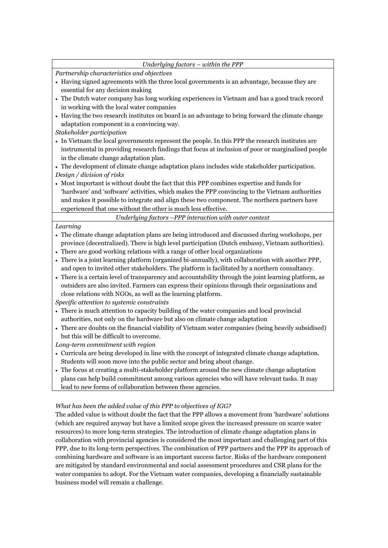#### *Underlying factors – within the PPP*

*Partnership characteristics and objectives*

- Having signed agreements with the three local governments is an advantage, because they are essential for any decision making
- The Dutch water company has long working experiences in Vietnam and has a good track record in working with the local water companies
- Having the two research institutes on board is an advantage to bring forward the climate change adaptation component in a convincing way.

*Stakeholder participation*

- In Vietnam the local governments represent the people. In this PPP the research institutes are instrumental in providing research findings that focus at inclusion of poor or marginalised people in the climate change adaptation plan.
- The development of climate change adaptation plans includes wide stakeholder participation. *Design / division of risks*
- Most important is without doubt the fact that this PPP combines expertise and funds for 'hardware' and 'software' activities, which makes the PPP convincing to the Vietnam authorities and makes it possible to integrate and align these two component. The northern partners have experienced that one without the other is much less effective.

*Underlying factors –PPP interaction with outer context*

#### *Learning*

- The climate change adaptation plans are being introduced and discussed during workshops, per province (decentralized). There is high level participation (Dutch embassy, Vietnam authorities).
- There are good working relations with a range of other local organizations
- There is a joint learning platform (organized bi-annually), with collaboration with another PPP, and open to invited other stakeholders. The platform is facilitated by a northern consultancy.
- There is a certain level of transparency and accountability through the joint learning platform, as outsiders are also invited. Farmers can express their opinions through their organizations and close relations with NGOs, as well as the learning platform.

*Specific attention to systemic constraints* 

- There is much attention to capacity building of the water companies and local provincial authorities, not only on the hardware but also on climate change adaptation
- There are doubts on the financial viability of Vietnam water companies (being heavily subsidised) but this will be difficult to overcome.

*Long-term commitment with region*

- Curricula are being developed in line with the concept of integrated climate change adaptation. Students will soon move into the public sector and bring about change.
- The focus at creating a multi-stakeholder platform around the new climate change adaptation plans can help build commitment among various agencies who will have relevant tasks. It may lead to new forms of collaboration between these agencies.

#### *What has been the added value of this PPP to objectives of IGG?*

The added value is without doubt the fact that the PPP allows a movement from 'hardware' solutions (which are required anyway but have a limited scope given the increased pressure on scarce water resources) to more long-term strategies. The introduction of climate change adaptation plans in collaboration with provincial agencies is considered the most important and challenging part of this PPP, due to its long-term perspectives. The combination of PPP partners and the PPP its approach of combining hardware and software is an important success factor. Risks of the hardware component are mitigated by standard environmental and social assessment procedures and CSR plans for the water companies to adopt. For the Vietnam water companies, developing a financially sustainable business model will remain a challenge.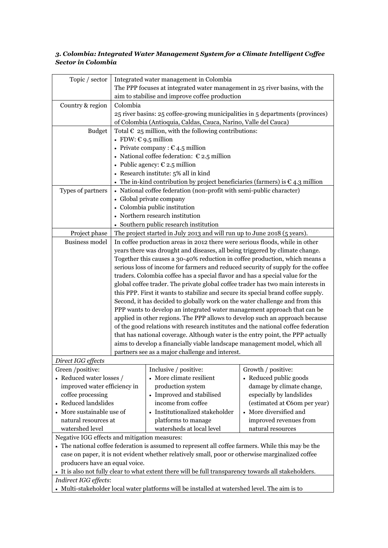#### *3. Colombia: Integrated Water Management System for a Climate Intelligent Coffee Sector in Colombia*

| Topic / sector                                                                                        | Integrated water management in Colombia                                                                                                                         |                                                                                                                    |                                                          |  |
|-------------------------------------------------------------------------------------------------------|-----------------------------------------------------------------------------------------------------------------------------------------------------------------|--------------------------------------------------------------------------------------------------------------------|----------------------------------------------------------|--|
|                                                                                                       | The PPP focuses at integrated water management in 25 river basins, with the                                                                                     |                                                                                                                    |                                                          |  |
|                                                                                                       |                                                                                                                                                                 | aim to stabilise and improve coffee production                                                                     |                                                          |  |
| Country & region                                                                                      | Colombia                                                                                                                                                        |                                                                                                                    |                                                          |  |
|                                                                                                       |                                                                                                                                                                 | 25 river basins: 25 coffee-growing municipalities in 5 departments (provinces)                                     |                                                          |  |
|                                                                                                       |                                                                                                                                                                 | of Colombia (Antioquia, Caldas, Cauca, Narino, Valle del Cauca)                                                    |                                                          |  |
| <b>Budget</b>                                                                                         | Total $\epsilon$ 25 million, with the following contributions:                                                                                                  |                                                                                                                    |                                                          |  |
|                                                                                                       | • FDW: $\epsilon$ 9.5 million                                                                                                                                   |                                                                                                                    |                                                          |  |
|                                                                                                       |                                                                                                                                                                 | • Private company : $C$ 4.5 million                                                                                |                                                          |  |
|                                                                                                       |                                                                                                                                                                 | • National coffee federation: $\epsilon$ 2.5 million                                                               |                                                          |  |
|                                                                                                       |                                                                                                                                                                 | • Public agency: $\epsilon$ 2.5 million                                                                            |                                                          |  |
|                                                                                                       |                                                                                                                                                                 | • Research institute: 5% all in kind                                                                               |                                                          |  |
|                                                                                                       |                                                                                                                                                                 | • The in-kind contribution by project beneficiaries (farmers) is $\epsilon$ 4.3 million                            |                                                          |  |
| Types of partners                                                                                     |                                                                                                                                                                 | • National coffee federation (non-profit with semi-public character)                                               |                                                          |  |
|                                                                                                       |                                                                                                                                                                 | • Global private company                                                                                           |                                                          |  |
|                                                                                                       |                                                                                                                                                                 | • Colombia public institution                                                                                      |                                                          |  |
|                                                                                                       |                                                                                                                                                                 | • Northern research institution                                                                                    |                                                          |  |
|                                                                                                       |                                                                                                                                                                 | • Southern public research institution<br>The project started in July 2013 and will run up to June 2018 (5 years). |                                                          |  |
| Project phase<br><b>Business model</b>                                                                |                                                                                                                                                                 | In coffee production areas in 2012 there were serious floods, while in other                                       |                                                          |  |
|                                                                                                       |                                                                                                                                                                 | years there was drought and diseases, all being triggered by climate change.                                       |                                                          |  |
|                                                                                                       |                                                                                                                                                                 |                                                                                                                    |                                                          |  |
|                                                                                                       | Together this causes a 30-40% reduction in coffee production, which means a<br>serious loss of income for farmers and reduced security of supply for the coffee |                                                                                                                    |                                                          |  |
|                                                                                                       | traders. Colombia coffee has a special flavor and has a special value for the                                                                                   |                                                                                                                    |                                                          |  |
|                                                                                                       |                                                                                                                                                                 | global coffee trader. The private global coffee trader has two main interests in                                   |                                                          |  |
|                                                                                                       |                                                                                                                                                                 | this PPP. First it wants to stabilize and secure its special brand coffee supply.                                  |                                                          |  |
|                                                                                                       |                                                                                                                                                                 | Second, it has decided to globally work on the water challenge and from this                                       |                                                          |  |
|                                                                                                       |                                                                                                                                                                 | PPP wants to develop an integrated water management approach that can be                                           |                                                          |  |
|                                                                                                       |                                                                                                                                                                 | applied in other regions. The PPP allows to develop such an approach because                                       |                                                          |  |
|                                                                                                       | of the good relations with research institutes and the national coffee federation                                                                               |                                                                                                                    |                                                          |  |
|                                                                                                       | that has national coverage. Although water is the entry point, the PPP actually                                                                                 |                                                                                                                    |                                                          |  |
|                                                                                                       | aims to develop a financially viable landscape management model, which all                                                                                      |                                                                                                                    |                                                          |  |
|                                                                                                       |                                                                                                                                                                 | partners see as a major challenge and interest.                                                                    |                                                          |  |
| Direct IGG effects                                                                                    |                                                                                                                                                                 |                                                                                                                    |                                                          |  |
| Green /positive:                                                                                      |                                                                                                                                                                 | Inclusive / positive:                                                                                              | Growth / positive:                                       |  |
| • Reduced water losses /                                                                              |                                                                                                                                                                 | • More climate resilient                                                                                           | • Reduced public goods                                   |  |
| improved water efficiency in                                                                          |                                                                                                                                                                 | production system<br>• Improved and stabilised                                                                     | damage by climate change,                                |  |
| coffee processing                                                                                     |                                                                                                                                                                 | income from coffee                                                                                                 | especially by landslides<br>(estimated at €60m per year) |  |
| • Reduced landslides<br>- More sustainable use of                                                     |                                                                                                                                                                 | • Institutionalized stakeholder                                                                                    | • More diversified and                                   |  |
| natural resources at                                                                                  |                                                                                                                                                                 | platforms to manage                                                                                                | improved revenues from                                   |  |
| watershed level                                                                                       |                                                                                                                                                                 | watersheds at local level                                                                                          | natural resources                                        |  |
| Negative IGG effects and mitigation measures:                                                         |                                                                                                                                                                 |                                                                                                                    |                                                          |  |
| • The national coffee federation is assumed to represent all coffee farmers. While this may be the    |                                                                                                                                                                 |                                                                                                                    |                                                          |  |
| case on paper, it is not evident whether relatively small, poor or otherwise marginalized coffee      |                                                                                                                                                                 |                                                                                                                    |                                                          |  |
| producers have an equal voice.                                                                        |                                                                                                                                                                 |                                                                                                                    |                                                          |  |
| • It is also not fully clear to what extent there will be full transparency towards all stakeholders. |                                                                                                                                                                 |                                                                                                                    |                                                          |  |
| Indirect IGG effects:                                                                                 |                                                                                                                                                                 |                                                                                                                    |                                                          |  |

Multi-stakeholder local water platforms will be installed at watershed level. The aim is to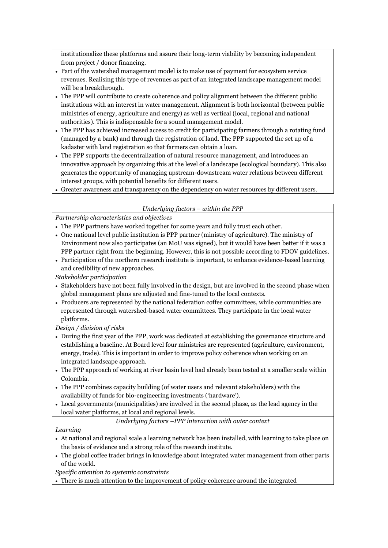institutionalize these platforms and assure their long-term viability by becoming independent from project / donor financing.

- Part of the watershed management model is to make use of payment for ecosystem service revenues. Realising this type of revenues as part of an integrated landscape management model will be a breakthrough.
- The PPP will contribute to create coherence and policy alignment between the different public institutions with an interest in water management. Alignment is both horizontal (between public ministries of energy, agriculture and energy) as well as vertical (local, regional and national authorities). This is indispensable for a sound management model.
- The PPP has achieved increased access to credit for participating farmers through a rotating fund (managed by a bank) and through the registration of land. The PPP supported the set up of a kadaster with land registration so that farmers can obtain a loan.
- The PPP supports the decentralization of natural resource management, and introduces an innovative approach by organizing this at the level of a landscape (ecological boundary). This also generates the opportunity of managing upstream-downstream water relations between different interest groups, with potential benefits for different users.
- Greater awareness and transparency on the dependency on water resources by different users.

#### *Underlying factors – within the PPP*

*Partnership characteristics and objectives*

- The PPP partners have worked together for some years and fully trust each other.
- One national level public institution is PPP partner (ministry of agriculture). The ministry of Environment now also participates (an MoU was signed), but it would have been better if it was a PPP partner right from the beginning. However, this is not possible according to FDOV guidelines.
- Participation of the northern research institute is important, to enhance evidence-based learning and credibility of new approaches.

*Stakeholder participation*

- Stakeholders have not been fully involved in the design, but are involved in the second phase when global management plans are adjusted and fine-tuned to the local contexts.
- Producers are represented by the national federation coffee committees, while communities are represented through watershed-based water committees. They participate in the local water platforms.

*Design / division of risks*

- During the first year of the PPP, work was dedicated at establishing the governance structure and establishing a baseline. At Board level four ministries are represented (agriculture, environment, energy, trade). This is important in order to improve policy coherence when working on an integrated landscape approach.
- The PPP approach of working at river basin level had already been tested at a smaller scale within Colombia.
- The PPP combines capacity building (of water users and relevant stakeholders) with the availability of funds for bio-engineering investments ('hardware').
- Local governments (municipalities) are involved in the second phase, as the lead agency in the local water platforms, at local and regional levels.

*Underlying factors –PPP interaction with outer context*

#### *Learning*

- At national and regional scale a learning network has been installed, with learning to take place on the basis of evidence and a strong role of the research institute.
- The global coffee trader brings in knowledge about integrated water management from other parts of the world.

*Specific attention to systemic constraints* 

There is much attention to the improvement of policy coherence around the integrated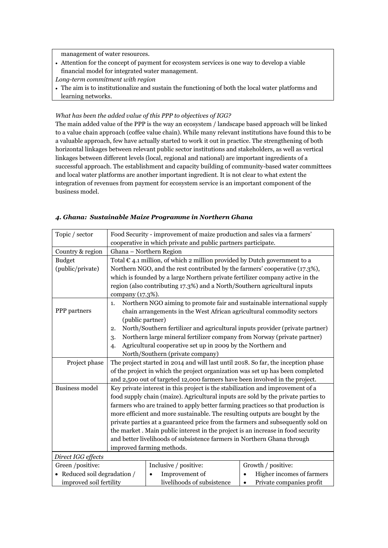management of water resources.

- Attention for the concept of payment for ecosystem services is one way to develop a viable financial model for integrated water management.
- *Long-term commitment with region*
- The aim is to institutionalize and sustain the functioning of both the local water platforms and learning networks.

#### *What has been the added value of this PPP to objectives of IGG?*

The main added value of the PPP is the way an ecosystem / landscape based approach will be linked to a value chain approach (coffee value chain). While many relevant institutions have found this to be a valuable approach, few have actually started to work it out in practice. The strengthening of both horizontal linkages between relevant public sector institutions and stakeholders, as well as vertical linkages between different levels (local, regional and national) are important ingredients of a successful approach. The establishment and capacity building of community-based water committees and local water platforms are another important ingredient. It is not clear to what extent the integration of revenues from payment for ecosystem service is an important component of the business model.

#### *4. Ghana: Sustainable Maize Programme in Northern Ghana*

| Topic / sector                              | Food Security - improvement of maize production and sales via a farmers'           |                                                                                   |                                       |  |
|---------------------------------------------|------------------------------------------------------------------------------------|-----------------------------------------------------------------------------------|---------------------------------------|--|
|                                             | cooperative in which private and public partners participate.                      |                                                                                   |                                       |  |
| Country & region                            | Ghana - Northern Region                                                            |                                                                                   |                                       |  |
| <b>Budget</b>                               | Total $\epsilon$ 4.1 million, of which 2 million provided by Dutch government to a |                                                                                   |                                       |  |
| (public/private)                            | Northern NGO, and the rest contributed by the farmers' cooperative (17.3%),        |                                                                                   |                                       |  |
|                                             |                                                                                    | which is founded by a large Northern private fertilizer company active in the     |                                       |  |
|                                             |                                                                                    | region (also contributing 17.3%) and a North/Southern agricultural inputs         |                                       |  |
|                                             | company (17.3%).                                                                   |                                                                                   |                                       |  |
|                                             | 1.                                                                                 | Northern NGO aiming to promote fair and sustainable international supply          |                                       |  |
| PPP partners                                |                                                                                    | chain arrangements in the West African agricultural commodity sectors             |                                       |  |
|                                             | (public partner)                                                                   |                                                                                   |                                       |  |
|                                             | 2.                                                                                 | North/Southern fertilizer and agricultural inputs provider (private partner)      |                                       |  |
|                                             | 3.                                                                                 | Northern large mineral fertilizer company from Norway (private partner)           |                                       |  |
|                                             | 4.                                                                                 | Agricultural cooperative set up in 2009 by the Northern and                       |                                       |  |
|                                             | North/Southern (private company)                                                   |                                                                                   |                                       |  |
| Project phase                               | The project started in 2014 and will last until 2018. So far, the inception phase  |                                                                                   |                                       |  |
|                                             |                                                                                    | of the project in which the project organization was set up has been completed    |                                       |  |
|                                             | and 2,500 out of targeted 12,000 farmers have been involved in the project.        |                                                                                   |                                       |  |
| <b>Business model</b>                       | Key private interest in this project is the stabilization and improvement of a     |                                                                                   |                                       |  |
|                                             |                                                                                    | food supply chain (maize). Agricultural inputs are sold by the private parties to |                                       |  |
|                                             |                                                                                    | farmers who are trained to apply better farming practices so that production is   |                                       |  |
|                                             |                                                                                    | more efficient and more sustainable. The resulting outputs are bought by the      |                                       |  |
|                                             | private parties at a guaranteed price from the farmers and subsequently sold on    |                                                                                   |                                       |  |
|                                             |                                                                                    | the market. Main public interest in the project is an increase in food security   |                                       |  |
|                                             | and better livelihoods of subsistence farmers in Northern Ghana through            |                                                                                   |                                       |  |
|                                             | improved farming methods.                                                          |                                                                                   |                                       |  |
| Direct IGG effects                          |                                                                                    |                                                                                   |                                       |  |
| Green /positive:                            |                                                                                    | Inclusive / positive:                                                             | Growth / positive:                    |  |
| - Reduced soil degradation $\boldsymbol{/}$ |                                                                                    | Improvement of                                                                    | Higher incomes of farmers             |  |
| improved soil fertility                     |                                                                                    | livelihoods of subsistence                                                        | Private companies profit<br>$\bullet$ |  |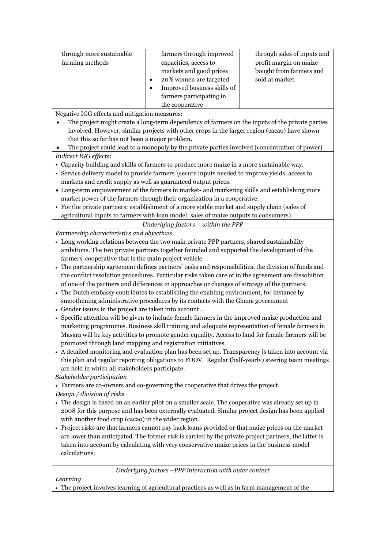| through more sustainable<br>farming methods | farmers through improved<br>capacities, access to<br>markets and good prices<br>20% women are targeted<br>Improved business skills of<br>farmers participating in<br>the cooperative | through sales of inputs and<br>profit margin on maize<br>bought from farmers and<br>sold at market |
|---------------------------------------------|--------------------------------------------------------------------------------------------------------------------------------------------------------------------------------------|----------------------------------------------------------------------------------------------------|
|---------------------------------------------|--------------------------------------------------------------------------------------------------------------------------------------------------------------------------------------|----------------------------------------------------------------------------------------------------|

Negative IGG effects and mitigation measures:

 The project might create a long-term dependency of farmers on the inputs of the private parties involved. However, similar projects with other crops in the larger region (cacao) have shown that this so far has not been a major problem.

The project could lead to a monopoly by the private parties involved (concentration of power).

- *Indirect IGG effects*:
- Capacity building and skills of farmers to produce more maize in a more sustainable way.
- Service delivery model to provide farmers \secure inputs needed to improve yields, access to markets and credit supply as well as guaranteed output prices.
- Long-term empowerment of the farmers in market- and marketing skills and establishing more market power of the farmers through their organization in a cooperative.
- For the private partners: establishment of a more stable market and supply chain (sales of agricultural inputs to farmers with loan model; sales of maize outputs to consumers).

*Underlying factors – within the PPP*

*Partnership characteristics and objectives*

- Long working relations between the two main private PPP partners, shared sustainability ambitions. The two private partners together founded and supported the development of the farmers' cooperative that is the main project vehicle.
- The partnership agreement defines partners' tasks and responsibilities, the division of funds and the conflict resolution procedures. Particular risks taken care of in the agreement are dissolution of one of the partners and differences in approaches or changes of strategy of the partners.
- The Dutch embassy contributes to establishing the enabling environment, for instance by smoothening administrative procedures by its contacts with the Ghana government
- Gender issues in the project are taken into account ..
- Specific attention will be given to include female farmers in the improved maize production and marketing programmes. Business skill training and adequate representation of female farmers in Masara will be key activities to promote gender equality. Access to land for female farmers will be promoted through land mapping and registration initiatives.
- A detailed monitoring and evaluation plan has been set up. Transparency is taken into account via this plan and regular reporting obligations to FDOV. Regular (half-yearly) steering team meetings are held in which all stakeholders participate.

*Stakeholder participation*

Farmers are co-owners and co-governing the cooperative that drives the project.

*Design / division of risks*

- The design is based on an earlier pilot on a smaller scale. The cooperative was already set up in 2008 for this purpose and has been externally evaluated. Similar project design has been applied with another food crop (cacao) in the wider region.
- Project risks are that farmers cannot pay back loans provided or that maize prices on the market are lower than anticipated. The former risk is carried by the private project partners, the latter is taken into account by calculating with very conservative maize prices in the business model calculations.

*Underlying factors –PPP interaction with outer context*

*Learning*

The project involves learning of agricultural practices as well as in farm management of the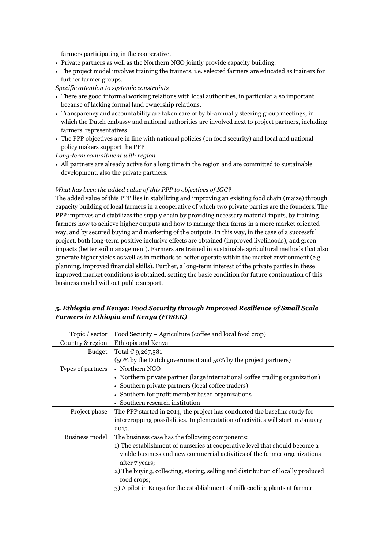farmers participating in the cooperative.

- Private partners as well as the Northern NGO jointly provide capacity building.
- The project model involves training the trainers, i.e. selected farmers are educated as trainers for further farmer groups.

*Specific attention to systemic constraints* 

- There are good informal working relations with local authorities, in particular also important because of lacking formal land ownership relations.
- Transparency and accountability are taken care of by bi-annually steering group meetings, in which the Dutch embassy and national authorities are involved next to project partners, including farmers' representatives.
- The PPP objectives are in line with national policies (on food security) and local and national policy makers support the PPP

*Long-term commitment with region*

 All partners are already active for a long time in the region and are committed to sustainable development, also the private partners.

#### *What has been the added value of this PPP to objectives of IGG?*

The added value of this PPP lies in stabilizing and improving an existing food chain (maize) through capacity building of local farmers in a cooperative of which two private parties are the founders. The PPP improves and stabilizes the supply chain by providing necessary material inputs, by training farmers how to achieve higher outputs and how to manage their farms in a more market oriented way, and by secured buying and marketing of the outputs. In this way, in the case of a successful project, both long-term positive inclusive effects are obtained (improved livelihoods), and green impacts (better soil management). Farmers are trained in sustainable agricultural methods that also generate higher yields as well as in methods to better operate within the market environment (e.g. planning, improved financial skills). Further, a long-term interest of the private parties in these improved market conditions is obtained, setting the basic condition for future continuation of this business model without public support.

#### *5. Ethiopia and Kenya: Food Security through Improved Resilience of Small Scale Farmers in Ethiopia and Kenya (FOSEK)*

| Topic / sector    | Food Security - Agriculture (coffee and local food crop)                         |
|-------------------|----------------------------------------------------------------------------------|
| Country & region  | Ethiopia and Kenya                                                               |
| <b>Budget</b>     | Total € 9,267,581                                                                |
|                   | (50% by the Dutch government and 50% by the project partners)                    |
| Types of partners | • Northern NGO                                                                   |
|                   | • Northern private partner (large international coffee trading organization)     |
|                   | • Southern private partners (local coffee traders)                               |
|                   | • Southern for profit member based organizations                                 |
|                   | • Southern research institution                                                  |
| Project phase     | The PPP started in 2014, the project has conducted the baseline study for        |
|                   | intercropping possibilities. Implementation of activities will start in January  |
|                   | 2015.                                                                            |
| Business model    | The business case has the following components:                                  |
|                   | 1) The establishment of nurseries at cooperative level that should become a      |
|                   | viable business and new commercial activities of the farmer organizations        |
|                   | after 7 years;                                                                   |
|                   | 2) The buying, collecting, storing, selling and distribution of locally produced |
|                   | food crops;                                                                      |
|                   | 3) A pilot in Kenya for the establishment of milk cooling plants at farmer       |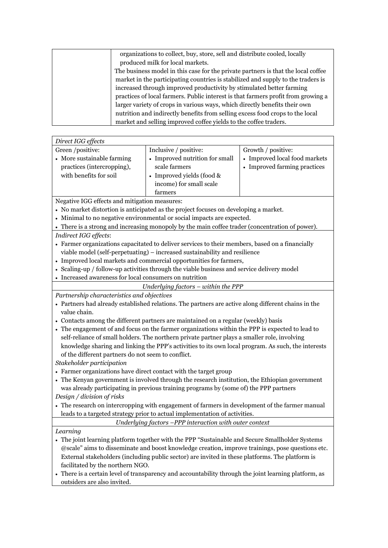| organizations to collect, buy, store, sell and distribute cooled, locally         |
|-----------------------------------------------------------------------------------|
| produced milk for local markets.                                                  |
| The business model in this case for the private partners is that the local coffee |
| market in the participating countries is stabilized and supply to the traders is  |
| increased through improved productivity by stimulated better farming              |
| practices of local farmers. Public interest is that farmers profit from growing a |
| larger variety of crops in various ways, which directly benefits their own        |
| nutrition and indirectly benefits from selling excess food crops to the local     |
| market and selling improved coffee yields to the coffee traders.                  |

| Direct IGG effects                                                                                                 |                                |                               |
|--------------------------------------------------------------------------------------------------------------------|--------------------------------|-------------------------------|
| Green /positive:                                                                                                   | Inclusive / positive:          | Growth / positive:            |
| • More sustainable farming                                                                                         | • Improved nutrition for small | • Improved local food markets |
| practices (intercropping),                                                                                         | scale farmers                  | • Improved farming practices  |
| with benefits for soil                                                                                             | • Improved yields (food $\&$   |                               |
|                                                                                                                    | income) for small scale        |                               |
|                                                                                                                    | farmers                        |                               |
| $\mathbf{M}$ and $\mathbf{M}$ and $\mathbf{M}$ and $\mathbf{M}$ and $\mathbf{M}$ and $\mathbf{M}$ and $\mathbf{M}$ |                                |                               |

Negative IGG effects and mitigation measures:

- No market distortion is anticipated as the project focuses on developing a market.
- Minimal to no negative environmental or social impacts are expected.
- There is a strong and increasing monopoly by the main coffee trader (concentration of power).
- *Indirect IGG effects*:
- Farmer organizations capacitated to deliver services to their members, based on a financially viable model (self-perpetuating) – increased sustainability and resilience
- Improved local markets and commercial opportunities for farmers,
- Scaling-up / follow-up activities through the viable business and service delivery model
- Increased awareness for local consumers on nutrition

#### *Underlying factors – within the PPP*

*Partnership characteristics and objectives*

- Partners had already established relations. The partners are active along different chains in the value chain.
- Contacts among the different partners are maintained on a regular (weekly) basis
- The engagement of and focus on the farmer organizations within the PPP is expected to lead to self-reliance of small holders. The northern private partner plays a smaller role, involving knowledge sharing and linking the PPP's activities to its own local program. As such, the interests of the different partners do not seem to conflict.

*Stakeholder participation*

- Farmer organizations have direct contact with the target group
- The Kenyan government is involved through the research institution, the Ethiopian government was already participating in previous training programs by (some of) the PPP partners *Design / division of risks*
- The research on intercropping with engagement of farmers in development of the farmer manual leads to a targeted strategy prior to actual implementation of activities.

*Underlying factors –PPP interaction with outer context*

*Learning*

- The joint learning platform together with the PPP "Sustainable and Secure Smallholder Systems @scale" aims to disseminate and boost knowledge creation, improve trainings, pose questions etc. External stakeholders (including public sector) are invited in these platforms. The platform is facilitated by the northern NGO.
- There is a certain level of transparency and accountability through the joint learning platform, as outsiders are also invited.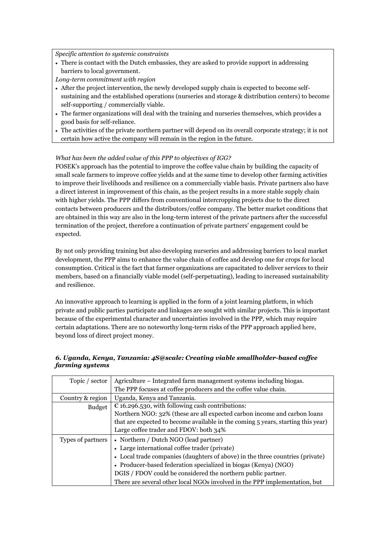*Specific attention to systemic constraints* 

- There is contact with the Dutch embassies, they are asked to provide support in addressing barriers to local government.
- *Long-term commitment with region*
- After the project intervention, the newly developed supply chain is expected to become selfsustaining and the established operations (nurseries and storage & distribution centers) to become self-supporting / commercially viable.
- The farmer organizations will deal with the training and nurseries themselves, which provides a good basis for self-reliance.
- The activities of the private northern partner will depend on its overall corporate strategy; it is not certain how active the company will remain in the region in the future.

#### *What has been the added value of this PPP to objectives of IGG?*

FOSEK's approach has the potential to improve the coffee value chain by building the capacity of small scale farmers to improve coffee yields and at the same time to develop other farming activities to improve their livelihoods and resilience on a commercially viable basis. Private partners also have a direct interest in improvement of this chain, as the project results in a more stable supply chain with higher yields. The PPP differs from conventional intercropping projects due to the direct contacts between producers and the distributors/coffee company. The better market conditions that are obtained in this way are also in the long-term interest of the private partners after the successful termination of the project, therefore a continuation of private partners' engagement could be expected.

By not only providing training but also developing nurseries and addressing barriers to local market development, the PPP aims to enhance the value chain of coffee and develop one for crops for local consumption. Critical is the fact that farmer organizations are capacitated to deliver services to their members, based on a financially viable model (self-perpetuating), leading to increased sustainability and resilience.

An innovative approach to learning is applied in the form of a joint learning platform, in which private and public parties participate and linkages are sought with similar projects. This is important because of the experimental character and uncertainties involved in the PPP, which may require certain adaptations. There are no noteworthy long-term risks of the PPP approach applied here, beyond loss of direct project money.

#### Topic / sector  $\vert$  Agriculture – Integrated farm management systems including biogas. The PPP focuses at coffee producers and the coffee value chain. Country & region Uganda, Kenya and Tanzania. Budget  $\sqrt{\epsilon}$  16.296.530, with following cash contributions: Northern NGO: 32% (these are all expected carbon income and carbon loans that are expected to become available in the coming 5 years, starting this year) Large coffee trader and FDOV: both 34% Types of partners | • Northern / Dutch NGO (lead partner) Large international coffee trader (private) Local trade companies (daughters of above) in the three countries (private) Producer-based federation specialized in biogas (Kenya) (NGO) DGIS / FDOV could be considered the northern public partner.

#### *6. Uganda, Kenya, Tanzania: 4S@scale: Creating viable smallholder-based coffee farming systems*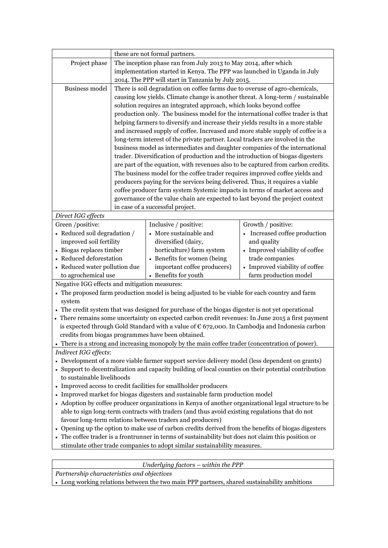|                                                                                                                                                                                                        |                                                                                                  | these are not formal partners.                                                                         |                                |  |
|--------------------------------------------------------------------------------------------------------------------------------------------------------------------------------------------------------|--------------------------------------------------------------------------------------------------|--------------------------------------------------------------------------------------------------------|--------------------------------|--|
| Project phase                                                                                                                                                                                          | The inception phase ran from July 2013 to May 2014, after which                                  |                                                                                                        |                                |  |
|                                                                                                                                                                                                        | implementation started in Kenya. The PPP was launched in Uganda in July                          |                                                                                                        |                                |  |
|                                                                                                                                                                                                        | 2014. The PPP will start in Tanzania by July 2015.                                               |                                                                                                        |                                |  |
| <b>Business model</b>                                                                                                                                                                                  |                                                                                                  | There is soil degradation on coffee farms due to overuse of agro-chemicals,                            |                                |  |
|                                                                                                                                                                                                        |                                                                                                  | causing low yields. Climate change is another threat. A long-term / sustainable                        |                                |  |
|                                                                                                                                                                                                        |                                                                                                  | solution requires an integrated approach, which looks beyond coffee                                    |                                |  |
|                                                                                                                                                                                                        |                                                                                                  | production only. The business model for the international coffee trader is that                        |                                |  |
|                                                                                                                                                                                                        |                                                                                                  | helping farmers to diversify and increase their yields results in a more stable                        |                                |  |
|                                                                                                                                                                                                        |                                                                                                  | and increased supply of coffee. Increased and more stable supply of coffee is a                        |                                |  |
|                                                                                                                                                                                                        |                                                                                                  | long-term interest of the private partner. Local traders are involved in the                           |                                |  |
|                                                                                                                                                                                                        |                                                                                                  | business model as intermediates and daughter companies of the international                            |                                |  |
|                                                                                                                                                                                                        |                                                                                                  | trader. Diversification of production and the introduction of biogas digesters                         |                                |  |
|                                                                                                                                                                                                        |                                                                                                  | are part of the equation, with revenues also to be captured from carbon credits.                       |                                |  |
|                                                                                                                                                                                                        |                                                                                                  | The business model for the coffee trader requires improved coffee yields and                           |                                |  |
|                                                                                                                                                                                                        |                                                                                                  | producers paying for the services being delivered. Thus, it requires a viable                          |                                |  |
|                                                                                                                                                                                                        |                                                                                                  | coffee producer farm system Systemic impacts in terms of market access and                             |                                |  |
|                                                                                                                                                                                                        |                                                                                                  | governance of the value chain are expected to last beyond the project context                          |                                |  |
|                                                                                                                                                                                                        |                                                                                                  | in case of a successful project.                                                                       |                                |  |
| Direct IGG effects                                                                                                                                                                                     |                                                                                                  |                                                                                                        |                                |  |
| Green /positive:                                                                                                                                                                                       |                                                                                                  | Inclusive / positive:                                                                                  | Growth / positive:             |  |
| • Reduced soil degradation /                                                                                                                                                                           |                                                                                                  | • More sustainable and                                                                                 | Increased coffee production    |  |
| improved soil fertility                                                                                                                                                                                |                                                                                                  | diversified (dairy,                                                                                    | and quality                    |  |
| • Biogas replaces timber                                                                                                                                                                               |                                                                                                  | horticulture) farm system                                                                              | • Improved viability of coffee |  |
| • Reduced deforestation                                                                                                                                                                                |                                                                                                  | • Benefits for women (being                                                                            | trade companies                |  |
| • Reduced water pollution due                                                                                                                                                                          |                                                                                                  | important coffee producers)                                                                            | • Improved viability of coffee |  |
| to agrochemical use                                                                                                                                                                                    |                                                                                                  | • Benefits for youth                                                                                   | farm production model          |  |
| Negative IGG effects and mitigation measures:                                                                                                                                                          |                                                                                                  |                                                                                                        |                                |  |
|                                                                                                                                                                                                        |                                                                                                  | • The proposed farm production model is being adjusted to be viable for each country and farm          |                                |  |
| system                                                                                                                                                                                                 |                                                                                                  |                                                                                                        |                                |  |
|                                                                                                                                                                                                        | • The credit system that was designed for purchase of the biogas digester is not yet operational |                                                                                                        |                                |  |
|                                                                                                                                                                                                        |                                                                                                  | • There remains some uncertainty on expected carbon credit revenues: In June 2015 a first payment      |                                |  |
|                                                                                                                                                                                                        |                                                                                                  | is expected through Gold Standard with a value of $\epsilon$ 672,000. In Cambodja and Indonesia carbon |                                |  |
|                                                                                                                                                                                                        |                                                                                                  | credits from biogas programmes have been obtained.                                                     |                                |  |
|                                                                                                                                                                                                        |                                                                                                  | • There is a strong and increasing monopoly by the main coffee trader (concentration of power).        |                                |  |
| Indirect IGG effects:                                                                                                                                                                                  |                                                                                                  |                                                                                                        |                                |  |
| • Development of a more viable farmer support service delivery model (less dependent on grants)                                                                                                        |                                                                                                  |                                                                                                        |                                |  |
| • Support to decentralization and capacity building of local counties on their potential contribution                                                                                                  |                                                                                                  |                                                                                                        |                                |  |
| to sustainable livelihoods                                                                                                                                                                             |                                                                                                  |                                                                                                        |                                |  |
| • Improved access to credit facilities for smallholder producers                                                                                                                                       |                                                                                                  |                                                                                                        |                                |  |
| • Improved market for biogas digesters and sustainable farm production model                                                                                                                           |                                                                                                  |                                                                                                        |                                |  |
| • Adoption by coffee producer organizations in Kenya of another organizational legal structure to be<br>able to sign long-term contracts with traders (and thus avoid existing regulations that do not |                                                                                                  |                                                                                                        |                                |  |
| favour long-term relations between traders and producers)                                                                                                                                              |                                                                                                  |                                                                                                        |                                |  |
| Opening up the option to make use of carbon credits derived from the benefits of biogas digesters                                                                                                      |                                                                                                  |                                                                                                        |                                |  |
| • The coffee trader is a frontrunner in terms of sustainability but does not claim this position or                                                                                                    |                                                                                                  |                                                                                                        |                                |  |
|                                                                                                                                                                                                        | stimulate other trade companies to adopt similar sustainability measures.                        |                                                                                                        |                                |  |
|                                                                                                                                                                                                        |                                                                                                  |                                                                                                        |                                |  |
|                                                                                                                                                                                                        |                                                                                                  |                                                                                                        |                                |  |

*Underlying factors – within the PPP*

*Partnership characteristics and objectives*

Long working relations between the two main PPP partners, shared sustainability ambitions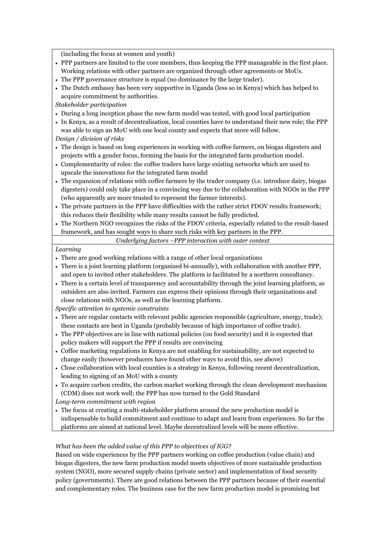(including the focus at women and youth)

- PPP partners are limited to the core members, thus keeping the PPP manageable in the first place. Working relations with other partners are organized through other agreements or MoUs.
- The PPP governance structure is equal (no dominance by the large trader).
- The Dutch embassy has been very supportive in Uganda (less so in Kenya) which has helped to acquire commitment by authorities.

*Stakeholder participation*

- During a long inception phase the new farm model was tested, with good local participation
- In Kenya, as a result of decentralisation, local counties have to understand their new role; the PPP was able to sign an MoU with one local county and expects that more will follow.

*Design / division of risks*

- The design is based on long experiences in working with coffee farmers, on biogas digesters and projects with a gender focus, forming the basis for the integrated farm production model.
- Complementarity of roles: the coffee traders have large existing networks which are used to upscale the innovations for the integrated farm model
- The expansion of relations with coffee farmers by the trader company (i.e. introduce dairy, biogas digesters) could only take place in a convincing way due to the collaboration with NGOs in the PPP (who apparently are more trusted to represent the farmer interests).
- The private partners in the PPP have difficulties with the rather strict FDOV results framework; this reduces their flexibility while many results cannot be fully predicted.
- The Northern NGO recognizes the risks of the FDOV criteria, especially related to the result-based framework, and has sought ways to share such risks with key partners in the PPP.

*Underlying factors –PPP interaction with outer context*

#### *Learning*

- There are good working relations with a range of other local organizations
- There is a joint learning platform (organized bi-annually), with collaboration with another PPP, and open to invited other stakeholders. The platform is facilitated by a northern consultancy.
- There is a certain level of transparency and accountability through the joint learning platform, as outsiders are also invited. Farmers can express their opinions through their organizations and close relations with NGOs, as well as the learning platform.

*Specific attention to systemic constraints* 

- There are regular contacts with relevant public agencies responsible (agriculture, energy, trade); these contacts are best in Uganda (probably because of high importance of coffee trade).
- The PPP objectives are in line with national policies (on food security) and it is expected that policy makers will support the PPP if results are convincing
- Coffee marketing regulations in Kenya are not enabling for sustainability, are not expected to change easily (however producers have found other ways to avoid this, see above)
- Close collaboration with local counties is a strategy in Kenya, following recent decentralization, leading to signing of an MoU with a county
- To acquire carbon credits, the carbon market working through the clean development mechanism (CDM) does not work well; the PPP has now turned to the Gold Standard

*Long-term commitment with region*

 The focus at creating a multi-stakeholder platform around the new production model is indispensable to build commitment and continue to adapt and learn from experiences. So far the platforms are aimed at national level. Maybe decentralized levels will be more effective.

#### *What has been the added value of this PPP to objectives of IGG?*

Based on wide experiences by the PPP partners working on coffee production (value chain) and biogas digesters, the new farm production model meets objectives of more sustainable production system (NGO), more secured supply chains (private sector) and implementation of food security policy (governments). There are good relations between the PPP partners because of their essential and complementary roles. The business case for the new farm production model is promising but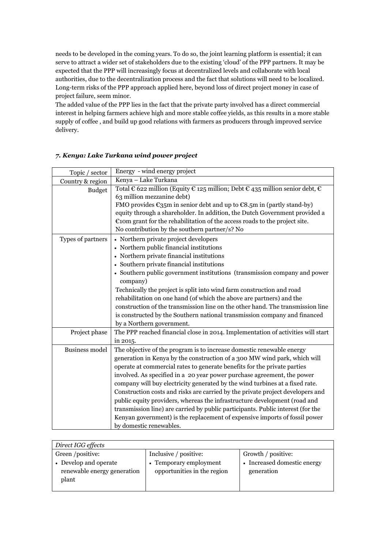needs to be developed in the coming years. To do so, the joint learning platform is essential; it can serve to attract a wider set of stakeholders due to the existing 'cloud' of the PPP partners. It may be expected that the PPP will increasingly focus at decentralized levels and collaborate with local authorities, due to the decentralization process and the fact that solutions will need to be localized. Long-term risks of the PPP approach applied here, beyond loss of direct project money in case of project failure, seem minor.

The added value of the PPP lies in the fact that the private party involved has a direct commercial interest in helping farmers achieve high and more stable coffee yields, as this results in a more stable supply of coffee , and build up good relations with farmers as producers through improved service delivery.

| Topic / sector        | Energy - wind energy project                                                                                     |
|-----------------------|------------------------------------------------------------------------------------------------------------------|
| Country & region      | Kenya - Lake Turkana                                                                                             |
| <b>Budget</b>         | Total $\epsilon$ 622 million (Equity $\epsilon$ 125 million; Debt $\epsilon$ 435 million senior debt, $\epsilon$ |
|                       | 63 million mezzanine debt)                                                                                       |
|                       | FMO provides $\epsilon_{35}$ m in senior debt and up to $\epsilon_{8.5}$ m in (partly stand-by)                  |
|                       | equity through a shareholder. In addition, the Dutch Government provided a                                       |
|                       | $\epsilon$ tom grant for the rehabilitation of the access roads to the project site.                             |
|                       | No contribution by the southern partner/s? No                                                                    |
| Types of partners     | • Northern private project developers                                                                            |
|                       | • Northern public financial institutions                                                                         |
|                       | • Northern private financial institutions                                                                        |
|                       | • Southern private financial institutions                                                                        |
|                       | • Southern public government institutions (transmission company and power                                        |
|                       | company)                                                                                                         |
|                       | Technically the project is split into wind farm construction and road                                            |
|                       | rehabilitation on one hand (of which the above are partners) and the                                             |
|                       | construction of the transmission line on the other hand. The transmission line                                   |
|                       | is constructed by the Southern national transmission company and financed                                        |
|                       | by a Northern government.                                                                                        |
| Project phase         | The PPP reached financial close in 2014. Implementation of activities will start                                 |
|                       | in 2015.                                                                                                         |
| <b>Business model</b> | The objective of the program is to increase domestic renewable energy                                            |
|                       | generation in Kenya by the construction of a 300 MW wind park, which will                                        |
|                       | operate at commercial rates to generate benefits for the private parties                                         |
|                       | involved. As specified in a 20 year power purchase agreement, the power                                          |
|                       | company will buy electricity generated by the wind turbines at a fixed rate.                                     |
|                       | Construction costs and risks are carried by the private project developers and                                   |
|                       | public equity providers, whereas the infrastructure development (road and                                        |
|                       | transmission line) are carried by public participants. Public interest (for the                                  |
|                       | Kenyan government) is the replacement of expensive imports of fossil power                                       |
|                       | by domestic renewables.                                                                                          |

#### *7. Kenya: Lake Turkana wind power project*

| Direct IGG effects          |                             |                             |  |
|-----------------------------|-----------------------------|-----------------------------|--|
| Green /positive:            | Inclusive / positive:       | Growth / positive:          |  |
| • Develop and operate       | • Temporary employment      | • Increased domestic energy |  |
| renewable energy generation | opportunities in the region | generation                  |  |
| plant                       |                             |                             |  |
|                             |                             |                             |  |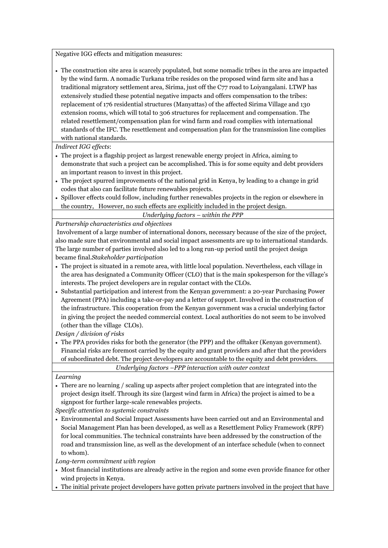Negative IGG effects and mitigation measures:

 The construction site area is scarcely populated, but some nomadic tribes in the area are impacted by the wind farm. A nomadic Turkana tribe resides on the proposed wind farm site and has a traditional migratory settlement area, Sirima, just off the C77 road to Loiyangalani. LTWP has extensively studied these potential negative impacts and offers compensation to the tribes: replacement of 176 residential structures (Manyattas) of the affected Sirima Village and 130 extension rooms, which will total to 306 structures for replacement and compensation. The related resettlement/compensation plan for wind farm and road complies with international standards of the IFC. The resettlement and compensation plan for the transmission line complies with national standards.

*Indirect IGG effects*:

- The project is a flagship project as largest renewable energy project in Africa, aiming to demonstrate that such a project can be accomplished. This is for some equity and debt providers an important reason to invest in this project.
- The project spurred improvements of the national grid in Kenya, by leading to a change in grid codes that also can facilitate future renewables projects.
- Spillover effects could follow, including further renewables projects in the region or elsewhere in the country, However, no such effects are explicitly included in the project design.

#### *Underlying factors – within the PPP*

*Partnership characteristics and objectives*

Involvement of a large number of international donors, necessary because of the size of the project, also made sure that environmental and social impact assessments are up to international standards. The large number of parties involved also led to a long run-up period until the project design became final.*Stakeholder participation*

- The project is situated in a remote area, with little local population. Nevertheless, each village in the area has designated a Community Officer (CLO) that is the main spokesperson for the village's interests. The project developers are in regular contact with the CLOs.
- Substantial participation and interest from the Kenyan government: a 20-year Purchasing Power Agreement (PPA) including a take-or-pay and a letter of support. Involved in the construction of the infrastructure. This cooperation from the Kenyan government was a crucial underlying factor in giving the project the needed commercial context. Local authorities do not seem to be involved (other than the village CLOs).

*Design / division of risks*

 The PPA provides risks for both the generator (the PPP) and the offtaker (Kenyan government). Financial risks are foremost carried by the equity and grant providers and after that the providers of subordinated debt. The project developers are accountable to the equity and debt providers.

*Underlying factors –PPP interaction with outer context*

#### *Learning*

 There are no learning / scaling up aspects after project completion that are integrated into the project design itself. Through its size (largest wind farm in Africa) the project is aimed to be a signpost for further large-scale renewables projects.

*Specific attention to systemic constraints* 

 Environmental and Social Impact Assessments have been carried out and an Environmental and Social Management Plan has been developed, as well as a Resettlement Policy Framework (RPF) for local communities. The technical constraints have been addressed by the construction of the road and transmission line, as well as the development of an interface schedule (when to connect to whom).

*Long-term commitment with region*

- Most financial institutions are already active in the region and some even provide finance for other wind projects in Kenya.
- The initial private project developers have gotten private partners involved in the project that have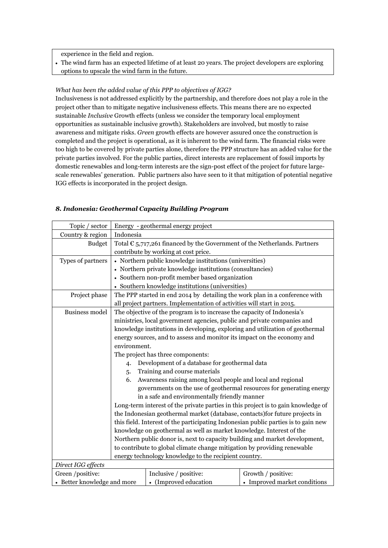experience in the field and region.

 The wind farm has an expected lifetime of at least 20 years. The project developers are exploring options to upscale the wind farm in the future.

#### *What has been the added value of this PPP to objectives of IGG?*

Inclusiveness is not addressed explicitly by the partnership, and therefore does not play a role in the project other than to mitigate negative inclusiveness effects. This means there are no expected sustainable *Inclusive* Growth effects (unless we consider the temporary local employment opportunities as sustainable inclusive growth). Stakeholders are involved, but mostly to raise awareness and mitigate risks. *Green* growth effects are however assured once the construction is completed and the project is operational, as it is inherent to the wind farm. The financial risks were too high to be covered by private parties alone, therefore the PPP structure has an added value for the private parties involved. For the public parties, direct interests are replacement of fossil imports by domestic renewables and long-term interests are the sign-post effect of the project for future largescale renewables' generation. Public partners also have seen to it that mitigation of potential negative IGG effects is incorporated in the project design.

| Topic / sector              | Energy - geothermal energy project                                                 |                                                                                    |                              |  |
|-----------------------------|------------------------------------------------------------------------------------|------------------------------------------------------------------------------------|------------------------------|--|
| Country & region            | Indonesia                                                                          |                                                                                    |                              |  |
| <b>Budget</b>               |                                                                                    | Total $\epsilon$ 5,717,261 financed by the Government of the Netherlands. Partners |                              |  |
|                             | contribute by working at cost price.                                               |                                                                                    |                              |  |
| Types of partners           | • Northern public knowledge institutions (universities)                            |                                                                                    |                              |  |
|                             | • Northern private knowledge institutions (consultancies)                          |                                                                                    |                              |  |
|                             |                                                                                    | • Southern non-profit member based organization                                    |                              |  |
|                             |                                                                                    | • Southern knowledge institutions (universities)                                   |                              |  |
| Project phase               |                                                                                    | The PPP started in end 2014 by detailing the work plan in a conference with        |                              |  |
|                             |                                                                                    | all project partners. Implementation of activities will start in 2015.             |                              |  |
| <b>Business model</b>       |                                                                                    | The objective of the program is to increase the capacity of Indonesia's            |                              |  |
|                             |                                                                                    | ministries, local government agencies, public and private companies and            |                              |  |
|                             |                                                                                    | knowledge institutions in developing, exploring and utilization of geothermal      |                              |  |
|                             |                                                                                    | energy sources, and to assess and monitor its impact on the economy and            |                              |  |
|                             |                                                                                    | environment.                                                                       |                              |  |
|                             | The project has three components:                                                  |                                                                                    |                              |  |
|                             | $\overline{4}$                                                                     | Development of a database for geothermal data                                      |                              |  |
|                             | 5.                                                                                 | Training and course materials                                                      |                              |  |
|                             | 6.                                                                                 | Awareness raising among local people and local and regional                        |                              |  |
|                             | governments on the use of geothermal resources for generating energy               |                                                                                    |                              |  |
|                             | in a safe and environmentally friendly manner                                      |                                                                                    |                              |  |
|                             | Long-term interest of the private parties in this project is to gain knowledge of  |                                                                                    |                              |  |
|                             | the Indonesian geothermal market (database, contacts) for future projects in       |                                                                                    |                              |  |
|                             | this field. Interest of the participating Indonesian public parties is to gain new |                                                                                    |                              |  |
|                             | knowledge on geothermal as well as market knowledge. Interest of the               |                                                                                    |                              |  |
|                             |                                                                                    | Northern public donor is, next to capacity building and market development,        |                              |  |
|                             | to contribute to global climate change mitigation by providing renewable           |                                                                                    |                              |  |
|                             | energy technology knowledge to the recipient country.                              |                                                                                    |                              |  |
| Direct IGG effects          |                                                                                    |                                                                                    |                              |  |
| Green /positive:            |                                                                                    | Inclusive / positive:                                                              | Growth / positive:           |  |
| • Better knowledge and more |                                                                                    | • (Improved education                                                              | • Improved market conditions |  |

#### *8. Indonesia: Geothermal Capacity Building Program*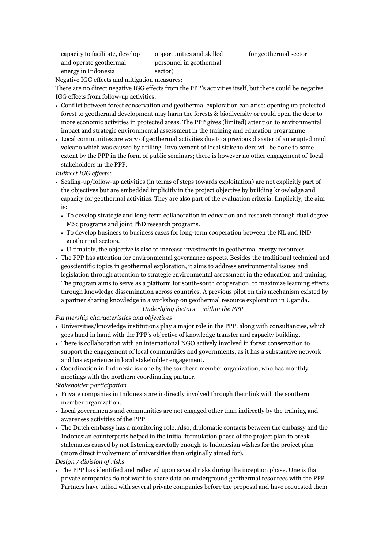| capacity to facilitate, develop | opportunities and skilled | for geothermal sector |
|---------------------------------|---------------------------|-----------------------|
| and operate geothermal          | personnel in geothermal   |                       |
| energy in Indonesia             | sector)                   |                       |

Negative IGG effects and mitigation measures:

There are no direct negative IGG effects from the PPP's activities itself, but there could be negative IGG effects from follow-up activities:

- Conflict between forest conservation and geothermal exploration can arise: opening up protected forest to geothermal development may harm the forests & biodiversity or could open the door to more economic activities in protected areas. The PPP gives (limited) attention to environmental impact and strategic environmental assessment in the training and education programme.
- Local communities are wary of geothermal activities due to a previous disaster of an erupted mud volcano which was caused by drilling. Involvement of local stakeholders will be done to some extent by the PPP in the form of public seminars; there is however no other engagement of local stakeholders in the PPP.

*Indirect IGG effects*:

- Scaling-up/follow-up activities (in terms of steps towards exploitation) are not explicitly part of the objectives but are embedded implicitly in the project objective by building knowledge and capacity for geothermal activities. They are also part of the evaluation criteria. Implicitly, the aim is:
	- To develop strategic and long-term collaboration in education and research through dual degree MSc programs and joint PhD research programs.
	- To develop business to business cases for long-term cooperation between the NL and IND geothermal sectors.
- Ultimately, the objective is also to increase investments in geothermal energy resources.
- The PPP has attention for environmental governance aspects. Besides the traditional technical and geoscientific topics in geothermal exploration, it aims to address environmental issues and legislation through attention to strategic environmental assessment in the education and training. The program aims to serve as a platform for south-south cooperation, to maximize learning effects through knowledge dissemination across countries. A previous pilot on this mechanism existed by a partner sharing knowledge in a workshop on geothermal resource exploration in Uganda.

*Underlying factors – within the PPP*

*Partnership characteristics and objectives*

- Universities/knowledge institutions play a major role in the PPP, along with consultancies, which goes hand in hand with the PPP's objective of knowledge transfer and capacity building.
- There is collaboration with an international NGO actively involved in forest conservation to support the engagement of local communities and governments, as it has a substantive network and has experience in local stakeholder engagement.
- Coordination in Indonesia is done by the southern member organization, who has monthly meetings with the northern coordinating partner.

*Stakeholder participation*

- Private companies in Indonesia are indirectly involved through their link with the southern member organization.
- Local governments and communities are not engaged other than indirectly by the training and awareness activities of the PPP
- The Dutch embassy has a monitoring role. Also, diplomatic contacts between the embassy and the Indonesian counterparts helped in the initial formulation phase of the project plan to break stalemates caused by not listening carefully enough to Indonesian wishes for the project plan (more direct involvement of universities than originally aimed for).

*Design / division of risks*

 The PPP has identified and reflected upon several risks during the inception phase. One is that private companies do not want to share data on underground geothermal resources with the PPP. Partners have talked with several private companies before the proposal and have requested them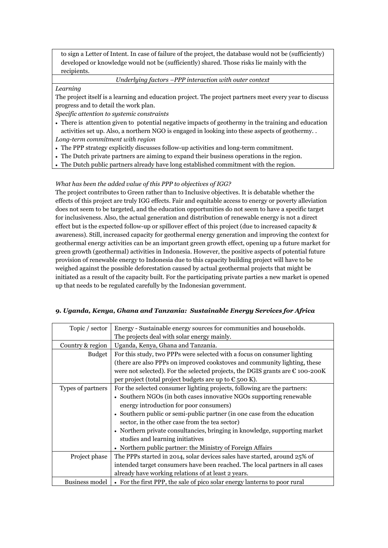to sign a Letter of Intent. In case of failure of the project, the database would not be (sufficiently) developed or knowledge would not be (sufficiently) shared. Those risks lie mainly with the recipients.

#### *Underlying factors –PPP interaction with outer context*

*Learning*

The project itself is a learning and education project. The project partners meet every year to discuss progress and to detail the work plan.

*Specific attention to systemic constraints* 

- There is attention given to potential negative impacts of geothermy in the training and education activities set up. Also, a northern NGO is engaged in looking into these aspects of geothermy. . *Long-term commitment with region*
- The PPP strategy explicitly discusses follow-up activities and long-term commitment.
- The Dutch private partners are aiming to expand their business operations in the region.
- The Dutch public partners already have long established commitment with the region.

#### *What has been the added value of this PPP to objectives of IGG?*

The project contributes to Green rather than to Inclusive objectives. It is debatable whether the effects of this project are truly IGG effects. Fair and equitable access to energy or poverty alleviation does not seem to be targeted, and the education opportunities do not seem to have a specific target for inclusiveness. Also, the actual generation and distribution of renewable energy is not a direct effect but is the expected follow-up or spillover effect of this project (due to increased capacity & awareness). Still, increased capacity for geothermal energy generation and improving the context for geothermal energy activities can be an important green growth effect, opening up a future market for green growth (geothermal) activities in Indonesia. However, the positive aspects of potential future provision of renewable energy to Indonesia due to this capacity building project will have to be weighed against the possible deforestation caused by actual geothermal projects that might be initiated as a result of the capacity built. For the participating private parties a new market is opened up that needs to be regulated carefully by the Indonesian government.

#### *9. Uganda, Kenya, Ghana and Tanzania: Sustainable Energy Services for Africa*

| Topic / sector        | Energy - Sustainable energy sources for communities and households.                    |  |
|-----------------------|----------------------------------------------------------------------------------------|--|
|                       | The projects deal with solar energy mainly.                                            |  |
| Country & region      | Uganda, Kenya, Ghana and Tanzania.                                                     |  |
| <b>Budget</b>         | For this study, two PPPs were selected with a focus on consumer lighting               |  |
|                       | (there are also PPPs on improved cookstoves and community lighting, these              |  |
|                       | were not selected). For the selected projects, the DGIS grants are $\epsilon$ 100-200K |  |
|                       | per project (total project budgets are up to $\epsilon$ 500 K).                        |  |
| Types of partners     | For the selected consumer lighting projects, following are the partners:               |  |
|                       | • Southern NGOs (in both cases innovative NGOs supporting renewable                    |  |
|                       | energy introduction for poor consumers)                                                |  |
|                       | • Southern public or semi-public partner (in one case from the education               |  |
|                       | sector, in the other case from the tea sector)                                         |  |
|                       | • Northern private consultancies, bringing in knowledge, supporting market             |  |
|                       | studies and learning initiatives                                                       |  |
|                       | • Northern public partner: the Ministry of Foreign Affairs                             |  |
| Project phase         | The PPPs started in 2014, solar devices sales have started, around 25% of              |  |
|                       | intended target consumers have been reached. The local partners in all cases           |  |
|                       | already have working relations of at least 2 years.                                    |  |
| <b>Business model</b> | • For the first PPP, the sale of pico solar energy lanterns to poor rural              |  |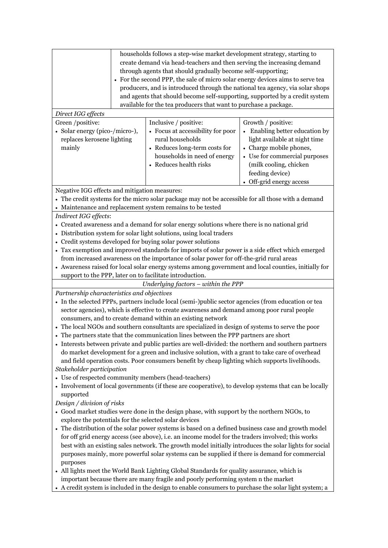| households follows a step-wise market development strategy, starting to<br>create demand via head-teachers and then serving the increasing demand<br>through agents that should gradually become self-supporting;<br>• For the second PPP, the sale of micro solar energy devices aims to serve tea<br>producers, and is introduced through the national tea agency, via solar shops<br>and agents that should become self-supporting, supported by a credit system<br>available for the tea producers that want to purchase a package. |                                                                                                                 |                                                                                                                  |  |  |
|-----------------------------------------------------------------------------------------------------------------------------------------------------------------------------------------------------------------------------------------------------------------------------------------------------------------------------------------------------------------------------------------------------------------------------------------------------------------------------------------------------------------------------------------|-----------------------------------------------------------------------------------------------------------------|------------------------------------------------------------------------------------------------------------------|--|--|
| Direct IGG effects                                                                                                                                                                                                                                                                                                                                                                                                                                                                                                                      |                                                                                                                 |                                                                                                                  |  |  |
| Green /positive:<br>· Solar energy (pico-/micro-),<br>replaces kerosene lighting<br>mainly                                                                                                                                                                                                                                                                                                                                                                                                                                              | Inclusive / positive:<br>• Focus at accessibility for poor<br>rural households<br>• Reduces long-term costs for | Growth / positive:<br>• Enabling better education by<br>light available at night time<br>• Charge mobile phones, |  |  |
|                                                                                                                                                                                                                                                                                                                                                                                                                                                                                                                                         | households in need of energy<br>• Reduces health risks                                                          | • Use for commercial purposes<br>(milk cooling, chicken<br>feeding device)<br>• Off-grid energy access           |  |  |
| Negative IGG effects and mitigation measures:                                                                                                                                                                                                                                                                                                                                                                                                                                                                                           |                                                                                                                 |                                                                                                                  |  |  |
| • The credit systems for the micro solar package may not be accessible for all those with a demand                                                                                                                                                                                                                                                                                                                                                                                                                                      |                                                                                                                 |                                                                                                                  |  |  |
| • Maintenance and replacement system remains to be tested                                                                                                                                                                                                                                                                                                                                                                                                                                                                               |                                                                                                                 |                                                                                                                  |  |  |
| Indirect IGG effects:                                                                                                                                                                                                                                                                                                                                                                                                                                                                                                                   |                                                                                                                 |                                                                                                                  |  |  |
|                                                                                                                                                                                                                                                                                                                                                                                                                                                                                                                                         | • Created awareness and a demand for solar energy solutions where there is no national grid                     |                                                                                                                  |  |  |
|                                                                                                                                                                                                                                                                                                                                                                                                                                                                                                                                         | Distribution system for solar light solutions, using local traders                                              |                                                                                                                  |  |  |
| Credit systems developed for buying solar power solutions                                                                                                                                                                                                                                                                                                                                                                                                                                                                               |                                                                                                                 |                                                                                                                  |  |  |
|                                                                                                                                                                                                                                                                                                                                                                                                                                                                                                                                         | • Tax exemption and improved standards for imports of solar power is a side effect which emerged                |                                                                                                                  |  |  |
|                                                                                                                                                                                                                                                                                                                                                                                                                                                                                                                                         | from increased awareness on the importance of solar power for off-the-grid rural areas                          |                                                                                                                  |  |  |
|                                                                                                                                                                                                                                                                                                                                                                                                                                                                                                                                         | • Awareness raised for local solar energy systems among government and local counties, initially for            |                                                                                                                  |  |  |
| support to the PPP, later on to facilitate introduction.                                                                                                                                                                                                                                                                                                                                                                                                                                                                                |                                                                                                                 |                                                                                                                  |  |  |
| Underlying factors $-$ within the PPP                                                                                                                                                                                                                                                                                                                                                                                                                                                                                                   |                                                                                                                 |                                                                                                                  |  |  |
| Partnership characteristics and objectives                                                                                                                                                                                                                                                                                                                                                                                                                                                                                              |                                                                                                                 |                                                                                                                  |  |  |
| • In the selected PPPs, partners include local (semi-)public sector agencies (from education or tea                                                                                                                                                                                                                                                                                                                                                                                                                                     |                                                                                                                 |                                                                                                                  |  |  |
| sector agencies), which is effective to create awareness and demand among poor rural people                                                                                                                                                                                                                                                                                                                                                                                                                                             |                                                                                                                 |                                                                                                                  |  |  |
| consumers, and to create demand within an existing network<br>• The local NGOs and southern consultants are specialized in design of systems to serve the poor                                                                                                                                                                                                                                                                                                                                                                          |                                                                                                                 |                                                                                                                  |  |  |
| • The partners state that the communication lines between the PPP partners are short                                                                                                                                                                                                                                                                                                                                                                                                                                                    |                                                                                                                 |                                                                                                                  |  |  |
| • Interests between private and public parties are well-divided: the northern and southern partners                                                                                                                                                                                                                                                                                                                                                                                                                                     |                                                                                                                 |                                                                                                                  |  |  |
| do market development for a green and inclusive solution, with a grant to take care of overhead                                                                                                                                                                                                                                                                                                                                                                                                                                         |                                                                                                                 |                                                                                                                  |  |  |
| and field operation costs. Poor consumers benefit by cheap lighting which supports livelihoods.                                                                                                                                                                                                                                                                                                                                                                                                                                         |                                                                                                                 |                                                                                                                  |  |  |
| Stakeholder participation                                                                                                                                                                                                                                                                                                                                                                                                                                                                                                               |                                                                                                                 |                                                                                                                  |  |  |
| • Use of respected community members (head-teachers)                                                                                                                                                                                                                                                                                                                                                                                                                                                                                    |                                                                                                                 |                                                                                                                  |  |  |
| • Involvement of local governments (if these are cooperative), to develop systems that can be locally<br>supported                                                                                                                                                                                                                                                                                                                                                                                                                      |                                                                                                                 |                                                                                                                  |  |  |
| Design / division of risks                                                                                                                                                                                                                                                                                                                                                                                                                                                                                                              |                                                                                                                 |                                                                                                                  |  |  |
| • Good market studies were done in the design phase, with support by the northern NGOs, to<br>explore the potentials for the selected solar devices                                                                                                                                                                                                                                                                                                                                                                                     |                                                                                                                 |                                                                                                                  |  |  |
| The distribution of the solar power systems is based on a defined business case and growth model                                                                                                                                                                                                                                                                                                                                                                                                                                        |                                                                                                                 |                                                                                                                  |  |  |
| for off grid energy access (see above), i.e. an income model for the traders involved; this works                                                                                                                                                                                                                                                                                                                                                                                                                                       |                                                                                                                 |                                                                                                                  |  |  |
| best with an existing sales network. The growth model initially introduces the solar lights for social                                                                                                                                                                                                                                                                                                                                                                                                                                  |                                                                                                                 |                                                                                                                  |  |  |
| purposes mainly, more powerful solar systems can be supplied if there is demand for commercial<br>purposes                                                                                                                                                                                                                                                                                                                                                                                                                              |                                                                                                                 |                                                                                                                  |  |  |
| • All lights meet the World Bank Lighting Global Standards for quality assurance, which is<br>important because there are many fragile and poorly performing system n the market                                                                                                                                                                                                                                                                                                                                                        |                                                                                                                 |                                                                                                                  |  |  |

A credit system is included in the design to enable consumers to purchase the solar light system; a